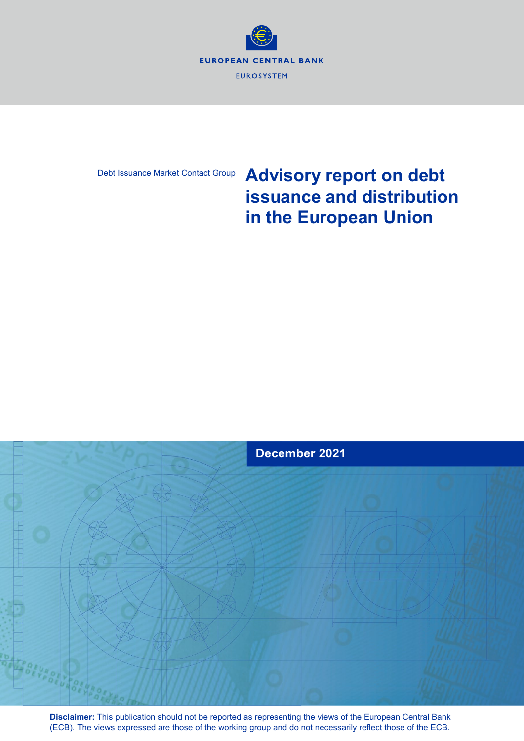

### Debt Issuance Market Contact Group

# **Advisory report on debt issuance and distribution in the European Union**



**Disclaimer:** This publication should not be reported as representing the views of the European Central Bank (ECB). The views expressed are those of the working group and do not necessarily reflect those of the ECB.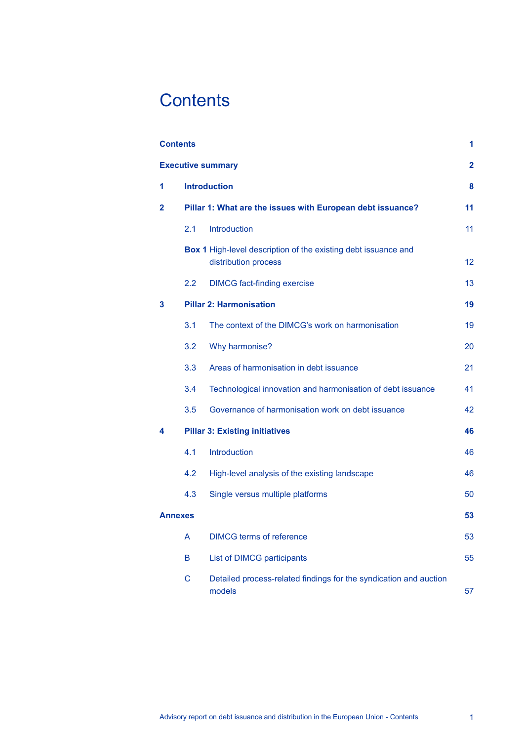# <span id="page-1-0"></span>**Contents**

| <b>Contents</b> |         |                                                                                        | 1                       |
|-----------------|---------|----------------------------------------------------------------------------------------|-------------------------|
|                 |         | <b>Executive summary</b>                                                               | $\overline{\mathbf{2}}$ |
| 1               |         | <b>Introduction</b>                                                                    | 8                       |
| $\mathbf 2$     |         | Pillar 1: What are the issues with European debt issuance?                             | 11                      |
|                 | 2.1     | <b>Introduction</b>                                                                    | 11                      |
|                 |         | Box 1 High-level description of the existing debt issuance and<br>distribution process | $12 \overline{ }$       |
|                 | $2.2\,$ | <b>DIMCG</b> fact-finding exercise                                                     | 13                      |
| 3               |         | <b>Pillar 2: Harmonisation</b>                                                         | 19                      |
|                 | 3.1     | The context of the DIMCG's work on harmonisation                                       | 19                      |
|                 | 3.2     | Why harmonise?                                                                         | 20                      |
|                 | 3.3     | Areas of harmonisation in debt issuance                                                | 21                      |
|                 | 3.4     | Technological innovation and harmonisation of debt issuance                            | 41                      |
|                 | 3.5     | Governance of harmonisation work on debt issuance                                      | 42                      |
| 4               |         | <b>Pillar 3: Existing initiatives</b>                                                  | 46                      |
|                 | 4.1     | <b>Introduction</b>                                                                    | 46                      |
|                 | 4.2     | High-level analysis of the existing landscape                                          | 46                      |
|                 | 4.3     | Single versus multiple platforms                                                       | 50                      |
| <b>Annexes</b>  |         |                                                                                        | 53                      |
|                 | A       | <b>DIMCG terms of reference</b>                                                        | 53                      |
|                 | B       | List of DIMCG participants                                                             | 55                      |
|                 | С       | Detailed process-related findings for the syndication and auction<br>models            | 57                      |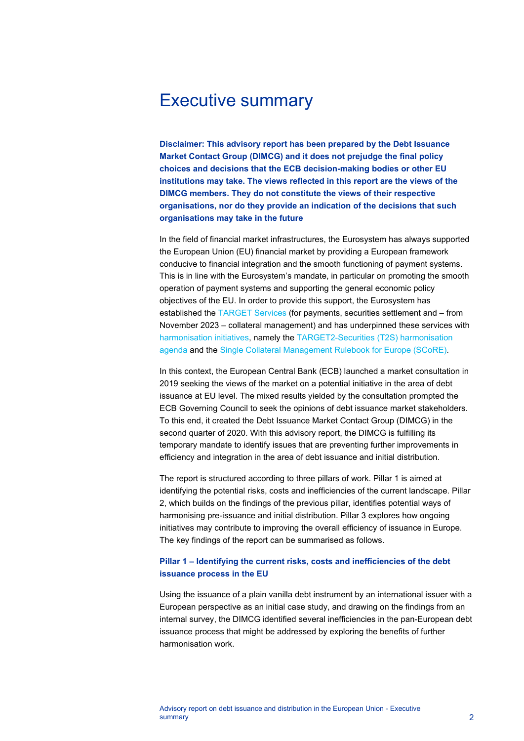# <span id="page-2-0"></span>Executive summary

**Disclaimer: This advisory report has been prepared by the Debt Issuance Market Contact Group (DIMCG) and it does not prejudge the final policy choices and decisions that the ECB decision-making bodies or other EU institutions may take. The views reflected in this report are the views of the DIMCG members. They do not constitute the views of their respective organisations, nor do they provide an indication of the decisions that such organisations may take in the future**

In the field of financial market infrastructures, the Eurosystem has always supported the European Union (EU) financial market by providing a European framework conducive to financial integration and the smooth functioning of payment systems. This is in line with the Eurosystem's mandate, in particular on promoting the smooth operation of payment systems and supporting the general economic policy objectives of the EU. In order to provide this support, the Eurosystem has established the [TARGET Services](https://www.ecb.europa.eu/paym/target/html/index.en.html) (for payments, securities settlement and – from November 2023 – collateral management) and has underpinned these services with [harmonisation initiatives,](https://www.ecb.europa.eu/paym/groups/ami/html/index.en.html) namely the [TARGET2-Securities \(T2S\) harmonisation](https://www.ecb.europa.eu/paym/intro/publications/pdf/ecb.eleventh_t2sharmonisationprogressreport.en.pdf)  [agenda](https://www.ecb.europa.eu/paym/intro/publications/pdf/ecb.eleventh_t2sharmonisationprogressreport.en.pdf) and the [Single Collateral Management Rulebook for Europe \(SCoRE\).](https://www.ecb.europa.eu/paym/integration/collateral/html/index.en.html)

In this context, the European Central Bank (ECB) launched a market consultation in 2019 seeking the views of the market on a potential initiative in the area of debt issuance at EU level. The mixed results yielded by the consultation prompted the ECB Governing Council to seek the opinions of debt issuance market stakeholders. To this end, it created the Debt Issuance Market Contact Group (DIMCG) in the second quarter of 2020. With this advisory report, the DIMCG is fulfilling its temporary mandate to identify issues that are preventing further improvements in efficiency and integration in the area of debt issuance and initial distribution.

The report is structured according to three pillars of work. Pillar 1 is aimed at identifying the potential risks, costs and inefficiencies of the current landscape. Pillar 2, which builds on the findings of the previous pillar, identifies potential ways of harmonising pre-issuance and initial distribution. Pillar 3 explores how ongoing initiatives may contribute to improving the overall efficiency of issuance in Europe. The key findings of the report can be summarised as follows.

### **Pillar 1 – Identifying the current risks, costs and inefficiencies of the debt issuance process in the EU**

Using the issuance of a plain vanilla debt instrument by an international issuer with a European perspective as an initial case study, and drawing on the findings from an internal survey, the DIMCG identified several inefficiencies in the pan-European debt issuance process that might be addressed by exploring the benefits of further harmonisation work.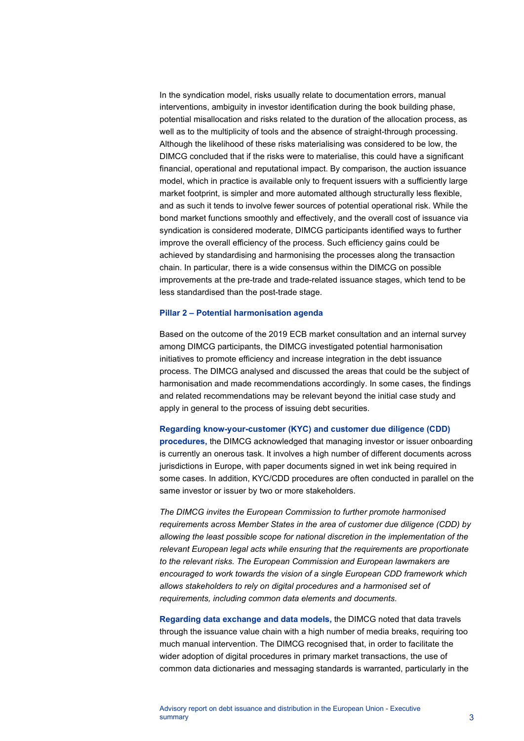In the syndication model, risks usually relate to documentation errors, manual interventions, ambiguity in investor identification during the book building phase, potential misallocation and risks related to the duration of the allocation process, as well as to the multiplicity of tools and the absence of straight-through processing. Although the likelihood of these risks materialising was considered to be low, the DIMCG concluded that if the risks were to materialise, this could have a significant financial, operational and reputational impact. By comparison, the auction issuance model, which in practice is available only to frequent issuers with a sufficiently large market footprint, is simpler and more automated although structurally less flexible, and as such it tends to involve fewer sources of potential operational risk. While the bond market functions smoothly and effectively, and the overall cost of issuance via syndication is considered moderate, DIMCG participants identified ways to further improve the overall efficiency of the process. Such efficiency gains could be achieved by standardising and harmonising the processes along the transaction chain. In particular, there is a wide consensus within the DIMCG on possible improvements at the pre-trade and trade-related issuance stages, which tend to be less standardised than the post-trade stage.

#### **Pillar 2 – Potential harmonisation agenda**

Based on the outcome of the 2019 ECB market consultation and an internal survey among DIMCG participants, the DIMCG investigated potential harmonisation initiatives to promote efficiency and increase integration in the debt issuance process. The DIMCG analysed and discussed the areas that could be the subject of harmonisation and made recommendations accordingly. In some cases, the findings and related recommendations may be relevant beyond the initial case study and apply in general to the process of issuing debt securities.

#### **Regarding know-your-customer (KYC) and customer due diligence (CDD)**

**procedures,** the DIMCG acknowledged that managing investor or issuer onboarding is currently an onerous task. It involves a high number of different documents across jurisdictions in Europe, with paper documents signed in wet ink being required in some cases. In addition, KYC/CDD procedures are often conducted in parallel on the same investor or issuer by two or more stakeholders.

*The DIMCG invites the European Commission to further promote harmonised requirements across Member States in the area of customer due diligence (CDD) by allowing the least possible scope for national discretion in the implementation of the relevant European legal acts while ensuring that the requirements are proportionate to the relevant risks. The European Commission and European lawmakers are encouraged to work towards the vision of a single European CDD framework which allows stakeholders to rely on digital procedures and a harmonised set of requirements, including common data elements and documents.*

**Regarding data exchange and data models,** the DIMCG noted that data travels through the issuance value chain with a high number of media breaks, requiring too much manual intervention. The DIMCG recognised that, in order to facilitate the wider adoption of digital procedures in primary market transactions, the use of common data dictionaries and messaging standards is warranted, particularly in the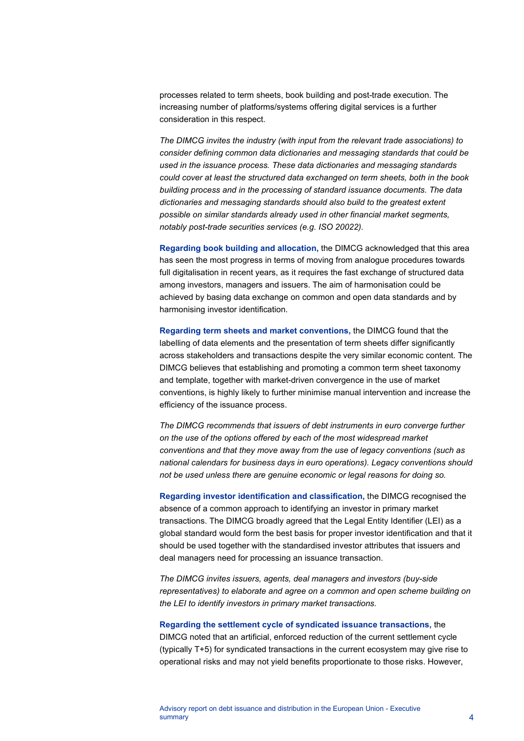processes related to term sheets, book building and post-trade execution. The increasing number of platforms/systems offering digital services is a further consideration in this respect.

*The DIMCG invites the industry (with input from the relevant trade associations) to consider defining common data dictionaries and messaging standards that could be used in the issuance process. These data dictionaries and messaging standards could cover at least the structured data exchanged on term sheets, both in the book building process and in the processing of standard issuance documents. The data dictionaries and messaging standards should also build to the greatest extent possible on similar standards already used in other financial market segments, notably post-trade securities services (e.g. ISO 20022).*

**Regarding book building and allocation,** the DIMCG acknowledged that this area has seen the most progress in terms of moving from analogue procedures towards full digitalisation in recent years, as it requires the fast exchange of structured data among investors, managers and issuers. The aim of harmonisation could be achieved by basing data exchange on common and open data standards and by harmonising investor identification.

**Regarding term sheets and market conventions,** the DIMCG found that the labelling of data elements and the presentation of term sheets differ significantly across stakeholders and transactions despite the very similar economic content. The DIMCG believes that establishing and promoting a common term sheet taxonomy and template, together with market-driven convergence in the use of market conventions, is highly likely to further minimise manual intervention and increase the efficiency of the issuance process.

*The DIMCG recommends that issuers of debt instruments in euro converge further on the use of the options offered by each of the most widespread market conventions and that they move away from the use of legacy conventions (such as national calendars for business days in euro operations). Legacy conventions should not be used unless there are genuine economic or legal reasons for doing so.*

**Regarding investor identification and classification,** the DIMCG recognised the absence of a common approach to identifying an investor in primary market transactions. The DIMCG broadly agreed that the Legal Entity Identifier (LEI) as a global standard would form the best basis for proper investor identification and that it should be used together with the standardised investor attributes that issuers and deal managers need for processing an issuance transaction.

*The DIMCG invites issuers, agents, deal managers and investors (buy-side representatives) to elaborate and agree on a common and open scheme building on the LEI to identify investors in primary market transactions.*

#### **Regarding the settlement cycle of syndicated issuance transactions,** the

DIMCG noted that an artificial, enforced reduction of the current settlement cycle (typically T+5) for syndicated transactions in the current ecosystem may give rise to operational risks and may not yield benefits proportionate to those risks. However,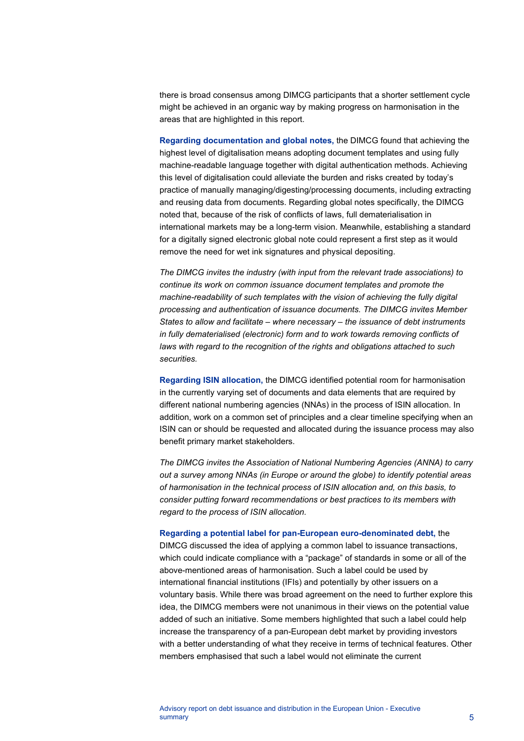there is broad consensus among DIMCG participants that a shorter settlement cycle might be achieved in an organic way by making progress on harmonisation in the areas that are highlighted in this report.

**Regarding documentation and global notes,** the DIMCG found that achieving the highest level of digitalisation means adopting document templates and using fully machine-readable language together with digital authentication methods. Achieving this level of digitalisation could alleviate the burden and risks created by today's practice of manually managing/digesting/processing documents, including extracting and reusing data from documents. Regarding global notes specifically, the DIMCG noted that, because of the risk of conflicts of laws, full dematerialisation in international markets may be a long-term vision. Meanwhile, establishing a standard for a digitally signed electronic global note could represent a first step as it would remove the need for wet ink signatures and physical depositing.

*The DIMCG invites the industry (with input from the relevant trade associations) to continue its work on common issuance document templates and promote the machine-readability of such templates with the vision of achieving the fully digital processing and authentication of issuance documents. The DIMCG invites Member States to allow and facilitate – where necessary – the issuance of debt instruments in fully dematerialised (electronic) form and to work towards removing conflicts of laws with regard to the recognition of the rights and obligations attached to such securities.*

**Regarding ISIN allocation,** the DIMCG identified potential room for harmonisation in the currently varying set of documents and data elements that are required by different national numbering agencies (NNAs) in the process of ISIN allocation. In addition, work on a common set of principles and a clear timeline specifying when an ISIN can or should be requested and allocated during the issuance process may also benefit primary market stakeholders.

*The DIMCG invites the Association of National Numbering Agencies (ANNA) to carry out a survey among NNAs (in Europe or around the globe) to identify potential areas of harmonisation in the technical process of ISIN allocation and, on this basis, to consider putting forward recommendations or best practices to its members with regard to the process of ISIN allocation.*

#### **Regarding a potential label for pan-European euro-denominated debt,** the

DIMCG discussed the idea of applying a common label to issuance transactions, which could indicate compliance with a "package" of standards in some or all of the above-mentioned areas of harmonisation. Such a label could be used by international financial institutions (IFIs) and potentially by other issuers on a voluntary basis. While there was broad agreement on the need to further explore this idea, the DIMCG members were not unanimous in their views on the potential value added of such an initiative. Some members highlighted that such a label could help increase the transparency of a pan-European debt market by providing investors with a better understanding of what they receive in terms of technical features. Other members emphasised that such a label would not eliminate the current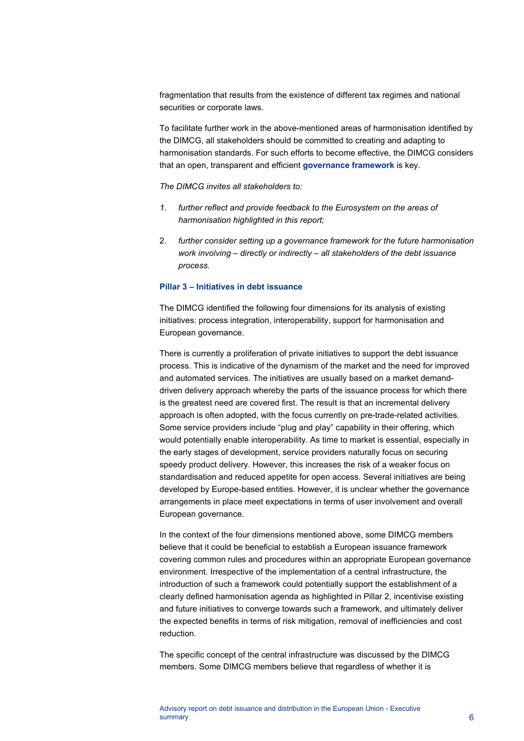fragmentation that results from the existence of different tax regimes and national securities or corporate laws.

To facilitate further work in the above-mentioned areas of harmonisation identified by the DIMCG, all stakeholders should be committed to creating and adapting to harmonisation standards. For such efforts to become effective, the DIMCG considers that an open, transparent and efficient **governance framework** is key.

*The DIMCG invites all stakeholders to:*

- *1. further reflect and provide feedback to the Eurosystem on the areas of harmonisation highlighted in this report;*
- 2. *further consider setting up a governance framework for the future harmonisation work involving – directly or indirectly – all stakeholders of the debt issuance process.*

#### **Pillar 3 – Initiatives in debt issuance**

The DIMCG identified the following four dimensions for its analysis of existing initiatives: process integration, interoperability, support for harmonisation and European governance.

There is currently a proliferation of private initiatives to support the debt issuance process. This is indicative of the dynamism of the market and the need for improved and automated services. The initiatives are usually based on a market demanddriven delivery approach whereby the parts of the issuance process for which there is the greatest need are covered first. The result is that an incremental delivery approach is often adopted, with the focus currently on pre-trade-related activities. Some service providers include "plug and play" capability in their offering, which would potentially enable interoperability. As time to market is essential, especially in the early stages of development, service providers naturally focus on securing speedy product delivery. However, this increases the risk of a weaker focus on standardisation and reduced appetite for open access. Several initiatives are being developed by Europe-based entities. However, it is unclear whether the governance arrangements in place meet expectations in terms of user involvement and overall European governance.

In the context of the four dimensions mentioned above, some DIMCG members believe that it could be beneficial to establish a European issuance framework covering common rules and procedures within an appropriate European governance environment. Irrespective of the implementation of a central infrastructure, the introduction of such a framework could potentially support the establishment of a clearly defined harmonisation agenda as highlighted in Pillar 2, incentivise existing and future initiatives to converge towards such a framework, and ultimately deliver the expected benefits in terms of risk mitigation, removal of inefficiencies and cost reduction.

The specific concept of the central infrastructure was discussed by the DIMCG members. Some DIMCG members believe that regardless of whether it is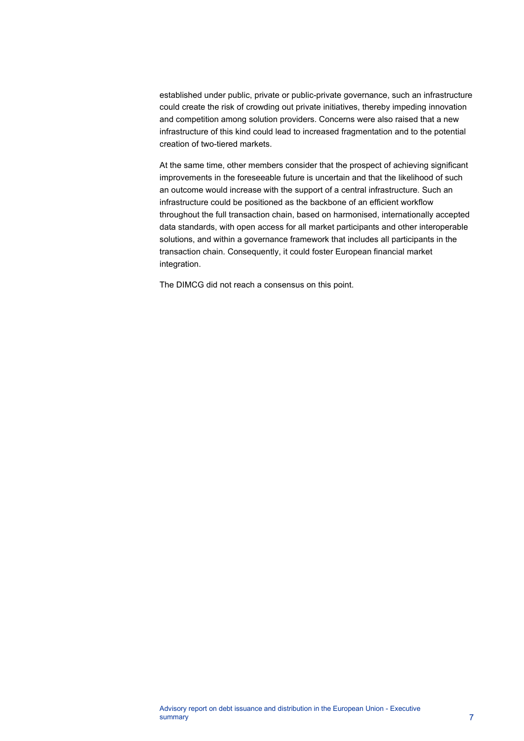established under public, private or public-private governance, such an infrastructure could create the risk of crowding out private initiatives, thereby impeding innovation and competition among solution providers. Concerns were also raised that a new infrastructure of this kind could lead to increased fragmentation and to the potential creation of two-tiered markets.

At the same time, other members consider that the prospect of achieving significant improvements in the foreseeable future is uncertain and that the likelihood of such an outcome would increase with the support of a central infrastructure. Such an infrastructure could be positioned as the backbone of an efficient workflow throughout the full transaction chain, based on harmonised, internationally accepted data standards, with open access for all market participants and other interoperable solutions, and within a governance framework that includes all participants in the transaction chain. Consequently, it could foster European financial market integration.

The DIMCG did not reach a consensus on this point.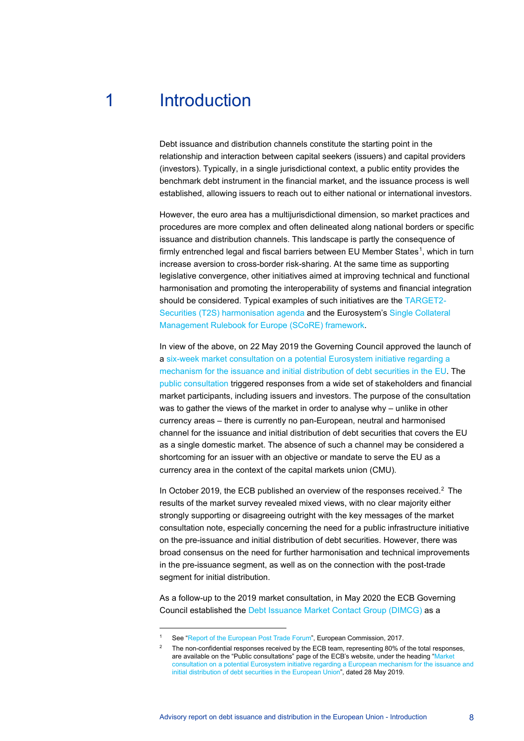# 1 Introduction

<span id="page-8-0"></span>Debt issuance and distribution channels constitute the starting point in the relationship and interaction between capital seekers (issuers) and capital providers (investors). Typically, in a single jurisdictional context, a public entity provides the benchmark debt instrument in the financial market, and the issuance process is well established, allowing issuers to reach out to either national or international investors.

However, the euro area has a multijurisdictional dimension, so market practices and procedures are more complex and often delineated along national borders or specific issuance and distribution channels. This landscape is partly the consequence of firmly entrenched legal and fiscal barriers between EU Member States<sup>[1](#page-8-1)</sup>, which in turn increase aversion to cross-border risk-sharing. At the same time as supporting legislative convergence, other initiatives aimed at improving technical and functional harmonisation and promoting the interoperability of systems and financial integration should be considered. Typical examples of such initiatives are the [TARGET2-](https://www.ecb.europa.eu/paym/intro/publications/pdf/ecb.eleventh_t2sharmonisationprogressreport.en.pdf) [Securities \(T2S\) harmonisation agenda](https://www.ecb.europa.eu/paym/intro/publications/pdf/ecb.eleventh_t2sharmonisationprogressreport.en.pdf) and the Eurosystem's [Single Collateral](https://www.ecb.europa.eu/paym/integration/collateral/html/index.en.html)  [Management Rulebook for Europe \(SCoRE\) framework.](https://www.ecb.europa.eu/paym/integration/collateral/html/index.en.html)

In view of the above, on 22 May 2019 the Governing Council approved the launch of a [six-week market consultation on a potential Eurosystem initiative regarding a](https://www.ecb.europa.eu/press/govcdec/otherdec/2019/html/ecb.gc190524%7E3d8a51b867.en.html)  [mechanism for the issuance and initial distribution of debt securities in the EU.](https://www.ecb.europa.eu/press/govcdec/otherdec/2019/html/ecb.gc190524%7E3d8a51b867.en.html) The [public consultation](https://www.ecb.europa.eu/paym/pdf/consultations/market_consultation_on_european_distribution_of_debt_securities.en.pdf) triggered responses from a wide set of stakeholders and financial market participants, including issuers and investors. The purpose of the consultation was to gather the views of the market in order to analyse why – unlike in other currency areas – there is currently no pan-European, neutral and harmonised channel for the issuance and initial distribution of debt securities that covers the EU as a single domestic market. The absence of such a channel may be considered a shortcoming for an issuer with an objective or mandate to serve the EU as a currency area in the context of the capital markets union (CMU).

In October 2019, the ECB published an overview of the responses received.<sup>2</sup> The results of the market survey revealed mixed views, with no clear majority either strongly supporting or disagreeing outright with the key messages of the market consultation note, especially concerning the need for a public infrastructure initiative on the pre-issuance and initial distribution of debt securities. However, there was broad consensus on the need for further harmonisation and technical improvements in the pre-issuance segment, as well as on the connection with the post-trade segment for initial distribution.

As a follow-up to the 2019 market consultation, in May 2020 the ECB Governing Council established the [Debt Issuance Market Contact Group \(DIMCG\)](https://www.ecb.europa.eu/paym/groups/dimcg/html/index.en.html) as a

<span id="page-8-2"></span><span id="page-8-1"></span><sup>1</sup> See ["Report of the European Post Trade Forum"](https://ec.europa.eu/info/publications/170515-eptf-report_en), European Commission, 2017.

The non-confidential responses received by the ECB team, representing 80% of the total responses, are available on the "Public consultations" page of the ECB's website, under the heading ["Market](https://www.ecb.europa.eu/paym/intro/cons/html/index.en.html)  [consultation on a potential Eurosystem initiative regarding a European mechanism for the issuance and](https://www.ecb.europa.eu/paym/intro/cons/html/index.en.html)  [initial distribution of debt securities in the European Union"](https://www.ecb.europa.eu/paym/intro/cons/html/index.en.html), dated 28 May 2019.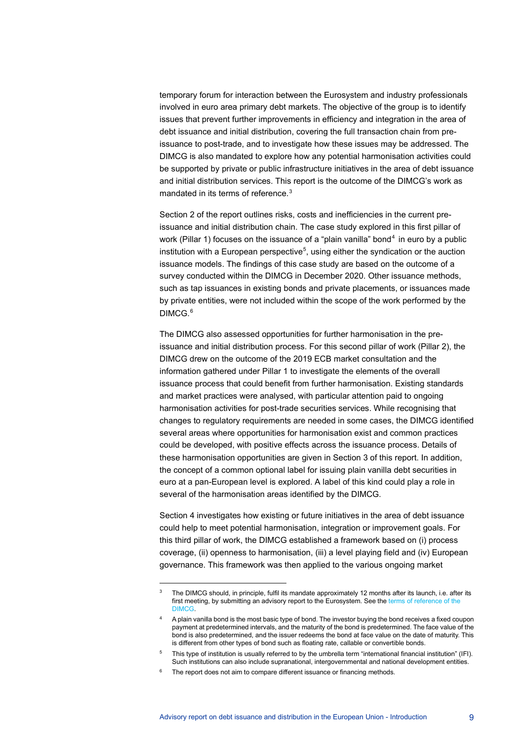temporary forum for interaction between the Eurosystem and industry professionals involved in euro area primary debt markets. The objective of the group is to identify issues that prevent further improvements in efficiency and integration in the area of debt issuance and initial distribution, covering the full transaction chain from preissuance to post-trade, and to investigate how these issues may be addressed. The DIMCG is also mandated to explore how any potential harmonisation activities could be supported by private or public infrastructure initiatives in the area of debt issuance and initial distribution services. This report is the outcome of the DIMCG's work as mandated in its terms of reference.<sup>[3](#page-9-0)</sup>

Section 2 of the report outlines risks, costs and inefficiencies in the current preissuance and initial distribution chain. The case study explored in this first pillar of work (Pillar 1) focuses on the issuance of a "plain vanilla" bond<sup>[4](#page-9-1)</sup> in euro by a public institution with a European perspective<sup>[5](#page-9-2)</sup>, using either the syndication or the auction issuance models. The findings of this case study are based on the outcome of a survey conducted within the DIMCG in December 2020. Other issuance methods, such as tap issuances in existing bonds and private placements, or issuances made by private entities, were not included within the scope of the work performed by the DIMCG.[6](#page-9-3)

The DIMCG also assessed opportunities for further harmonisation in the preissuance and initial distribution process. For this second pillar of work (Pillar 2), the DIMCG drew on the outcome of the 2019 ECB market consultation and the information gathered under Pillar 1 to investigate the elements of the overall issuance process that could benefit from further harmonisation. Existing standards and market practices were analysed, with particular attention paid to ongoing harmonisation activities for post-trade securities services. While recognising that changes to regulatory requirements are needed in some cases, the DIMCG identified several areas where opportunities for harmonisation exist and common practices could be developed, with positive effects across the issuance process. Details of these harmonisation opportunities are given in Section 3 of this report. In addition, the concept of a common optional label for issuing plain vanilla debt securities in euro at a pan-European level is explored. A label of this kind could play a role in several of the harmonisation areas identified by the DIMCG.

Section 4 investigates how existing or future initiatives in the area of debt issuance could help to meet potential harmonisation, integration or improvement goals. For this third pillar of work, the DIMCG established a framework based on (i) process coverage, (ii) openness to harmonisation, (iii) a level playing field and (iv) European governance. This framework was then applied to the various ongoing market

<span id="page-9-0"></span>The DIMCG should, in principle, fulfil its mandate approximately 12 months after its launch, i.e. after its first meeting, by submitting an advisory report to the Eurosystem. See th[e terms of reference of the](https://www.ecb.europa.eu/paym/intro/news/ecb.mipnews200417_annex1.en.pdf)  [DIMCG.](https://www.ecb.europa.eu/paym/intro/news/ecb.mipnews200417_annex1.en.pdf)

<span id="page-9-1"></span><sup>4</sup> A plain vanilla bond is the most basic type of bond. The investor buying the bond receives a fixed coupon payment at predetermined intervals, and the maturity of the bond is predetermined. The face value of the bond is also predetermined, and the issuer redeems the bond at face value on the date of maturity. This is different from other types of bond such as floating rate, callable or convertible bonds.

<sup>5</sup> This type of institution is usually referred to by the umbrella term "international financial institution" (IFI). Such institutions can also include supranational, intergovernmental and national development entities.

<span id="page-9-3"></span><span id="page-9-2"></span>The report does not aim to compare different issuance or financing methods.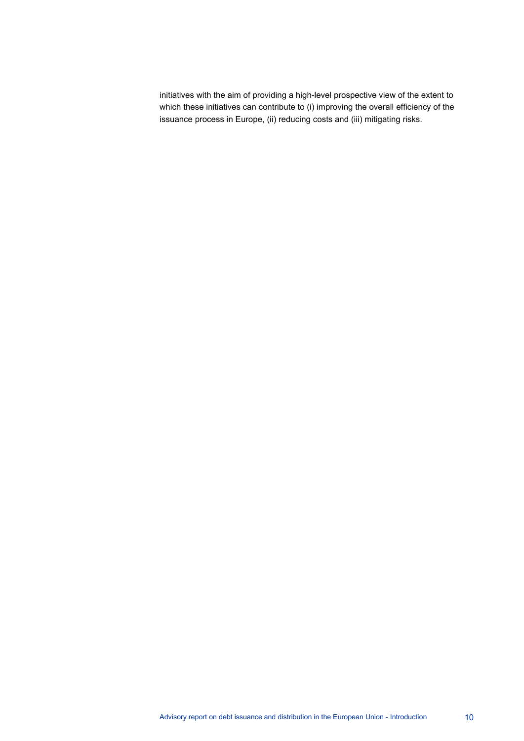initiatives with the aim of providing a high-level prospective view of the extent to which these initiatives can contribute to (i) improving the overall efficiency of the issuance process in Europe, (ii) reducing costs and (iii) mitigating risks.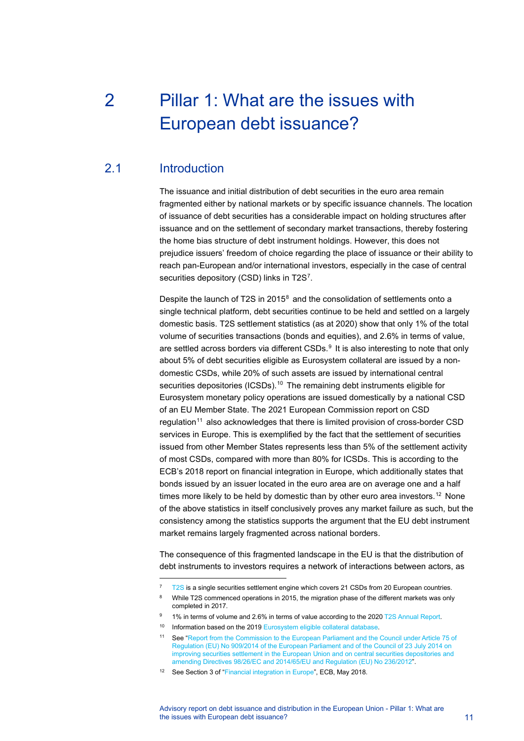# <span id="page-11-0"></span>2 Pillar 1: What are the issues with European debt issuance?

# 2.1 Introduction

<span id="page-11-1"></span>The issuance and initial distribution of debt securities in the euro area remain fragmented either by national markets or by specific issuance channels. The location of issuance of debt securities has a considerable impact on holding structures after issuance and on the settlement of secondary market transactions, thereby fostering the home bias structure of debt instrument holdings. However, this does not prejudice issuers' freedom of choice regarding the place of issuance or their ability to reach pan-European and/or international investors, especially in the case of central securities depository (CSD) links in T2S $^7$  $^7$ .

Despite the launch of T2S in 2015 $^8$  $^8$  and the consolidation of settlements onto a single technical platform, debt securities continue to be held and settled on a largely domestic basis. T2S settlement statistics (as at 2020) show that only 1% of the total volume of securities transactions (bonds and equities), and 2.6% in terms of value, are settled across borders via different  $CSDs<sup>9</sup>$  $CSDs<sup>9</sup>$  $CSDs<sup>9</sup>$  It is also interesting to note that only about 5% of debt securities eligible as Eurosystem collateral are issued by a nondomestic CSDs, while 20% of such assets are issued by international central securities depositories (ICSDs).<sup>[10](#page-11-5)</sup> The remaining debt instruments eligible for Eurosystem monetary policy operations are issued domestically by a national CSD of an EU Member State. The 2021 European Commission report on CSD regulation<sup>[11](#page-11-6)</sup> also acknowledges that there is limited provision of cross-border CSD services in Europe. This is exemplified by the fact that the settlement of securities issued from other Member States represents less than 5% of the settlement activity of most CSDs, compared with more than 80% for ICSDs. This is according to the ECB's 2018 report on financial integration in Europe, which additionally states that bonds issued by an issuer located in the euro area are on average one and a half times more likely to be held by domestic than by other euro area investors.<sup>[12](#page-11-7)</sup> None of the above statistics in itself conclusively proves any market failure as such, but the consistency among the statistics supports the argument that the EU debt instrument market remains largely fragmented across national borders.

The consequence of this fragmented landscape in the EU is that the distribution of debt instruments to investors requires a network of interactions between actors, as

<span id="page-11-3"></span><span id="page-11-2"></span><sup>&</sup>lt;sup>7</sup> [T2S](https://www.ecb.europa.eu/paym/target/t2s/html/index.en.html) is a single securities settlement engine which covers 21 CSDs from 20 European countries.

<sup>&</sup>lt;sup>8</sup> While T2S commenced operations in 2015, the migration phase of the different markets was only completed in 2017.

<sup>1%</sup> in terms of volume and 2.6% in terms of value according to the 202[0 T2S Annual Report.](https://www.ecb.europa.eu/paym/intro/publications/html/ecb.targetsecar202105.en.html)

<span id="page-11-5"></span><span id="page-11-4"></span><sup>&</sup>lt;sup>10</sup> Information based on the 201[9 Eurosystem eligible collateral database.](https://www.ecb.europa.eu/paym/coll/assets/html/index.en.html)

<span id="page-11-6"></span><sup>11</sup> See ["Report from the Commission to the European Parliament and the Council under Article 75 of](https://ec.europa.eu/finance/docs/policy/210701-csdr-report_en.pdf)  [Regulation \(EU\) No 909/2014 of the European Parliament and of the Council of 23 July 2014 on](https://ec.europa.eu/finance/docs/policy/210701-csdr-report_en.pdf)  [improving securities settlement in the European Union and on central securities depositories and](https://ec.europa.eu/finance/docs/policy/210701-csdr-report_en.pdf)  [amending Directives 98/26/EC and 2014/65/EU and Regulation \(EU\) No 236/2012".](https://ec.europa.eu/finance/docs/policy/210701-csdr-report_en.pdf)

<span id="page-11-7"></span><sup>&</sup>lt;sup>12</sup> See Section 3 of ["Financial integration in Europe"](https://www.ecb.europa.eu/pub/pdf/fie/ecb.financialintegrationineurope201805.en.pdf), ECB, May 2018.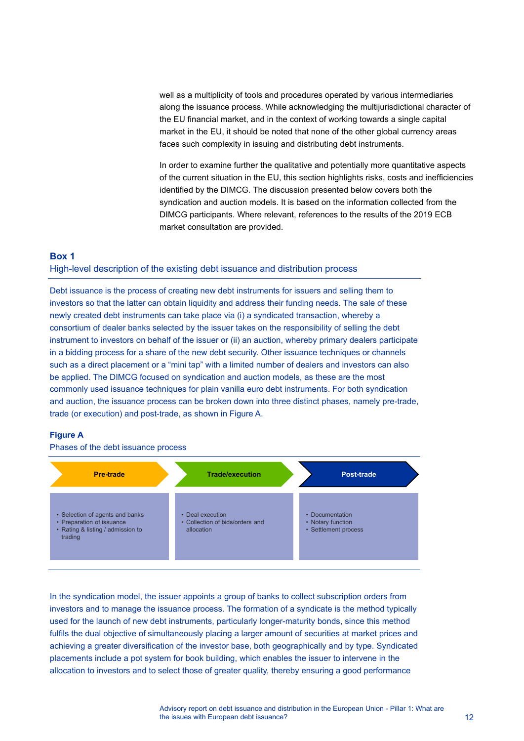well as a multiplicity of tools and procedures operated by various intermediaries along the issuance process. While acknowledging the multijurisdictional character of the EU financial market, and in the context of working towards a single capital market in the EU, it should be noted that none of the other global currency areas faces such complexity in issuing and distributing debt instruments.

In order to examine further the qualitative and potentially more quantitative aspects of the current situation in the EU, this section highlights risks, costs and inefficiencies identified by the DIMCG. The discussion presented below covers both the syndication and auction models. It is based on the information collected from the DIMCG participants. Where relevant, references to the results of the 2019 ECB market consultation are provided.

#### <span id="page-12-0"></span>**Box 1**

#### High-level description of the existing debt issuance and distribution process

Debt issuance is the process of creating new debt instruments for issuers and selling them to investors so that the latter can obtain liquidity and address their funding needs. The sale of these newly created debt instruments can take place via (i) a syndicated transaction, whereby a consortium of dealer banks selected by the issuer takes on the responsibility of selling the debt instrument to investors on behalf of the issuer or (ii) an auction, whereby primary dealers participate in a bidding process for a share of the new debt security. Other issuance techniques or channels such as a direct placement or a "mini tap" with a limited number of dealers and investors can also be applied. The DIMCG focused on syndication and auction models, as these are the most commonly used issuance techniques for plain vanilla euro debt instruments. For both syndication and auction, the issuance process can be broken down into three distinct phases, namely pre-trade, trade (or execution) and post-trade, as shown in Figure A.

#### **Figure A**

Phases of the debt issuance process



In the syndication model, the issuer appoints a group of banks to collect subscription orders from investors and to manage the issuance process. The formation of a syndicate is the method typically used for the launch of new debt instruments, particularly longer-maturity bonds, since this method fulfils the dual objective of simultaneously placing a larger amount of securities at market prices and achieving a greater diversification of the investor base, both geographically and by type. Syndicated placements include a pot system for book building, which enables the issuer to intervene in the allocation to investors and to select those of greater quality, thereby ensuring a good performance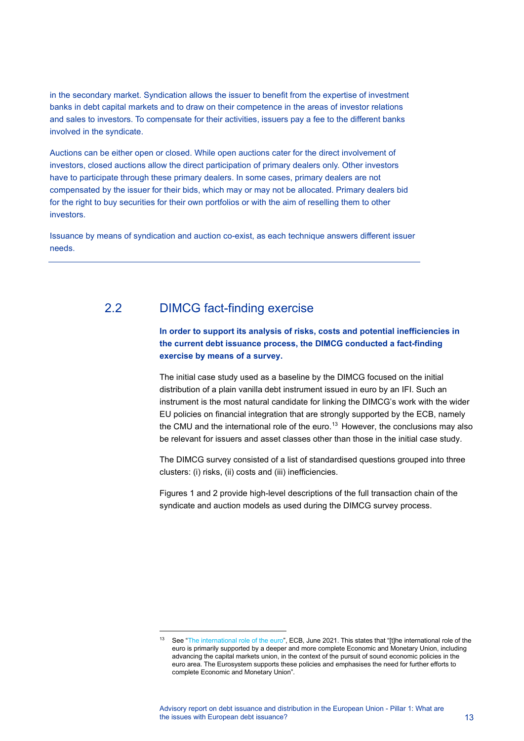in the secondary market. Syndication allows the issuer to benefit from the expertise of investment banks in debt capital markets and to draw on their competence in the areas of investor relations and sales to investors. To compensate for their activities, issuers pay a fee to the different banks involved in the syndicate.

Auctions can be either open or closed. While open auctions cater for the direct involvement of investors, closed auctions allow the direct participation of primary dealers only. Other investors have to participate through these primary dealers. In some cases, primary dealers are not compensated by the issuer for their bids, which may or may not be allocated. Primary dealers bid for the right to buy securities for their own portfolios or with the aim of reselling them to other investors.

Issuance by means of syndication and auction co-exist, as each technique answers different issuer needs.

# 2.2 DIMCG fact-finding exercise

## <span id="page-13-0"></span>**In order to support its analysis of risks, costs and potential inefficiencies in the current debt issuance process, the DIMCG conducted a fact-finding exercise by means of a survey.**

The initial case study used as a baseline by the DIMCG focused on the initial distribution of a plain vanilla debt instrument issued in euro by an IFI. Such an instrument is the most natural candidate for linking the DIMCG's work with the wider EU policies on financial integration that are strongly supported by the ECB, namely the CMU and the international role of the euro.<sup>[13](#page-13-1)</sup> However, the conclusions may also be relevant for issuers and asset classes other than those in the initial case study.

The DIMCG survey consisted of a list of standardised questions grouped into three clusters: (i) risks, (ii) costs and (iii) inefficiencies.

Figures 1 and 2 provide high-level descriptions of the full transaction chain of the syndicate and auction models as used during the DIMCG survey process.

<span id="page-13-1"></span><sup>&</sup>lt;sup>13</sup> See ["The international role of the euro"](https://www.ecb.europa.eu/pub/ire/html/ecb.ire202106%7Ea058f84c61.en.html), ECB, June 2021. This states that "[t]he international role of the euro is primarily supported by a deeper and more complete Economic and Monetary Union, including advancing the capital markets union, in the context of the pursuit of sound economic policies in the euro area. The Eurosystem supports these policies and emphasises the need for further efforts to complete Economic and Monetary Union".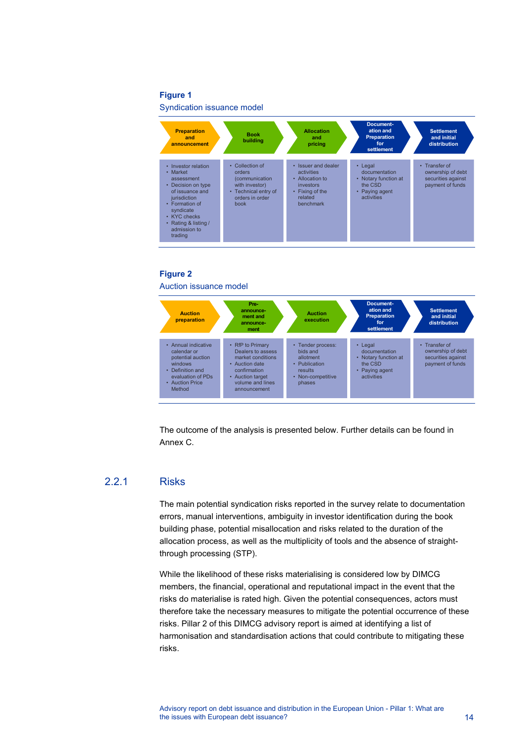#### **Figure 1**

Syndication issuance model



#### **Figure 2** Auction issuance model



The outcome of the analysis is presented below. Further details can be found in Annex C.

#### 2.2.1 Risks

The main potential syndication risks reported in the survey relate to documentation errors, manual interventions, ambiguity in investor identification during the book building phase, potential misallocation and risks related to the duration of the allocation process, as well as the multiplicity of tools and the absence of straightthrough processing (STP).

While the likelihood of these risks materialising is considered low by DIMCG members, the financial, operational and reputational impact in the event that the risks do materialise is rated high. Given the potential consequences, actors must therefore take the necessary measures to mitigate the potential occurrence of these risks. Pillar 2 of this DIMCG advisory report is aimed at identifying a list of harmonisation and standardisation actions that could contribute to mitigating these risks.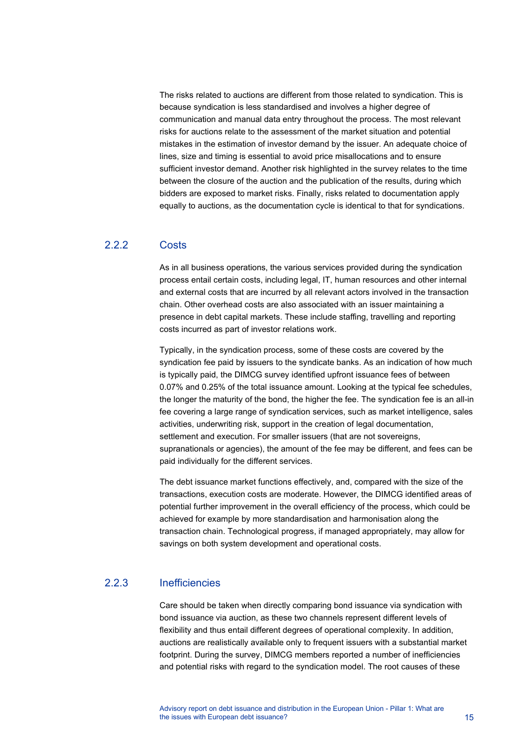The risks related to auctions are different from those related to syndication. This is because syndication is less standardised and involves a higher degree of communication and manual data entry throughout the process. The most relevant risks for auctions relate to the assessment of the market situation and potential mistakes in the estimation of investor demand by the issuer. An adequate choice of lines, size and timing is essential to avoid price misallocations and to ensure sufficient investor demand. Another risk highlighted in the survey relates to the time between the closure of the auction and the publication of the results, during which bidders are exposed to market risks. Finally, risks related to documentation apply equally to auctions, as the documentation cycle is identical to that for syndications.

## 2.2.2 Costs

As in all business operations, the various services provided during the syndication process entail certain costs, including legal, IT, human resources and other internal and external costs that are incurred by all relevant actors involved in the transaction chain. Other overhead costs are also associated with an issuer maintaining a presence in debt capital markets. These include staffing, travelling and reporting costs incurred as part of investor relations work.

Typically, in the syndication process, some of these costs are covered by the syndication fee paid by issuers to the syndicate banks. As an indication of how much is typically paid, the DIMCG survey identified upfront issuance fees of between 0.07% and 0.25% of the total issuance amount. Looking at the typical fee schedules, the longer the maturity of the bond, the higher the fee. The syndication fee is an all-in fee covering a large range of syndication services, such as market intelligence, sales activities, underwriting risk, support in the creation of legal documentation, settlement and execution. For smaller issuers (that are not sovereigns, supranationals or agencies), the amount of the fee may be different, and fees can be paid individually for the different services.

The debt issuance market functions effectively, and, compared with the size of the transactions, execution costs are moderate. However, the DIMCG identified areas of potential further improvement in the overall efficiency of the process, which could be achieved for example by more standardisation and harmonisation along the transaction chain. Technological progress, if managed appropriately, may allow for savings on both system development and operational costs.

## 2.2.3 Inefficiencies

Care should be taken when directly comparing bond issuance via syndication with bond issuance via auction, as these two channels represent different levels of flexibility and thus entail different degrees of operational complexity. In addition, auctions are realistically available only to frequent issuers with a substantial market footprint. During the survey, DIMCG members reported a number of inefficiencies and potential risks with regard to the syndication model. The root causes of these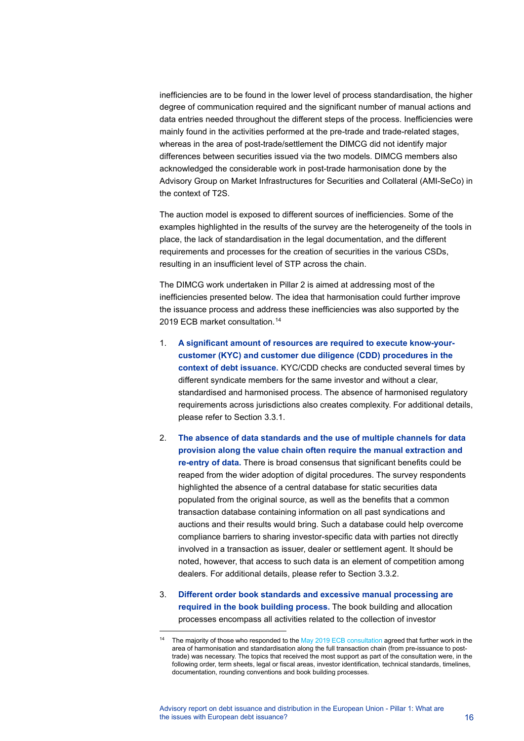inefficiencies are to be found in the lower level of process standardisation, the higher degree of communication required and the significant number of manual actions and data entries needed throughout the different steps of the process. Inefficiencies were mainly found in the activities performed at the pre-trade and trade-related stages, whereas in the area of post-trade/settlement the DIMCG did not identify major differences between securities issued via the two models. DIMCG members also acknowledged the considerable work in post-trade harmonisation done by the Advisory Group on Market Infrastructures for Securities and Collateral (AMI-SeCo) in the context of T2S.

The auction model is exposed to different sources of inefficiencies. Some of the examples highlighted in the results of the survey are the heterogeneity of the tools in place, the lack of standardisation in the legal documentation, and the different requirements and processes for the creation of securities in the various CSDs, resulting in an insufficient level of STP across the chain.

The DIMCG work undertaken in Pillar 2 is aimed at addressing most of the inefficiencies presented below. The idea that harmonisation could further improve the issuance process and address these inefficiencies was also supported by the 2019 ECB market consultation.<sup>[14](#page-16-0)</sup>

- 1. **A significant amount of resources are required to execute know-yourcustomer (KYC) and customer due diligence (CDD) procedures in the context of debt issuance.** KYC/CDD checks are conducted several times by different syndicate members for the same investor and without a clear, standardised and harmonised process. The absence of harmonised regulatory requirements across jurisdictions also creates complexity. For additional details, please refer to Section 3.3.1.
- 2. **The absence of data standards and the use of multiple channels for data provision along the value chain often require the manual extraction and re-entry of data.** There is broad consensus that significant benefits could be reaped from the wider adoption of digital procedures. The survey respondents highlighted the absence of a central database for static securities data populated from the original source, as well as the benefits that a common transaction database containing information on all past syndications and auctions and their results would bring. Such a database could help overcome compliance barriers to sharing investor-specific data with parties not directly involved in a transaction as issuer, dealer or settlement agent. It should be noted, however, that access to such data is an element of competition among dealers. For additional details, please refer to Section 3.3.2.
- 3. **Different order book standards and excessive manual processing are required in the book building process.** The book building and allocation processes encompass all activities related to the collection of investor

<span id="page-16-0"></span>The majority of those who responded to th[e May 2019 ECB consultation](https://www.ecb.europa.eu/paym/pdf/consultations/market_consultation_on_european_distribution_of_debt_securities.en.pdf) agreed that further work in the area of harmonisation and standardisation along the full transaction chain (from pre-issuance to posttrade) was necessary. The topics that received the most support as part of the consultation were, in the following order, term sheets, legal or fiscal areas, investor identification, technical standards, timelines, documentation, rounding conventions and book building processes.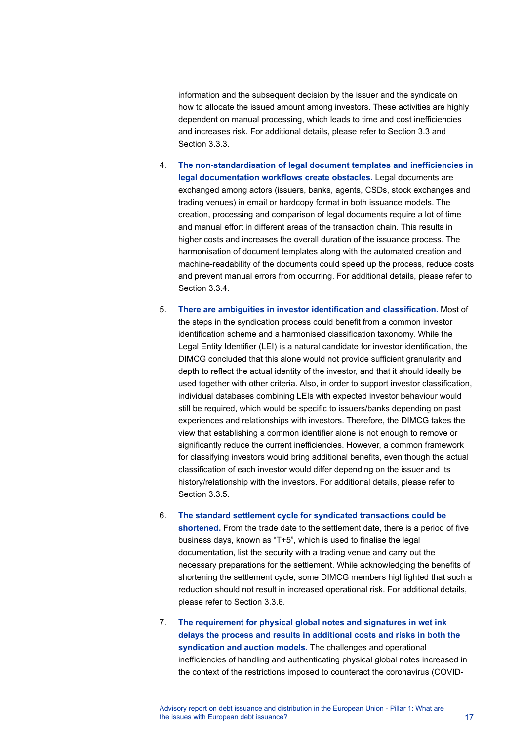information and the subsequent decision by the issuer and the syndicate on how to allocate the issued amount among investors. These activities are highly dependent on manual processing, which leads to time and cost inefficiencies and increases risk. For additional details, please refer to Section 3.3 and Section 3.3.3.

- 4. **The non-standardisation of legal document templates and inefficiencies in legal documentation workflows create obstacles.** Legal documents are exchanged among actors (issuers, banks, agents, CSDs, stock exchanges and trading venues) in email or hardcopy format in both issuance models. The creation, processing and comparison of legal documents require a lot of time and manual effort in different areas of the transaction chain. This results in higher costs and increases the overall duration of the issuance process. The harmonisation of document templates along with the automated creation and machine-readability of the documents could speed up the process, reduce costs and prevent manual errors from occurring. For additional details, please refer to Section 3.3.4.
- 5. **There are ambiguities in investor identification and classification.** Most of the steps in the syndication process could benefit from a common investor identification scheme and a harmonised classification taxonomy. While the Legal Entity Identifier (LEI) is a natural candidate for investor identification, the DIMCG concluded that this alone would not provide sufficient granularity and depth to reflect the actual identity of the investor, and that it should ideally be used together with other criteria. Also, in order to support investor classification, individual databases combining LEIs with expected investor behaviour would still be required, which would be specific to issuers/banks depending on past experiences and relationships with investors. Therefore, the DIMCG takes the view that establishing a common identifier alone is not enough to remove or significantly reduce the current inefficiencies. However, a common framework for classifying investors would bring additional benefits, even though the actual classification of each investor would differ depending on the issuer and its history/relationship with the investors. For additional details, please refer to Section 3.3.5.
- 6. **The standard settlement cycle for syndicated transactions could be shortened.** From the trade date to the settlement date, there is a period of five business days, known as "T+5", which is used to finalise the legal documentation, list the security with a trading venue and carry out the necessary preparations for the settlement. While acknowledging the benefits of shortening the settlement cycle, some DIMCG members highlighted that such a reduction should not result in increased operational risk. For additional details, please refer to Section 3.3.6.
- 7. **The requirement for physical global notes and signatures in wet ink delays the process and results in additional costs and risks in both the syndication and auction models.** The challenges and operational inefficiencies of handling and authenticating physical global notes increased in the context of the restrictions imposed to counteract the coronavirus (COVID-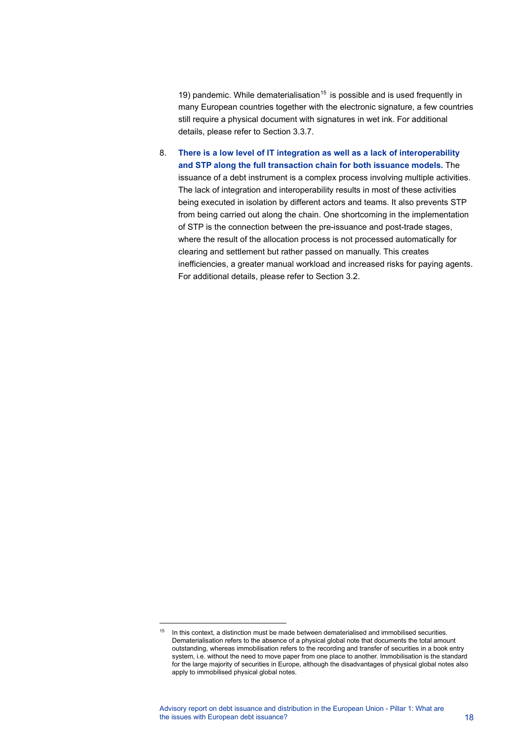19) pandemic. While dematerialisation<sup>[15](#page-18-0)</sup> is possible and is used frequently in many European countries together with the electronic signature, a few countries still require a physical document with signatures in wet ink. For additional details, please refer to Section 3.3.7.

8. **There is a low level of IT integration as well as a lack of interoperability and STP along the full transaction chain for both issuance models.** The issuance of a debt instrument is a complex process involving multiple activities. The lack of integration and interoperability results in most of these activities being executed in isolation by different actors and teams. It also prevents STP from being carried out along the chain. One shortcoming in the implementation of STP is the connection between the pre-issuance and post-trade stages, where the result of the allocation process is not processed automatically for clearing and settlement but rather passed on manually. This creates inefficiencies, a greater manual workload and increased risks for paying agents. For additional details, please refer to Section 3.2.

<span id="page-18-0"></span> $15$  In this context, a distinction must be made between dematerialised and immobilised securities. Dematerialisation refers to the absence of a physical global note that documents the total amount outstanding, whereas immobilisation refers to the recording and transfer of securities in a book entry system, i.e. without the need to move paper from one place to another. Immobilisation is the standard for the large majority of securities in Europe, although the disadvantages of physical global notes also apply to immobilised physical global notes.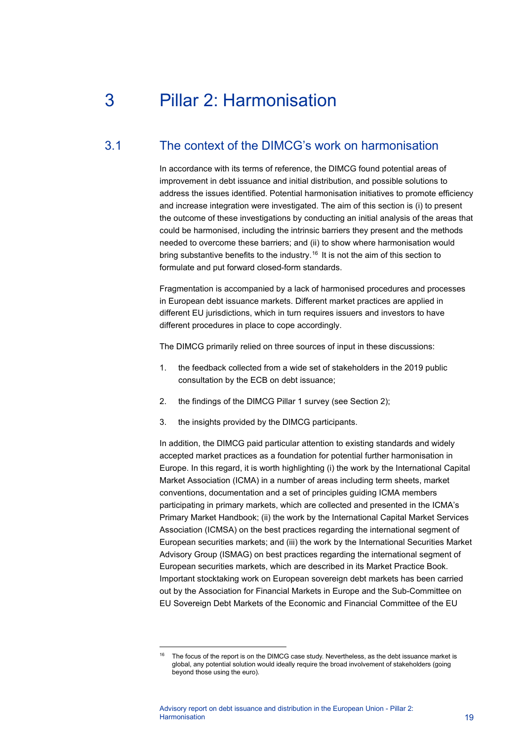# <span id="page-19-0"></span>3 Pillar 2: Harmonisation

# 3.1 The context of the DIMCG's work on harmonisation

<span id="page-19-1"></span>In accordance with its terms of reference, the DIMCG found potential areas of improvement in debt issuance and initial distribution, and possible solutions to address the issues identified. Potential harmonisation initiatives to promote efficiency and increase integration were investigated. The aim of this section is (i) to present the outcome of these investigations by conducting an initial analysis of the areas that could be harmonised, including the intrinsic barriers they present and the methods needed to overcome these barriers; and (ii) to show where harmonisation would bring substantive benefits to the industry.<sup>[16](#page-19-2)</sup> It is not the aim of this section to formulate and put forward closed-form standards.

Fragmentation is accompanied by a lack of harmonised procedures and processes in European debt issuance markets. Different market practices are applied in different EU jurisdictions, which in turn requires issuers and investors to have different procedures in place to cope accordingly.

The DIMCG primarily relied on three sources of input in these discussions:

- 1. the feedback collected from a wide set of stakeholders in the 2019 public consultation by the ECB on debt issuance;
- 2. the findings of the DIMCG Pillar 1 survey (see Section 2);
- 3. the insights provided by the DIMCG participants.

In addition, the DIMCG paid particular attention to existing standards and widely accepted market practices as a foundation for potential further harmonisation in Europe. In this regard, it is worth highlighting (i) the work by the International Capital Market Association (ICMA) in a number of areas including term sheets, market conventions, documentation and a set of principles guiding ICMA members participating in primary markets, which are collected and presented in the ICMA's Primary Market Handbook; (ii) the work by the International Capital Market Services Association (ICMSA) on the best practices regarding the international segment of European securities markets; and (iii) the work by the International Securities Market Advisory Group (ISMAG) on best practices regarding the international segment of European securities markets, which are described in its Market Practice Book. Important stocktaking work on European sovereign debt markets has been carried out by the Association for Financial Markets in Europe and the Sub-Committee on EU Sovereign Debt Markets of the Economic and Financial Committee of the EU

<span id="page-19-2"></span>The focus of the report is on the DIMCG case study. Nevertheless, as the debt issuance market is global, any potential solution would ideally require the broad involvement of stakeholders (going beyond those using the euro).

Advisory report on debt issuance and distribution in the European Union - Pillar 2: **Harmonisation** 19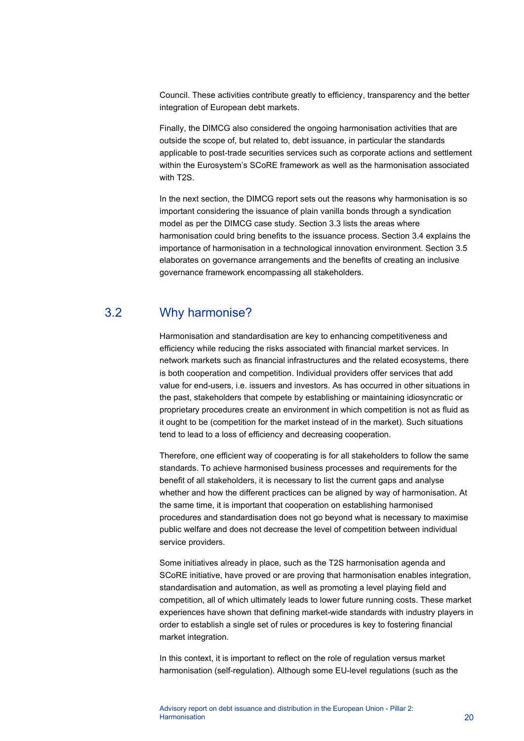Council. These activities contribute greatly to efficiency, transparency and the better integration of European debt markets.

Finally, the DIMCG also considered the ongoing harmonisation activities that are outside the scope of, but related to, debt issuance, in particular the standards applicable to post-trade securities services such as corporate actions and settlement within the Eurosystem's SCoRE framework as well as the harmonisation associated with T2S.

In the next section, the DIMCG report sets out the reasons why harmonisation is so important considering the issuance of plain vanilla bonds through a syndication model as per the DIMCG case study. Section 3.3 lists the areas where harmonisation could bring benefits to the issuance process. Section 3.4 explains the importance of harmonisation in a technological innovation environment. Section 3.5 elaborates on governance arrangements and the benefits of creating an inclusive governance framework encompassing all stakeholders.

# 3.2 Why harmonise?

<span id="page-20-0"></span>Harmonisation and standardisation are key to enhancing competitiveness and efficiency while reducing the risks associated with financial market services. In network markets such as financial infrastructures and the related ecosystems, there is both cooperation and competition. Individual providers offer services that add value for end-users, i.e. issuers and investors. As has occurred in other situations in the past, stakeholders that compete by establishing or maintaining idiosyncratic or proprietary procedures create an environment in which competition is not as fluid as it ought to be (competition for the market instead of in the market). Such situations tend to lead to a loss of efficiency and decreasing cooperation.

Therefore, one efficient way of cooperating is for all stakeholders to follow the same standards. To achieve harmonised business processes and requirements for the benefit of all stakeholders, it is necessary to list the current gaps and analyse whether and how the different practices can be aligned by way of harmonisation. At the same time, it is important that cooperation on establishing harmonised procedures and standardisation does not go beyond what is necessary to maximise public welfare and does not decrease the level of competition between individual service providers.

Some initiatives already in place, such as the T2S harmonisation agenda and SCoRE initiative, have proved or are proving that harmonisation enables integration, standardisation and automation, as well as promoting a level playing field and competition, all of which ultimately leads to lower future running costs. These market experiences have shown that defining market-wide standards with industry players in order to establish a single set of rules or procedures is key to fostering financial market integration.

In this context, it is important to reflect on the role of regulation versus market harmonisation (self-regulation). Although some EU-level regulations (such as the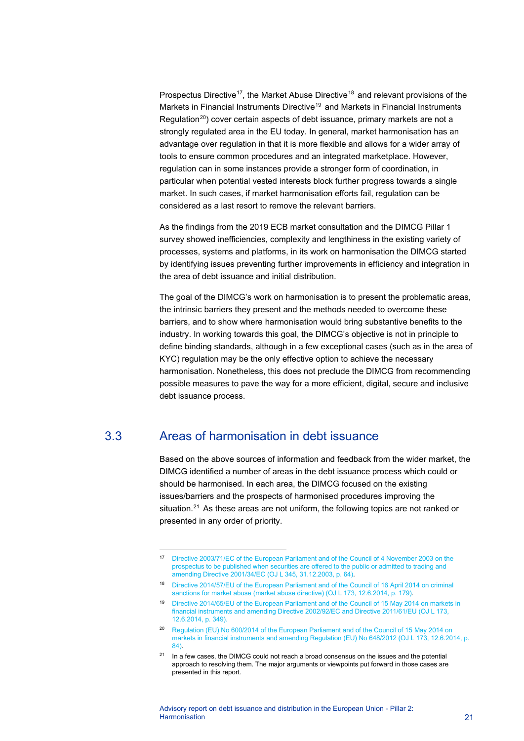Prospectus Directive<sup>17</sup>, the Market Abuse Directive<sup>[18](#page-21-2)</sup> and relevant provisions of the Markets in Financial Instruments Directive<sup>[19](#page-21-3)</sup> and Markets in Financial Instruments Regulation<sup>[20](#page-21-4)</sup>) cover certain aspects of debt issuance, primary markets are not a strongly regulated area in the EU today. In general, market harmonisation has an advantage over regulation in that it is more flexible and allows for a wider array of tools to ensure common procedures and an integrated marketplace. However, regulation can in some instances provide a stronger form of coordination, in particular when potential vested interests block further progress towards a single market. In such cases, if market harmonisation efforts fail, regulation can be considered as a last resort to remove the relevant barriers.

As the findings from the 2019 ECB market consultation and the DIMCG Pillar 1 survey showed inefficiencies, complexity and lengthiness in the existing variety of processes, systems and platforms, in its work on harmonisation the DIMCG started by identifying issues preventing further improvements in efficiency and integration in the area of debt issuance and initial distribution.

The goal of the DIMCG's work on harmonisation is to present the problematic areas, the intrinsic barriers they present and the methods needed to overcome these barriers, and to show where harmonisation would bring substantive benefits to the industry. In working towards this goal, the DIMCG's objective is not in principle to define binding standards, although in a few exceptional cases (such as in the area of KYC) regulation may be the only effective option to achieve the necessary harmonisation. Nonetheless, this does not preclude the DIMCG from recommending possible measures to pave the way for a more efficient, digital, secure and inclusive debt issuance process.

# 3.3 Areas of harmonisation in debt issuance

<span id="page-21-0"></span>Based on the above sources of information and feedback from the wider market, the DIMCG identified a number of areas in the debt issuance process which could or should be harmonised. In each area, the DIMCG focused on the existing issues/barriers and the prospects of harmonised procedures improving the situation.<sup>[21](#page-21-5)</sup> As these areas are not uniform, the following topics are not ranked or presented in any order of priority.

<span id="page-21-1"></span><sup>17</sup> [Directive 2003/71/EC of the European Parliament and of the Council of 4 November 2003 on the](https://eur-lex.europa.eu/legal-content/EN/TXT/?uri=celex%3A32003L0071)  [prospectus to be published when securities are offered to the public or admitted to trading and](https://eur-lex.europa.eu/legal-content/EN/TXT/?uri=celex%3A32003L0071)  [amending Directive 2001/34/EC](https://eur-lex.europa.eu/legal-content/EN/TXT/?uri=celex%3A32003L0071) (OJ L 345, 31.12.2003, p. 64).

<span id="page-21-2"></span><sup>18</sup> [Directive 2014/57/EU of the European Parliament and of the Council of 16](https://eur-lex.europa.eu/legal-content/EN/TXT/?uri=CELEX%3A32014L0057) April 2014 on criminal [sanctions for market abuse \(market abuse directive\)](https://eur-lex.europa.eu/legal-content/EN/TXT/?uri=CELEX%3A32014L0057) (OJ L 173, 12.6.2014, p. 179).

<span id="page-21-3"></span><sup>19</sup> [Directive 2014/65/EU of the European Parliament and of the Council of 15](https://eur-lex.europa.eu/legal-content/EN/TXT/?uri=celex%3A32014L0065) May 2014 on markets in financial [instruments and amending Directive 2002/92/EC and Directive 2011/61/EU \(OJ L 173,](https://eur-lex.europa.eu/legal-content/EN/TXT/?uri=celex%3A32014L0065)  [12.6.2014, p. 349\).](https://eur-lex.europa.eu/legal-content/EN/TXT/?uri=celex%3A32014L0065)

<span id="page-21-4"></span><sup>&</sup>lt;sup>20</sup> Regulation (EU) No [600/2014 of the European Parliament and of the Council of 15](https://eur-lex.europa.eu/legal-content/EN/TXT/?uri=CELEX%3A32014R0600) May 2014 on [markets in financial instruments and amending Regulation \(EU\) No](https://eur-lex.europa.eu/legal-content/EN/TXT/?uri=CELEX%3A32014R0600) 648/2012 (OJ L 173, 12.6.2014, p. [84\).](https://eur-lex.europa.eu/legal-content/EN/TXT/?uri=CELEX%3A32014R0600)

<span id="page-21-5"></span> $21$  In a few cases, the DIMCG could not reach a broad consensus on the issues and the potential approach to resolving them. The major arguments or viewpoints put forward in those cases are presented in this report.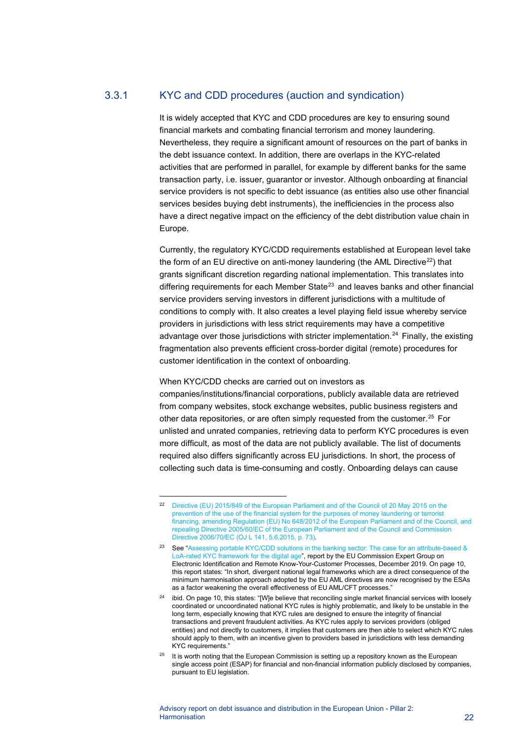## 3.3.1 KYC and CDD procedures (auction and syndication)

It is widely accepted that KYC and CDD procedures are key to ensuring sound financial markets and combating financial terrorism and money laundering. Nevertheless, they require a significant amount of resources on the part of banks in the debt issuance context. In addition, there are overlaps in the KYC-related activities that are performed in parallel, for example by different banks for the same transaction party, i.e. issuer, guarantor or investor. Although onboarding at financial service providers is not specific to debt issuance (as entities also use other financial services besides buying debt instruments), the inefficiencies in the process also have a direct negative impact on the efficiency of the debt distribution value chain in Europe.

Currently, the regulatory KYC/CDD requirements established at European level take the form of an EU directive on anti-money laundering (the AML Directive $^{22}$ ) that grants significant discretion regarding national implementation. This translates into differing requirements for each Member State<sup>[23](#page-22-1)</sup> and leaves banks and other financial service providers serving investors in different jurisdictions with a multitude of conditions to comply with. It also creates a level playing field issue whereby service providers in jurisdictions with less strict requirements may have a competitive advantage over those jurisdictions with stricter implementation.<sup>[24](#page-22-2)</sup> Finally, the existing fragmentation also prevents efficient cross-border digital (remote) procedures for customer identification in the context of onboarding.

#### When KYC/CDD checks are carried out on investors as

companies/institutions/financial corporations, publicly available data are retrieved from company websites, stock exchange websites, public business registers and other data repositories, or are often simply requested from the customer.<sup>[25](#page-22-3)</sup> For unlisted and unrated companies, retrieving data to perform KYC procedures is even more difficult, as most of the data are not publicly available. The list of documents required also differs significantly across EU jurisdictions. In short, the process of collecting such data is time-consuming and costly. Onboarding delays can cause

<span id="page-22-0"></span><sup>22</sup> [Directive \(EU\) 2015/849 of the European Parliament and of the Council of 20 May 2015 on the](https://eur-lex.europa.eu/legal-content/EN/TXT/HTML/?uri=CELEX:32015L0849&from=EN)  [prevention of the use of the financial system for the purposes of money laundering or terrorist](https://eur-lex.europa.eu/legal-content/EN/TXT/HTML/?uri=CELEX:32015L0849&from=EN)  [financing, amending Regulation \(EU\) No 648/2012 of the European Parliament and of the Council, and](https://eur-lex.europa.eu/legal-content/EN/TXT/HTML/?uri=CELEX:32015L0849&from=EN)  [repealing Directive 2005/60/EC of the European Parliament and of the Council and Commission](https://eur-lex.europa.eu/legal-content/EN/TXT/HTML/?uri=CELEX:32015L0849&from=EN)  [Directive 2006/70/EC \(OJ L 141, 5.6.2015, p. 73\).](https://eur-lex.europa.eu/legal-content/EN/TXT/HTML/?uri=CELEX:32015L0849&from=EN)

<span id="page-22-1"></span><sup>23</sup> See "Assessing portable KYC/CDD solutions in the banking sector: The case for an attribute-based & [LoA-rated KYC framework for the digital age"](https://ec.europa.eu/info/sites/default/files/business_economy_euro/banking_and_finance/documents/assessing-portable-kyc-cdd-solutions-in-the-banking-sector-december2019_en.pdf), report by the EU Commission Expert Group on Electronic Identification and Remote Know-Your-Customer Processes, December 2019. On page 10, this report states: "In short, divergent national legal frameworks which are a direct consequence of the minimum harmonisation approach adopted by the EU AML directives are now recognised by the ESAs as a factor weakening the overall effectiveness of EU AML/CFT processes."

<span id="page-22-2"></span> $24$  ibid. On page 10, this states: "[W]e believe that reconciling single market financial services with loosely coordinated or uncoordinated national KYC rules is highly problematic, and likely to be unstable in the long term, especially knowing that KYC rules are designed to ensure the integrity of financial transactions and prevent fraudulent activities. As KYC rules apply to services providers (obliged entities) and not directly to customers, it implies that customers are then able to select which KYC rules should apply to them, with an incentive given to providers based in jurisdictions with less demanding KYC requirements."

<span id="page-22-3"></span> $25$  It is worth noting that the European Commission is setting up a repository known as the European single access point (ESAP) for financial and non-financial information publicly disclosed by companies, pursuant to EU legislation.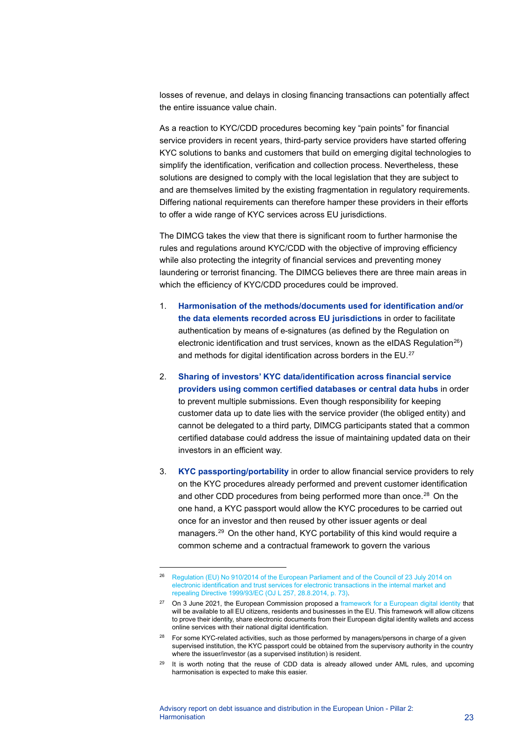losses of revenue, and delays in closing financing transactions can potentially affect the entire issuance value chain.

As a reaction to KYC/CDD procedures becoming key "pain points" for financial service providers in recent years, third-party service providers have started offering KYC solutions to banks and customers that build on emerging digital technologies to simplify the identification, verification and collection process. Nevertheless, these solutions are designed to comply with the local legislation that they are subject to and are themselves limited by the existing fragmentation in regulatory requirements. Differing national requirements can therefore hamper these providers in their efforts to offer a wide range of KYC services across EU jurisdictions.

The DIMCG takes the view that there is significant room to further harmonise the rules and regulations around KYC/CDD with the objective of improving efficiency while also protecting the integrity of financial services and preventing money laundering or terrorist financing. The DIMCG believes there are three main areas in which the efficiency of KYC/CDD procedures could be improved.

- 1. **Harmonisation of the methods/documents used for identification and/or the data elements recorded across EU jurisdictions** in order to facilitate authentication by means of e-signatures (as defined by the Regulation on electronic identification and trust services, known as the eIDAS Regulation<sup>26</sup>) and methods for digital identification across borders in the EU. $^\mathrm{27}$  $^\mathrm{27}$  $^\mathrm{27}$
- 2. **Sharing of investors' KYC data/identification across financial service providers using common certified databases or central data hubs** in order to prevent multiple submissions. Even though responsibility for keeping customer data up to date lies with the service provider (the obliged entity) and cannot be delegated to a third party, DIMCG participants stated that a common certified database could address the issue of maintaining updated data on their investors in an efficient way.
- 3. **KYC passporting/portability** in order to allow financial service providers to rely on the KYC procedures already performed and prevent customer identification and other CDD procedures from being performed more than once.<sup>[28](#page-23-2)</sup> On the one hand, a KYC passport would allow the KYC procedures to be carried out once for an investor and then reused by other issuer agents or deal managers. [29](#page-23-3) On the other hand, KYC portability of this kind would require a common scheme and a contractual framework to govern the various

<span id="page-23-0"></span><sup>26</sup> Regulation (EU) No [910/2014 of the European Parliament and of the Council of 23](https://eur-lex.europa.eu/legal-content/EN/TXT/?uri=uriserv%3AOJ.L_.2014.257.01.0073.01.ENG) July 2014 on [electronic identification and trust services for electronic transactions in the internal market and](https://eur-lex.europa.eu/legal-content/EN/TXT/?uri=uriserv%3AOJ.L_.2014.257.01.0073.01.ENG)  [repealing Directive 1999/93/EC \(OJ L 257, 28.8.2014, p. 73\).](https://eur-lex.europa.eu/legal-content/EN/TXT/?uri=uriserv%3AOJ.L_.2014.257.01.0073.01.ENG)

<span id="page-23-1"></span><sup>&</sup>lt;sup>27</sup> On 3 June 2021, the European Commission proposed a framework [for a European digital identity](https://ec.europa.eu/commission/presscorner/detail/en/IP_21_2663) that will be available to all EU citizens, residents and businesses in the EU. This framework will allow citizens to prove their identity, share electronic documents from their European digital identity wallets and access online services with their national digital identification.

<span id="page-23-2"></span><sup>&</sup>lt;sup>28</sup> For some KYC-related activities, such as those performed by managers/persons in charge of a given supervised institution, the KYC passport could be obtained from the supervisory authority in the country where the issuer/investor (as a supervised institution) is resident.

<span id="page-23-3"></span><sup>&</sup>lt;sup>29</sup> It is worth noting that the reuse of CDD data is already allowed under AML rules, and upcoming harmonisation is expected to make this easier.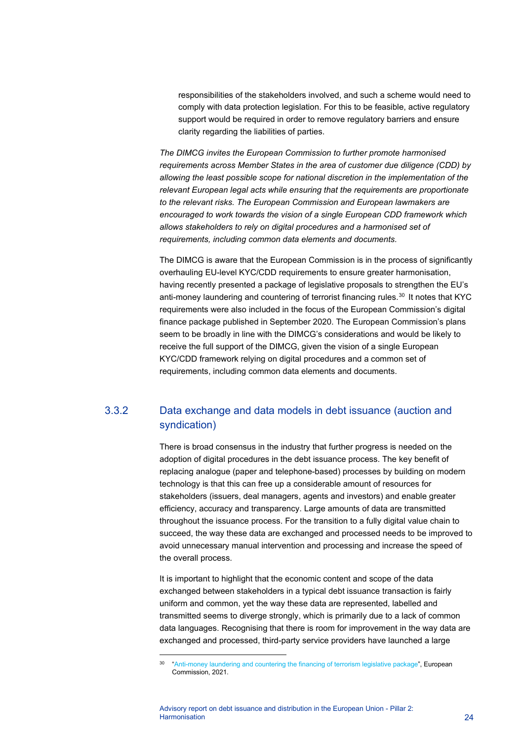responsibilities of the stakeholders involved, and such a scheme would need to comply with data protection legislation. For this to be feasible, active regulatory support would be required in order to remove regulatory barriers and ensure clarity regarding the liabilities of parties.

*The DIMCG invites the European Commission to further promote harmonised requirements across Member States in the area of customer due diligence (CDD) by allowing the least possible scope for national discretion in the implementation of the relevant European legal acts while ensuring that the requirements are proportionate to the relevant risks. The European Commission and European lawmakers are encouraged to work towards the vision of a single European CDD framework which allows stakeholders to rely on digital procedures and a harmonised set of requirements, including common data elements and documents.*

The DIMCG is aware that the European Commission is in the process of significantly overhauling EU-level KYC/CDD requirements to ensure greater harmonisation, having recently presented a package of legislative proposals to strengthen the EU's anti-money laundering and countering of terrorist financing rules.<sup>[30](#page-24-0)</sup> It notes that KYC requirements were also included in the focus of the European Commission's digital finance package published in September 2020. The European Commission's plans seem to be broadly in line with the DIMCG's considerations and would be likely to receive the full support of the DIMCG, given the vision of a single European KYC/CDD framework relying on digital procedures and a common set of requirements, including common data elements and documents.

# 3.3.2 Data exchange and data models in debt issuance (auction and syndication)

There is broad consensus in the industry that further progress is needed on the adoption of digital procedures in the debt issuance process. The key benefit of replacing analogue (paper and telephone-based) processes by building on modern technology is that this can free up a considerable amount of resources for stakeholders (issuers, deal managers, agents and investors) and enable greater efficiency, accuracy and transparency. Large amounts of data are transmitted throughout the issuance process. For the transition to a fully digital value chain to succeed, the way these data are exchanged and processed needs to be improved to avoid unnecessary manual intervention and processing and increase the speed of the overall process.

It is important to highlight that the economic content and scope of the data exchanged between stakeholders in a typical debt issuance transaction is fairly uniform and common, yet the way these data are represented, labelled and transmitted seems to diverge strongly, which is primarily due to a lack of common data languages. Recognising that there is room for improvement in the way data are exchanged and processed, third-party service providers have launched a large

<span id="page-24-0"></span><sup>&</sup>lt;sup>30</sup> ["Anti-money laundering and countering the financing of terrorism legislative package"](https://ec.europa.eu/info/publications/210720-anti-money-laundering-countering-financing-terrorism_en), European Commission, 2021.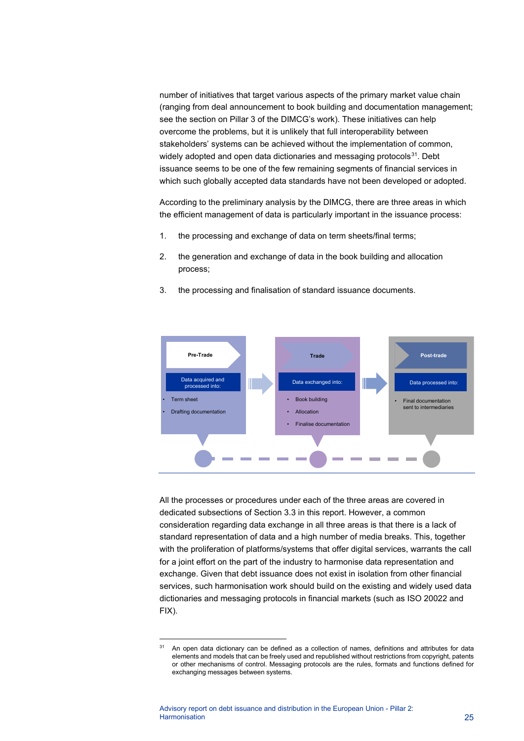number of initiatives that target various aspects of the primary market value chain (ranging from deal announcement to book building and documentation management; see the section on Pillar 3 of the DIMCG's work). These initiatives can help overcome the problems, but it is unlikely that full interoperability between stakeholders' systems can be achieved without the implementation of common, widely adopted and open data dictionaries and messaging protocols<sup>[31](#page-25-0)</sup>. Debt issuance seems to be one of the few remaining segments of financial services in which such globally accepted data standards have not been developed or adopted.

According to the preliminary analysis by the DIMCG, there are three areas in which the efficient management of data is particularly important in the issuance process:

- 1. the processing and exchange of data on term sheets/final terms;
- 2. the generation and exchange of data in the book building and allocation process;
- 3. the processing and finalisation of standard issuance documents.



All the processes or procedures under each of the three areas are covered in dedicated subsections of Section 3.3 in this report. However, a common consideration regarding data exchange in all three areas is that there is a lack of standard representation of data and a high number of media breaks. This, together with the proliferation of platforms/systems that offer digital services, warrants the call for a joint effort on the part of the industry to harmonise data representation and exchange. Given that debt issuance does not exist in isolation from other financial services, such harmonisation work should build on the existing and widely used data dictionaries and messaging protocols in financial markets (such as ISO 20022 and FIX).

<span id="page-25-0"></span><sup>31</sup> An open data dictionary can be defined as a collection of names, definitions and attributes for data elements and models that can be freely used and republished without restrictions from copyright, patents or other mechanisms of control. Messaging protocols are the rules, formats and functions defined for exchanging messages between systems.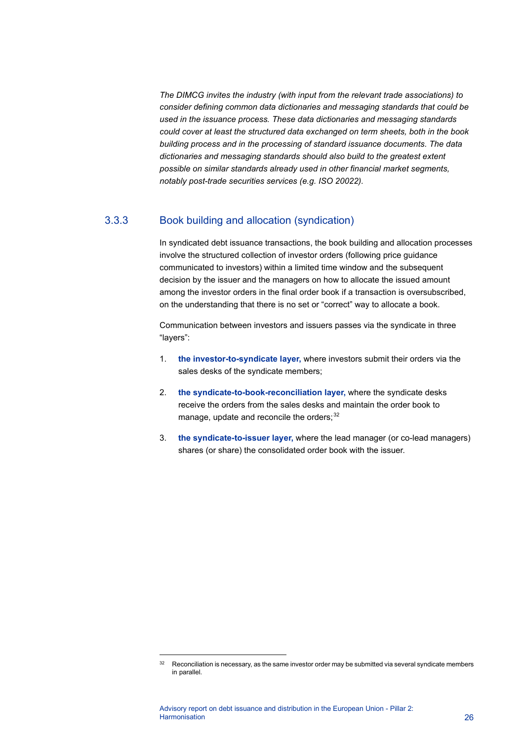*The DIMCG invites the industry (with input from the relevant trade associations) to consider defining common data dictionaries and messaging standards that could be used in the issuance process. These data dictionaries and messaging standards could cover at least the structured data exchanged on term sheets, both in the book building process and in the processing of standard issuance documents. The data dictionaries and messaging standards should also build to the greatest extent possible on similar standards already used in other financial market segments, notably post-trade securities services (e.g. ISO 20022).*

## 3.3.3 Book building and allocation (syndication)

In syndicated debt issuance transactions, the book building and allocation processes involve the structured collection of investor orders (following price guidance communicated to investors) within a limited time window and the subsequent decision by the issuer and the managers on how to allocate the issued amount among the investor orders in the final order book if a transaction is oversubscribed, on the understanding that there is no set or "correct" way to allocate a book.

Communication between investors and issuers passes via the syndicate in three "layers":

- 1. **the investor-to-syndicate layer,** where investors submit their orders via the sales desks of the syndicate members;
- 2. **the syndicate-to-book-reconciliation layer,** where the syndicate desks receive the orders from the sales desks and maintain the order book to manage, update and reconcile the orders;<sup>[32](#page-26-0)</sup>
- 3. **the syndicate-to-issuer layer,** where the lead manager (or co-lead managers) shares (or share) the consolidated order book with the issuer.

<span id="page-26-0"></span> $32$  Reconciliation is necessary, as the same investor order may be submitted via several syndicate members in parallel.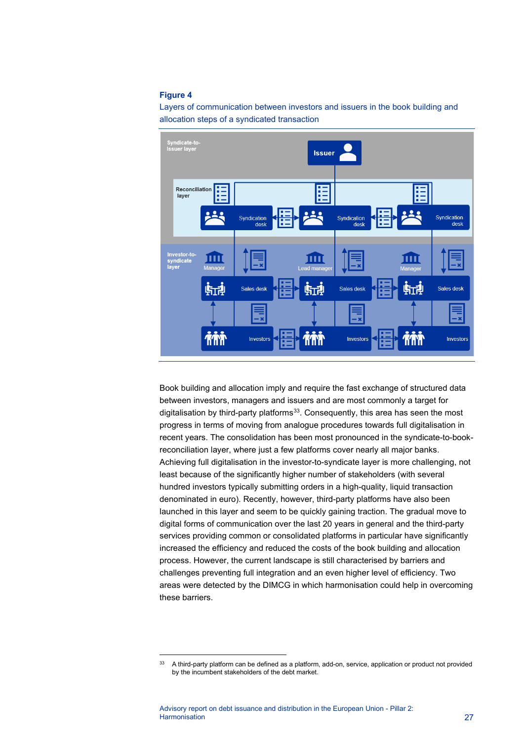#### **Figure 4**





Book building and allocation imply and require the fast exchange of structured data between investors, managers and issuers and are most commonly a target for digitalisation by third-party platforms $33$ . Consequently, this area has seen the most progress in terms of moving from analogue procedures towards full digitalisation in recent years. The consolidation has been most pronounced in the syndicate-to-bookreconciliation layer, where just a few platforms cover nearly all major banks. Achieving full digitalisation in the investor-to-syndicate layer is more challenging, not least because of the significantly higher number of stakeholders (with several hundred investors typically submitting orders in a high-quality, liquid transaction denominated in euro). Recently, however, third-party platforms have also been launched in this layer and seem to be quickly gaining traction. The gradual move to digital forms of communication over the last 20 years in general and the third-party services providing common or consolidated platforms in particular have significantly increased the efficiency and reduced the costs of the book building and allocation process. However, the current landscape is still characterised by barriers and challenges preventing full integration and an even higher level of efficiency. Two areas were detected by the DIMCG in which harmonisation could help in overcoming these barriers.

<span id="page-27-0"></span><sup>&</sup>lt;sup>33</sup> A third-party platform can be defined as a platform, add-on, service, application or product not provided by the incumbent stakeholders of the debt market.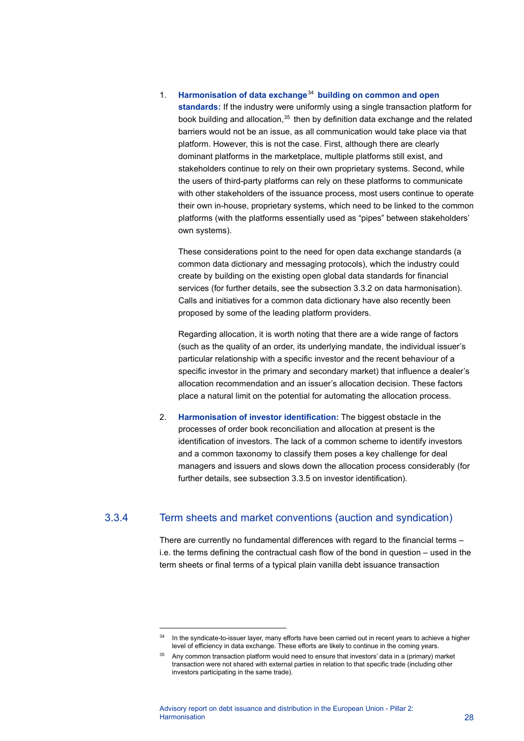#### 1. **Harmonisation of data exchange**[34](#page-28-0) **building on common and open**

**standards:** If the industry were uniformly using a single transaction platform for book building and allocation,<sup>[35](#page-28-1)</sup> then by definition data exchange and the related barriers would not be an issue, as all communication would take place via that platform. However, this is not the case. First, although there are clearly dominant platforms in the marketplace, multiple platforms still exist, and stakeholders continue to rely on their own proprietary systems. Second, while the users of third-party platforms can rely on these platforms to communicate with other stakeholders of the issuance process, most users continue to operate their own in-house, proprietary systems, which need to be linked to the common platforms (with the platforms essentially used as "pipes" between stakeholders' own systems).

These considerations point to the need for open data exchange standards (a common data dictionary and messaging protocols), which the industry could create by building on the existing open global data standards for financial services (for further details, see the subsection 3.3.2 on data harmonisation). Calls and initiatives for a common data dictionary have also recently been proposed by some of the leading platform providers.

Regarding allocation, it is worth noting that there are a wide range of factors (such as the quality of an order, its underlying mandate, the individual issuer's particular relationship with a specific investor and the recent behaviour of a specific investor in the primary and secondary market) that influence a dealer's allocation recommendation and an issuer's allocation decision. These factors place a natural limit on the potential for automating the allocation process.

2. **Harmonisation of investor identification:** The biggest obstacle in the processes of order book reconciliation and allocation at present is the identification of investors. The lack of a common scheme to identify investors and a common taxonomy to classify them poses a key challenge for deal managers and issuers and slows down the allocation process considerably (for further details, see subsection 3.3.5 on investor identification).

## 3.3.4 Term sheets and market conventions (auction and syndication)

There are currently no fundamental differences with regard to the financial terms – i.e. the terms defining the contractual cash flow of the bond in question – used in the term sheets or final terms of a typical plain vanilla debt issuance transaction

<span id="page-28-0"></span> $34$  In the syndicate-to-issuer layer, many efforts have been carried out in recent years to achieve a higher level of efficiency in data exchange. These efforts are likely to continue in the coming years.

<span id="page-28-1"></span><sup>&</sup>lt;sup>35</sup> Any common transaction platform would need to ensure that investors' data in a (primary) market transaction were not shared with external parties in relation to that specific trade (including other investors participating in the same trade).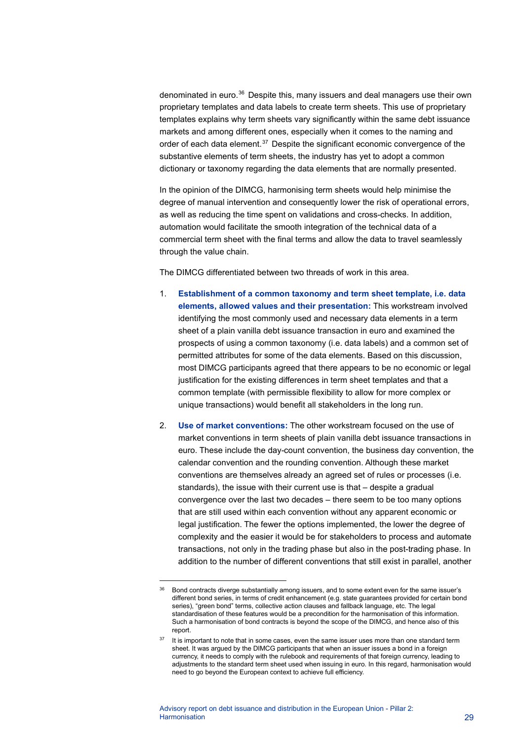denominated in euro. $36$  Despite this, many issuers and deal managers use their own proprietary templates and data labels to create term sheets. This use of proprietary templates explains why term sheets vary significantly within the same debt issuance markets and among different ones, especially when it comes to the naming and order of each data element.<sup>[37](#page-29-1)</sup> Despite the significant economic convergence of the substantive elements of term sheets, the industry has yet to adopt a common dictionary or taxonomy regarding the data elements that are normally presented.

In the opinion of the DIMCG, harmonising term sheets would help minimise the degree of manual intervention and consequently lower the risk of operational errors, as well as reducing the time spent on validations and cross-checks. In addition, automation would facilitate the smooth integration of the technical data of a commercial term sheet with the final terms and allow the data to travel seamlessly through the value chain.

The DIMCG differentiated between two threads of work in this area.

- 1. **Establishment of a common taxonomy and term sheet template, i.e. data elements, allowed values and their presentation:** This workstream involved identifying the most commonly used and necessary data elements in a term sheet of a plain vanilla debt issuance transaction in euro and examined the prospects of using a common taxonomy (i.e. data labels) and a common set of permitted attributes for some of the data elements. Based on this discussion, most DIMCG participants agreed that there appears to be no economic or legal justification for the existing differences in term sheet templates and that a common template (with permissible flexibility to allow for more complex or unique transactions) would benefit all stakeholders in the long run.
- 2. **Use of market conventions:** The other workstream focused on the use of market conventions in term sheets of plain vanilla debt issuance transactions in euro. These include the day-count convention, the business day convention, the calendar convention and the rounding convention. Although these market conventions are themselves already an agreed set of rules or processes (i.e. standards), the issue with their current use is that – despite a gradual convergence over the last two decades – there seem to be too many options that are still used within each convention without any apparent economic or legal justification. The fewer the options implemented, the lower the degree of complexity and the easier it would be for stakeholders to process and automate transactions, not only in the trading phase but also in the post-trading phase. In addition to the number of different conventions that still exist in parallel, another

<span id="page-29-0"></span><sup>&</sup>lt;sup>36</sup> Bond contracts diverge substantially among issuers, and to some extent even for the same issuer's different bond series, in terms of credit enhancement (e.g. state guarantees provided for certain bond series), "green bond" terms, collective action clauses and fallback language, etc. The legal standardisation of these features would be a precondition for the harmonisation of this information. Such a harmonisation of bond contracts is beyond the scope of the DIMCG, and hence also of this report.

<span id="page-29-1"></span> $37$  It is important to note that in some cases, even the same issuer uses more than one standard term sheet. It was argued by the DIMCG participants that when an issuer issues a bond in a foreign currency, it needs to comply with the rulebook and requirements of that foreign currency, leading to adjustments to the standard term sheet used when issuing in euro. In this regard, harmonisation would need to go beyond the European context to achieve full efficiency.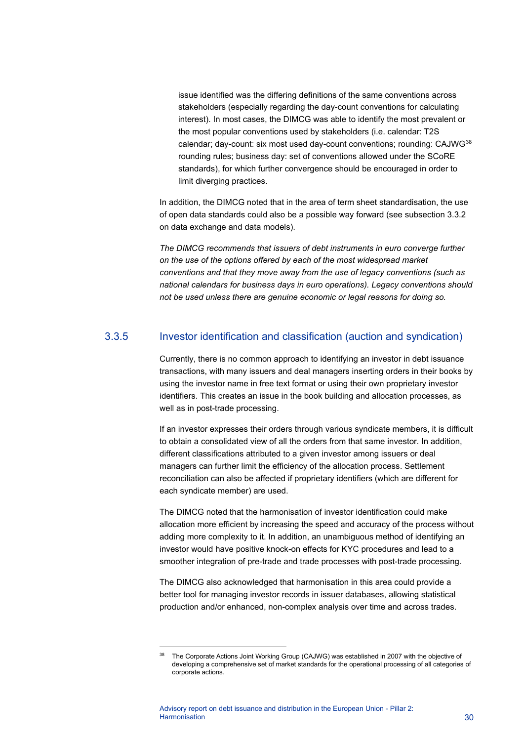issue identified was the differing definitions of the same conventions across stakeholders (especially regarding the day-count conventions for calculating interest). In most cases, the DIMCG was able to identify the most prevalent or the most popular conventions used by stakeholders (i.e. calendar: T2S calendar; day-count: six most used day-count conventions; rounding: CAJWG<sup>[38](#page-30-0)</sup> rounding rules; business day: set of conventions allowed under the SCoRE standards), for which further convergence should be encouraged in order to limit diverging practices.

In addition, the DIMCG noted that in the area of term sheet standardisation, the use of open data standards could also be a possible way forward (see subsection 3.3.2 on data exchange and data models).

*The DIMCG recommends that issuers of debt instruments in euro converge further on the use of the options offered by each of the most widespread market conventions and that they move away from the use of legacy conventions (such as national calendars for business days in euro operations). Legacy conventions should not be used unless there are genuine economic or legal reasons for doing so.*

## 3.3.5 Investor identification and classification (auction and syndication)

Currently, there is no common approach to identifying an investor in debt issuance transactions, with many issuers and deal managers inserting orders in their books by using the investor name in free text format or using their own proprietary investor identifiers. This creates an issue in the book building and allocation processes, as well as in post-trade processing.

If an investor expresses their orders through various syndicate members, it is difficult to obtain a consolidated view of all the orders from that same investor. In addition, different classifications attributed to a given investor among issuers or deal managers can further limit the efficiency of the allocation process. Settlement reconciliation can also be affected if proprietary identifiers (which are different for each syndicate member) are used.

The DIMCG noted that the harmonisation of investor identification could make allocation more efficient by increasing the speed and accuracy of the process without adding more complexity to it. In addition, an unambiguous method of identifying an investor would have positive knock-on effects for KYC procedures and lead to a smoother integration of pre-trade and trade processes with post-trade processing.

The DIMCG also acknowledged that harmonisation in this area could provide a better tool for managing investor records in issuer databases, allowing statistical production and/or enhanced, non-complex analysis over time and across trades.

<span id="page-30-0"></span>The Corporate Actions Joint Working Group (CAJWG) was established in 2007 with the objective of developing a comprehensive set of market standards for the operational processing of all categories of corporate actions.

Advisory report on debt issuance and distribution in the European Union - Pillar 2: Harmonisation 30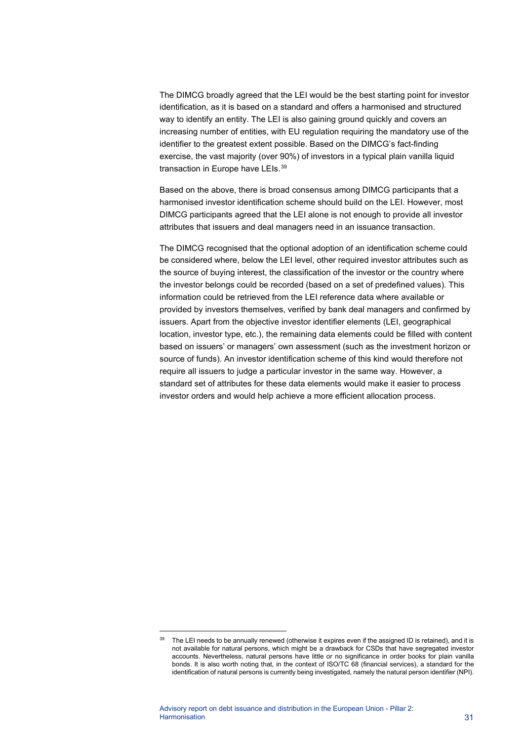The DIMCG broadly agreed that the LEI would be the best starting point for investor identification, as it is based on a standard and offers a harmonised and structured way to identify an entity. The LEI is also gaining ground quickly and covers an increasing number of entities, with EU regulation requiring the mandatory use of the identifier to the greatest extent possible. Based on the DIMCG's fact-finding exercise, the vast majority (over 90%) of investors in a typical plain vanilla liquid transaction in Europe have LEIs.<sup>[39](#page-31-0)</sup>

Based on the above, there is broad consensus among DIMCG participants that a harmonised investor identification scheme should build on the LEI. However, most DIMCG participants agreed that the LEI alone is not enough to provide all investor attributes that issuers and deal managers need in an issuance transaction.

The DIMCG recognised that the optional adoption of an identification scheme could be considered where, below the LEI level, other required investor attributes such as the source of buying interest, the classification of the investor or the country where the investor belongs could be recorded (based on a set of predefined values). This information could be retrieved from the LEI reference data where available or provided by investors themselves, verified by bank deal managers and confirmed by issuers. Apart from the objective investor identifier elements (LEI, geographical location, investor type, etc.), the remaining data elements could be filled with content based on issuers' or managers' own assessment (such as the investment horizon or source of funds). An investor identification scheme of this kind would therefore not require all issuers to judge a particular investor in the same way. However, a standard set of attributes for these data elements would make it easier to process investor orders and would help achieve a more efficient allocation process.

<span id="page-31-0"></span><sup>&</sup>lt;sup>39</sup> The LEI needs to be annually renewed (otherwise it expires even if the assigned ID is retained), and it is not available for natural persons, which might be a drawback for CSDs that have segregated investor accounts. Nevertheless, natural persons have little or no significance in order books for plain vanilla bonds. It is also worth noting that, in the context of ISO/TC 68 (financial services), a standard for the identification of natural persons is currently being investigated, namely the natural person identifier (NPI).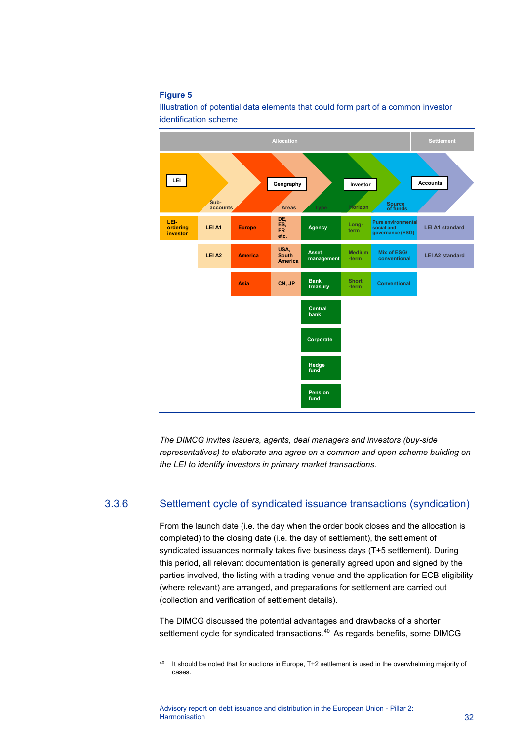#### **Figure 5**

Illustration of potential data elements that could form part of a common investor identification scheme



*The DIMCG invites issuers, agents, deal managers and investors (buy-side representatives) to elaborate and agree on a common and open scheme building on the LEI to identify investors in primary market transactions.*

## 3.3.6 Settlement cycle of syndicated issuance transactions (syndication)

From the launch date (i.e. the day when the order book closes and the allocation is completed) to the closing date (i.e. the day of settlement), the settlement of syndicated issuances normally takes five business days (T+5 settlement). During this period, all relevant documentation is generally agreed upon and signed by the parties involved, the listing with a trading venue and the application for ECB eligibility (where relevant) are arranged, and preparations for settlement are carried out (collection and verification of settlement details).

The DIMCG discussed the potential advantages and drawbacks of a shorter settlement cycle for syndicated transactions.<sup>[40](#page-32-0)</sup> As regards benefits, some DIMCG

<span id="page-32-0"></span><sup>&</sup>lt;sup>40</sup> It should be noted that for auctions in Europe, T+2 settlement is used in the overwhelming majority of cases.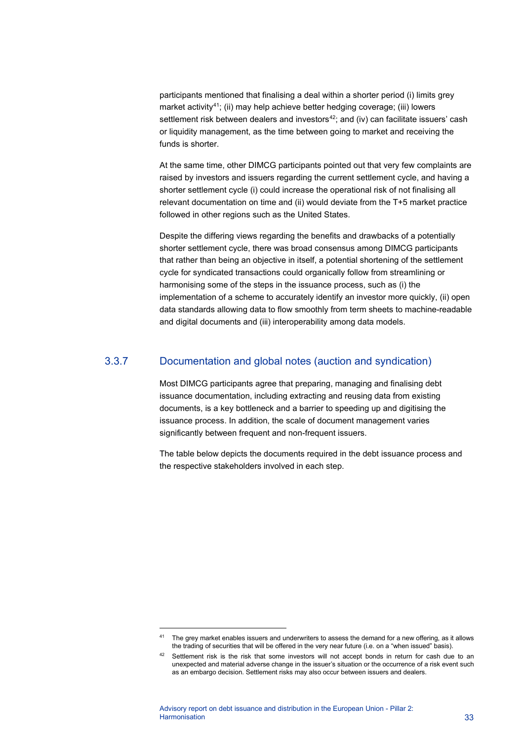participants mentioned that finalising a deal within a shorter period (i) limits grey market activity<sup>[41](#page-33-0)</sup>; (ii) may help achieve better hedging coverage; (iii) lowers settlement risk between dealers and investors $42$ ; and (iv) can facilitate issuers' cash or liquidity management, as the time between going to market and receiving the funds is shorter.

At the same time, other DIMCG participants pointed out that very few complaints are raised by investors and issuers regarding the current settlement cycle, and having a shorter settlement cycle (i) could increase the operational risk of not finalising all relevant documentation on time and (ii) would deviate from the T+5 market practice followed in other regions such as the United States.

Despite the differing views regarding the benefits and drawbacks of a potentially shorter settlement cycle, there was broad consensus among DIMCG participants that rather than being an objective in itself, a potential shortening of the settlement cycle for syndicated transactions could organically follow from streamlining or harmonising some of the steps in the issuance process, such as (i) the implementation of a scheme to accurately identify an investor more quickly, (ii) open data standards allowing data to flow smoothly from term sheets to machine-readable and digital documents and (iii) interoperability among data models.

## 3.3.7 Documentation and global notes (auction and syndication)

Most DIMCG participants agree that preparing, managing and finalising debt issuance documentation, including extracting and reusing data from existing documents, is a key bottleneck and a barrier to speeding up and digitising the issuance process. In addition, the scale of document management varies significantly between frequent and non-frequent issuers.

The table below depicts the documents required in the debt issuance process and the respective stakeholders involved in each step.

<span id="page-33-0"></span><sup>&</sup>lt;sup>41</sup> The grey market enables issuers and underwriters to assess the demand for a new offering, as it allows the trading of securities that will be offered in the very near future (i.e. on a "when issued" basis).

<span id="page-33-1"></span><sup>42</sup> Settlement risk is the risk that some investors will not accept bonds in return for cash due to an unexpected and material adverse change in the issuer's situation or the occurrence of a risk event such as an embargo decision. Settlement risks may also occur between issuers and dealers.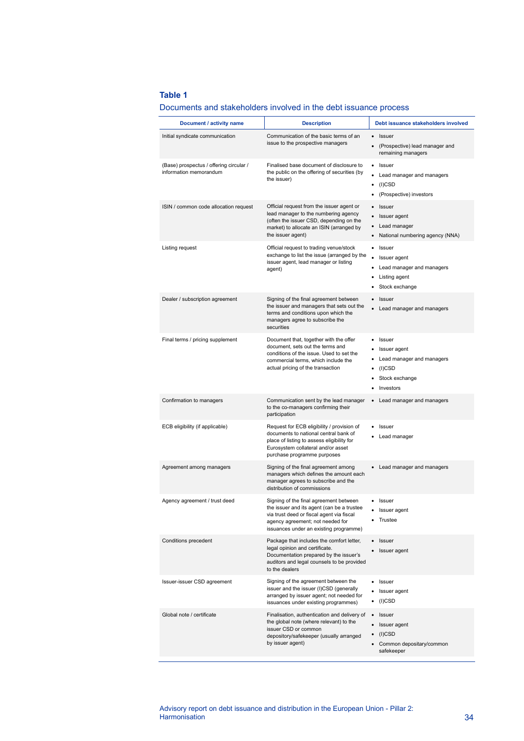#### **Table 1**

| Document / activity name                                          | <b>Description</b>                                                                                                                                                                                              | Debt issuance stakeholders involved                                                                                                      |
|-------------------------------------------------------------------|-----------------------------------------------------------------------------------------------------------------------------------------------------------------------------------------------------------------|------------------------------------------------------------------------------------------------------------------------------------------|
| Initial syndicate communication                                   | Communication of the basic terms of an<br>issue to the prospective managers                                                                                                                                     | Issuer<br>$\bullet$<br>(Prospective) lead manager and<br>$\bullet$<br>remaining managers                                                 |
| (Base) prospectus / offering circular /<br>information memorandum | Finalised base document of disclosure to<br>the public on the offering of securities (by<br>the issuer)                                                                                                         | Issuer<br>٠<br>Lead manager and managers<br>٠<br>$(I)$ CSD<br>٠<br>(Prospective) investors                                               |
| ISIN / common code allocation request                             | Official request from the issuer agent or<br>lead manager to the numbering agency<br>(often the issuer CSD, depending on the<br>market) to allocate an ISIN (arranged by<br>the issuer agent)                   | <b>Issuer</b><br>Issuer agent<br>$\bullet$<br>Lead manager<br>$\bullet$<br>National numbering agency (NNA)<br>$\bullet$                  |
| Listing request                                                   | Official request to trading venue/stock<br>exchange to list the issue (arranged by the<br>issuer agent, lead manager or listing<br>agent)                                                                       | Issuer<br>٠<br>Issuer agent<br>Lead manager and managers<br>Listing agent<br>Stock exchange                                              |
| Dealer / subscription agreement                                   | Signing of the final agreement between<br>the issuer and managers that sets out the<br>terms and conditions upon which the<br>managers agree to subscribe the<br>securities                                     | Issuer<br>Lead manager and managers                                                                                                      |
| Final terms / pricing supplement                                  | Document that, together with the offer<br>document, sets out the terms and<br>conditions of the issue. Used to set the<br>commercial terms, which include the<br>actual pricing of the transaction              | Issuer<br>٠<br>Issuer agent<br>Lead manager and managers<br>$(I)$ CSD<br>Stock exchange<br>Investors                                     |
| Confirmation to managers                                          | Communication sent by the lead manager<br>to the co-managers confirming their<br>participation                                                                                                                  | • Lead manager and managers                                                                                                              |
| ECB eligibility (if applicable)                                   | Request for ECB eligibility / provision of<br>documents to national central bank of<br>place of listing to assess eligibility for<br>Eurosystem collateral and/or asset<br>purchase programme purposes          | Issuer<br>Lead manager                                                                                                                   |
| Agreement among managers                                          | Signing of the final agreement among<br>managers which defines the amount each<br>manager agrees to subscribe and the<br>distribution of commissions                                                            | • Lead manager and managers                                                                                                              |
| Agency agreement / trust deed                                     | Signing of the final agreement between<br>the issuer and its agent (can be a trustee<br>via trust deed or fiscal agent via fiscal<br>agency agreement; not needed for<br>issuances under an existing programme) | Issuer<br>Issuer agent<br>Trustee                                                                                                        |
| Conditions precedent                                              | Package that includes the comfort letter,<br>legal opinion and certificate.<br>Documentation prepared by the issuer's<br>auditors and legal counsels to be provided<br>to the dealers                           | Issuer<br>$\bullet$<br>Issuer agent<br>$\bullet$                                                                                         |
| Issuer-issuer CSD agreement                                       | Signing of the agreement between the<br>issuer and the issuer (I)CSD (generally<br>arranged by issuer agent; not needed for<br>issuances under existing programmes)                                             | Issuer<br>٠<br>Issuer agent<br>٠<br>$(I)$ CSD<br>٠                                                                                       |
| Global note / certificate                                         | Finalisation, authentication and delivery of<br>the global note (where relevant) to the<br>issuer CSD or common<br>depository/safekeeper (usually arranged<br>by issuer agent)                                  | <b>Issuer</b><br>$\bullet$<br>Issuer agent<br>$\bullet$<br>$(I)$ CSD<br>$\bullet$<br>Common depositary/common<br>$\bullet$<br>safekeeper |
|                                                                   |                                                                                                                                                                                                                 |                                                                                                                                          |

#### Documents and stakeholders involved in the debt issuance process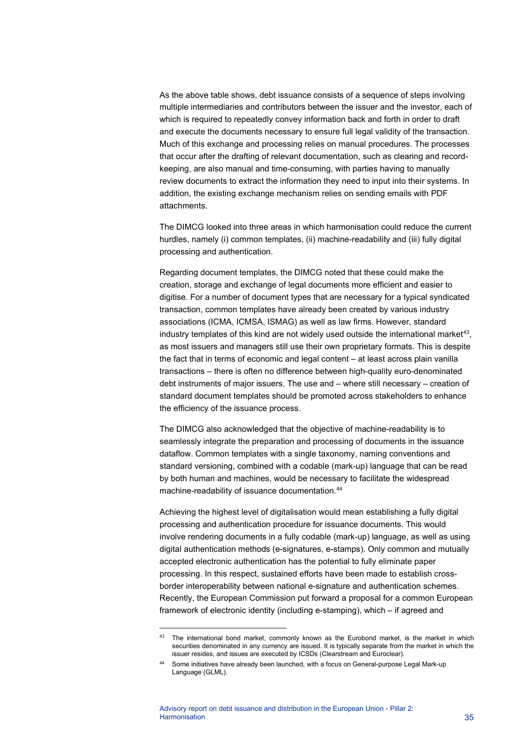As the above table shows, debt issuance consists of a sequence of steps involving multiple intermediaries and contributors between the issuer and the investor, each of which is required to repeatedly convey information back and forth in order to draft and execute the documents necessary to ensure full legal validity of the transaction. Much of this exchange and processing relies on manual procedures. The processes that occur after the drafting of relevant documentation, such as clearing and recordkeeping, are also manual and time-consuming, with parties having to manually review documents to extract the information they need to input into their systems. In addition, the existing exchange mechanism relies on sending emails with PDF attachments.

The DIMCG looked into three areas in which harmonisation could reduce the current hurdles, namely (i) common templates, (ii) machine-readability and (iii) fully digital processing and authentication.

Regarding document templates, the DIMCG noted that these could make the creation, storage and exchange of legal documents more efficient and easier to digitise. For a number of document types that are necessary for a typical syndicated transaction, common templates have already been created by various industry associations (ICMA, ICMSA, ISMAG) as well as law firms. However, standard industry templates of this kind are not widely used outside the international market<sup>43</sup>, as most issuers and managers still use their own proprietary formats. This is despite the fact that in terms of economic and legal content – at least across plain vanilla transactions – there is often no difference between high-quality euro-denominated debt instruments of major issuers. The use and – where still necessary – creation of standard document templates should be promoted across stakeholders to enhance the efficiency of the issuance process.

The DIMCG also acknowledged that the objective of machine-readability is to seamlessly integrate the preparation and processing of documents in the issuance dataflow. Common templates with a single taxonomy, naming conventions and standard versioning, combined with a codable (mark-up) language that can be read by both human and machines, would be necessary to facilitate the widespread machine-readability of issuance documentation.<sup>[44](#page-35-1)</sup>

Achieving the highest level of digitalisation would mean establishing a fully digital processing and authentication procedure for issuance documents. This would involve rendering documents in a fully codable (mark-up) language, as well as using digital authentication methods (e-signatures, e-stamps). Only common and mutually accepted electronic authentication has the potential to fully eliminate paper processing. In this respect, sustained efforts have been made to establish crossborder interoperability between national e-signature and authentication schemes. Recently, the European Commission put forward a proposal for a common European framework of electronic identity (including e-stamping), which – if agreed and

<span id="page-35-1"></span><span id="page-35-0"></span><sup>&</sup>lt;sup>43</sup> The international bond market, commonly known as the Eurobond market, is the market in which securities denominated in any currency are issued. It is typically separate from the market in which the issuer resides, and issues are executed by ICSDs (Clearstream and Euroclear).

Some initiatives have already been launched, with a focus on General-purpose Legal Mark-up Language (GLML).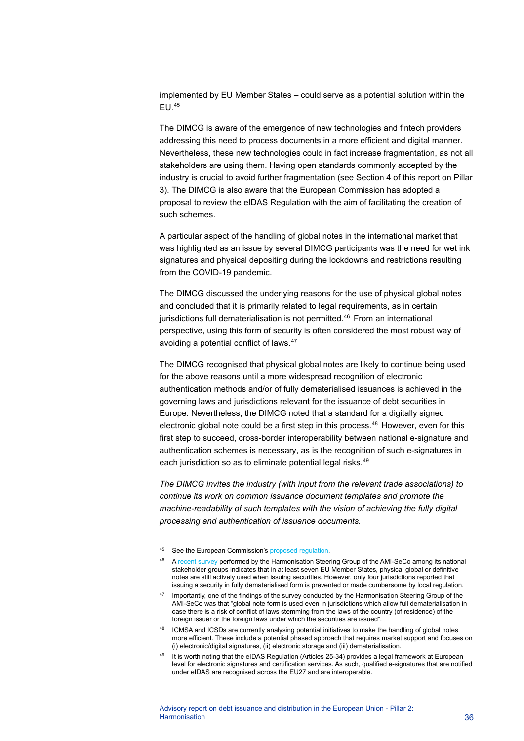implemented by EU Member States – could serve as a potential solution within the EU.[45](#page-36-0)

The DIMCG is aware of the emergence of new technologies and fintech providers addressing this need to process documents in a more efficient and digital manner. Nevertheless, these new technologies could in fact increase fragmentation, as not all stakeholders are using them. Having open standards commonly accepted by the industry is crucial to avoid further fragmentation (see Section 4 of this report on Pillar 3). The DIMCG is also aware that the European Commission has adopted a proposal to review the eIDAS Regulation with the aim of facilitating the creation of such schemes.

A particular aspect of the handling of global notes in the international market that was highlighted as an issue by several DIMCG participants was the need for wet ink signatures and physical depositing during the lockdowns and restrictions resulting from the COVID-19 pandemic.

The DIMCG discussed the underlying reasons for the use of physical global notes and concluded that it is primarily related to legal requirements, as in certain jurisdictions full dematerialisation is not permitted. [46](#page-36-1) From an international perspective, using this form of security is often considered the most robust way of avoiding a potential conflict of laws.[47](#page-36-2)

The DIMCG recognised that physical global notes are likely to continue being used for the above reasons until a more widespread recognition of electronic authentication methods and/or of fully dematerialised issuances is achieved in the governing laws and jurisdictions relevant for the issuance of debt securities in Europe. Nevertheless, the DIMCG noted that a standard for a digitally signed electronic global note could be a first step in this process. $48$  However, even for this first step to succeed, cross-border interoperability between national e-signature and authentication schemes is necessary, as is the recognition of such e-signatures in each jurisdiction so as to eliminate potential legal risks.<sup>[49](#page-36-4)</sup>

*The DIMCG invites the industry (with input from the relevant trade associations) to continue its work on common issuance document templates and promote the machine-readability of such templates with the vision of achieving the fully digital processing and authentication of issuance documents.*

<span id="page-36-0"></span><sup>45</sup> See the European Commission's [proposed regulation.](https://digital-strategy.ec.europa.eu/en/library/trusted-and-secure-european-e-id-regulation)

<span id="page-36-1"></span><sup>&</sup>lt;sup>46</sup> [A recent survey](https://www.ecb.europa.eu/paym/groups/shared/docs/1be4a-2021-05-24-25_ami-seco_item_4-3_hsg_report_survey_on_barriers_to_digitalisation.pdf) performed by the Harmonisation Steering Group of the AMI-SeCo among its national stakeholder groups indicates that in at least seven EU Member States, physical global or definitive notes are still actively used when issuing securities. However, only four jurisdictions reported that issuing a security in fully dematerialised form is prevented or made cumbersome by local regulation.

<span id="page-36-2"></span><sup>&</sup>lt;sup>47</sup> Importantly, one of the findings of the survey conducted by the Harmonisation Steering Group of the AMI-SeCo was that "global note form is used even in jurisdictions which allow full dematerialisation in case there is a risk of conflict of laws stemming from the laws of the country (of residence) of the foreign issuer or the foreign laws under which the securities are issued".

<span id="page-36-3"></span><sup>48</sup> ICMSA and ICSDs are currently analysing potential initiatives to make the handling of global notes more efficient. These include a potential phased approach that requires market support and focuses on (i) electronic/digital signatures, (ii) electronic storage and (iii) dematerialisation.

<span id="page-36-4"></span><sup>49</sup> It is worth noting that the eIDAS Regulation (Articles 25-34) provides a legal framework at European level for electronic signatures and certification services. As such, qualified e-signatures that are notified under eIDAS are recognised across the EU27 and are interoperable.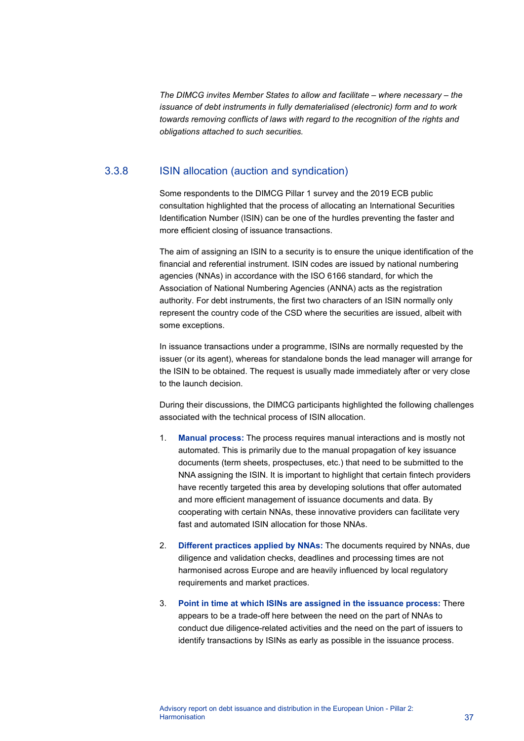*The DIMCG invites Member States to allow and facilitate – where necessary – the issuance of debt instruments in fully dematerialised (electronic) form and to work towards removing conflicts of laws with regard to the recognition of the rights and obligations attached to such securities.*

## 3.3.8 ISIN allocation (auction and syndication)

Some respondents to the DIMCG Pillar 1 survey and the 2019 ECB public consultation highlighted that the process of allocating an International Securities Identification Number (ISIN) can be one of the hurdles preventing the faster and more efficient closing of issuance transactions.

The aim of assigning an ISIN to a security is to ensure the unique identification of the financial and referential instrument. ISIN codes are issued by national numbering agencies (NNAs) in accordance with the ISO 6166 standard, for which the Association of National Numbering Agencies (ANNA) acts as the registration authority. For debt instruments, the first two characters of an ISIN normally only represent the country code of the CSD where the securities are issued, albeit with some exceptions.

In issuance transactions under a programme, ISINs are normally requested by the issuer (or its agent), whereas for standalone bonds the lead manager will arrange for the ISIN to be obtained. The request is usually made immediately after or very close to the launch decision.

During their discussions, the DIMCG participants highlighted the following challenges associated with the technical process of ISIN allocation.

- 1. **Manual process:** The process requires manual interactions and is mostly not automated. This is primarily due to the manual propagation of key issuance documents (term sheets, prospectuses, etc.) that need to be submitted to the NNA assigning the ISIN. It is important to highlight that certain fintech providers have recently targeted this area by developing solutions that offer automated and more efficient management of issuance documents and data. By cooperating with certain NNAs, these innovative providers can facilitate very fast and automated ISIN allocation for those NNAs.
- 2. **Different practices applied by NNAs:** The documents required by NNAs, due diligence and validation checks, deadlines and processing times are not harmonised across Europe and are heavily influenced by local regulatory requirements and market practices.
- 3. **Point in time at which ISINs are assigned in the issuance process:** There appears to be a trade-off here between the need on the part of NNAs to conduct due diligence-related activities and the need on the part of issuers to identify transactions by ISINs as early as possible in the issuance process.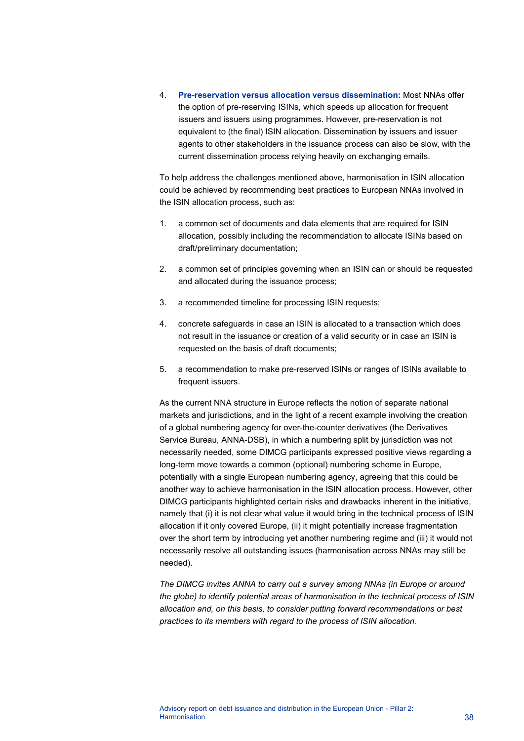4. **Pre-reservation versus allocation versus dissemination:** Most NNAs offer the option of pre-reserving ISINs, which speeds up allocation for frequent issuers and issuers using programmes. However, pre-reservation is not equivalent to (the final) ISIN allocation. Dissemination by issuers and issuer agents to other stakeholders in the issuance process can also be slow, with the current dissemination process relying heavily on exchanging emails.

To help address the challenges mentioned above, harmonisation in ISIN allocation could be achieved by recommending best practices to European NNAs involved in the ISIN allocation process, such as:

- 1. a common set of documents and data elements that are required for ISIN allocation, possibly including the recommendation to allocate ISINs based on draft/preliminary documentation;
- 2. a common set of principles governing when an ISIN can or should be requested and allocated during the issuance process;
- 3. a recommended timeline for processing ISIN requests;
- 4. concrete safeguards in case an ISIN is allocated to a transaction which does not result in the issuance or creation of a valid security or in case an ISIN is requested on the basis of draft documents;
- 5. a recommendation to make pre-reserved ISINs or ranges of ISINs available to frequent issuers.

As the current NNA structure in Europe reflects the notion of separate national markets and jurisdictions, and in the light of a recent example involving the creation of a global numbering agency for over-the-counter derivatives (the Derivatives Service Bureau, ANNA-DSB), in which a numbering split by jurisdiction was not necessarily needed, some DIMCG participants expressed positive views regarding a long-term move towards a common (optional) numbering scheme in Europe, potentially with a single European numbering agency, agreeing that this could be another way to achieve harmonisation in the ISIN allocation process. However, other DIMCG participants highlighted certain risks and drawbacks inherent in the initiative, namely that (i) it is not clear what value it would bring in the technical process of ISIN allocation if it only covered Europe, (ii) it might potentially increase fragmentation over the short term by introducing yet another numbering regime and (iii) it would not necessarily resolve all outstanding issues (harmonisation across NNAs may still be needed).

*The DIMCG invites ANNA to carry out a survey among NNAs (in Europe or around the globe) to identify potential areas of harmonisation in the technical process of ISIN allocation and, on this basis, to consider putting forward recommendations or best practices to its members with regard to the process of ISIN allocation.*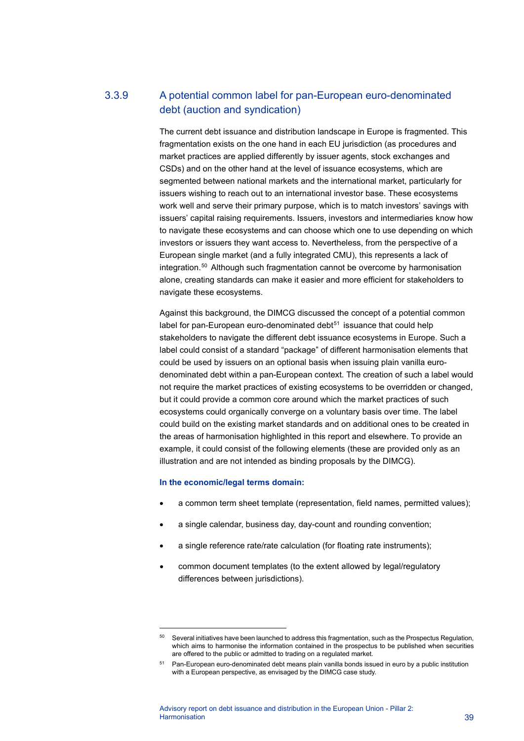# 3.3.9 A potential common label for pan-European euro-denominated debt (auction and syndication)

The current debt issuance and distribution landscape in Europe is fragmented. This fragmentation exists on the one hand in each EU jurisdiction (as procedures and market practices are applied differently by issuer agents, stock exchanges and CSDs) and on the other hand at the level of issuance ecosystems, which are segmented between national markets and the international market, particularly for issuers wishing to reach out to an international investor base. These ecosystems work well and serve their primary purpose, which is to match investors' savings with issuers' capital raising requirements. Issuers, investors and intermediaries know how to navigate these ecosystems and can choose which one to use depending on which investors or issuers they want access to. Nevertheless, from the perspective of a European single market (and a fully integrated CMU), this represents a lack of integration.[50](#page-39-0) Although such fragmentation cannot be overcome by harmonisation alone, creating standards can make it easier and more efficient for stakeholders to navigate these ecosystems.

Against this background, the DIMCG discussed the concept of a potential common label for pan-European euro-denominated debt $51$  issuance that could help stakeholders to navigate the different debt issuance ecosystems in Europe. Such a label could consist of a standard "package" of different harmonisation elements that could be used by issuers on an optional basis when issuing plain vanilla eurodenominated debt within a pan-European context. The creation of such a label would not require the market practices of existing ecosystems to be overridden or changed, but it could provide a common core around which the market practices of such ecosystems could organically converge on a voluntary basis over time. The label could build on the existing market standards and on additional ones to be created in the areas of harmonisation highlighted in this report and elsewhere. To provide an example, it could consist of the following elements (these are provided only as an illustration and are not intended as binding proposals by the DIMCG).

#### **In the economic/legal terms domain:**

- a common term sheet template (representation, field names, permitted values);
- a single calendar, business day, day-count and rounding convention;
- a single reference rate/rate calculation (for floating rate instruments);
- common document templates (to the extent allowed by legal/regulatory differences between jurisdictions).

<span id="page-39-0"></span><sup>&</sup>lt;sup>50</sup> Several initiatives have been launched to address this fragmentation, such as the Prospectus Regulation, which aims to harmonise the information contained in the prospectus to be published when securities are offered to the public or admitted to trading on a regulated market.

<span id="page-39-1"></span><sup>51</sup> Pan-European euro-denominated debt means plain vanilla bonds issued in euro by a public institution with a European perspective, as envisaged by the DIMCG case study.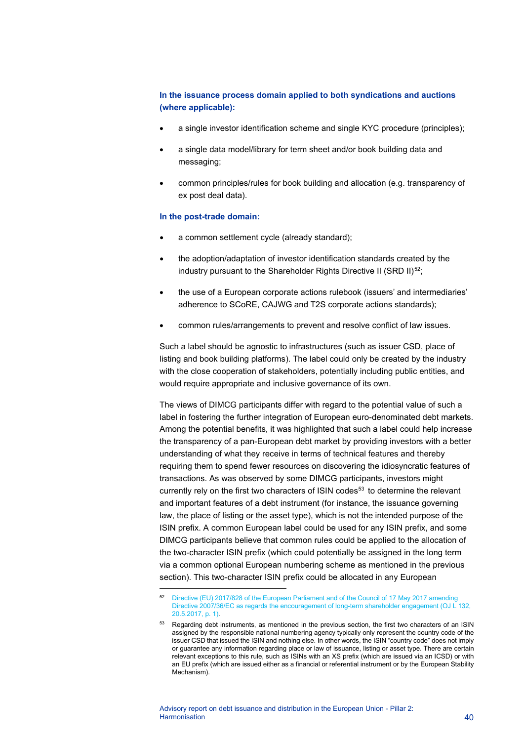### **In the issuance process domain applied to both syndications and auctions (where applicable):**

- a single investor identification scheme and single KYC procedure (principles);
- a single data model/library for term sheet and/or book building data and messaging;
- common principles/rules for book building and allocation (e.g. transparency of ex post deal data).

#### **In the post-trade domain:**

- a common settlement cycle (already standard);
- the adoption/adaptation of investor identification standards created by the industry pursuant to the Shareholder Rights Directive II (SRD II) $52$ ;
- the use of a European corporate actions rulebook (issuers' and intermediaries' adherence to SCoRE, CAJWG and T2S corporate actions standards);
- common rules/arrangements to prevent and resolve conflict of law issues.

Such a label should be agnostic to infrastructures (such as issuer CSD, place of listing and book building platforms). The label could only be created by the industry with the close cooperation of stakeholders, potentially including public entities, and would require appropriate and inclusive governance of its own.

The views of DIMCG participants differ with regard to the potential value of such a label in fostering the further integration of European euro-denominated debt markets. Among the potential benefits, it was highlighted that such a label could help increase the transparency of a pan-European debt market by providing investors with a better understanding of what they receive in terms of technical features and thereby requiring them to spend fewer resources on discovering the idiosyncratic features of transactions. As was observed by some DIMCG participants, investors might currently rely on the first two characters of ISIN codes<sup>[53](#page-40-1)</sup> to determine the relevant and important features of a debt instrument (for instance, the issuance governing law, the place of listing or the asset type), which is not the intended purpose of the ISIN prefix. A common European label could be used for any ISIN prefix, and some DIMCG participants believe that common rules could be applied to the allocation of the two-character ISIN prefix (which could potentially be assigned in the long term via a common optional European numbering scheme as mentioned in the previous section). This two-character ISIN prefix could be allocated in any European

<span id="page-40-0"></span><sup>52</sup> [Directive \(EU\) 2017/828 of the European Parliament and of the Council of 17 May 2017 amending](https://eur-lex.europa.eu/legal-content/EN/TXT/?uri=CELEX%3A32017L0828)  Directive 2007/36/EC as regards the encouragement of long-term shareholder engagement (OJ L 132, [20.5.2017, p. 1\).](https://eur-lex.europa.eu/legal-content/EN/TXT/?uri=CELEX%3A32017L0828)

<span id="page-40-1"></span><sup>53</sup> Regarding debt instruments, as mentioned in the previous section, the first two characters of an ISIN assigned by the responsible national numbering agency typically only represent the country code of the issuer CSD that issued the ISIN and nothing else. In other words, the ISIN "country code" does not imply or guarantee any information regarding place or law of issuance, listing or asset type. There are certain relevant exceptions to this rule, such as ISINs with an XS prefix (which are issued via an ICSD) or with an EU prefix (which are issued either as a financial or referential instrument or by the European Stability Mechanism).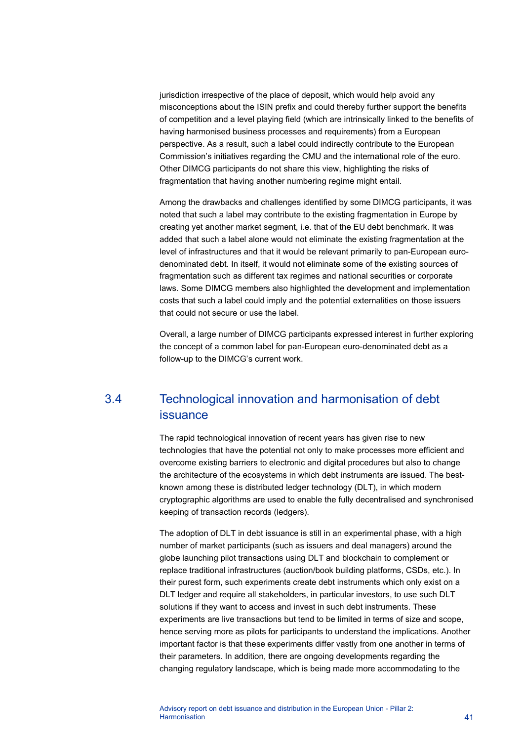jurisdiction irrespective of the place of deposit, which would help avoid any misconceptions about the ISIN prefix and could thereby further support the benefits of competition and a level playing field (which are intrinsically linked to the benefits of having harmonised business processes and requirements) from a European perspective. As a result, such a label could indirectly contribute to the European Commission's initiatives regarding the CMU and the international role of the euro. Other DIMCG participants do not share this view, highlighting the risks of fragmentation that having another numbering regime might entail.

Among the drawbacks and challenges identified by some DIMCG participants, it was noted that such a label may contribute to the existing fragmentation in Europe by creating yet another market segment, i.e. that of the EU debt benchmark. It was added that such a label alone would not eliminate the existing fragmentation at the level of infrastructures and that it would be relevant primarily to pan-European eurodenominated debt. In itself, it would not eliminate some of the existing sources of fragmentation such as different tax regimes and national securities or corporate laws. Some DIMCG members also highlighted the development and implementation costs that such a label could imply and the potential externalities on those issuers that could not secure or use the label.

<span id="page-41-0"></span>Overall, a large number of DIMCG participants expressed interest in further exploring the concept of a common label for pan-European euro-denominated debt as a follow-up to the DIMCG's current work.

# 3.4 Technological innovation and harmonisation of debt issuance

The rapid technological innovation of recent years has given rise to new technologies that have the potential not only to make processes more efficient and overcome existing barriers to electronic and digital procedures but also to change the architecture of the ecosystems in which debt instruments are issued. The bestknown among these is distributed ledger technology (DLT), in which modern cryptographic algorithms are used to enable the fully decentralised and synchronised keeping of transaction records (ledgers).

The adoption of DLT in debt issuance is still in an experimental phase, with a high number of market participants (such as issuers and deal managers) around the globe launching pilot transactions using DLT and blockchain to complement or replace traditional infrastructures (auction/book building platforms, CSDs, etc.). In their purest form, such experiments create debt instruments which only exist on a DLT ledger and require all stakeholders, in particular investors, to use such DLT solutions if they want to access and invest in such debt instruments. These experiments are live transactions but tend to be limited in terms of size and scope, hence serving more as pilots for participants to understand the implications. Another important factor is that these experiments differ vastly from one another in terms of their parameters. In addition, there are ongoing developments regarding the changing regulatory landscape, which is being made more accommodating to the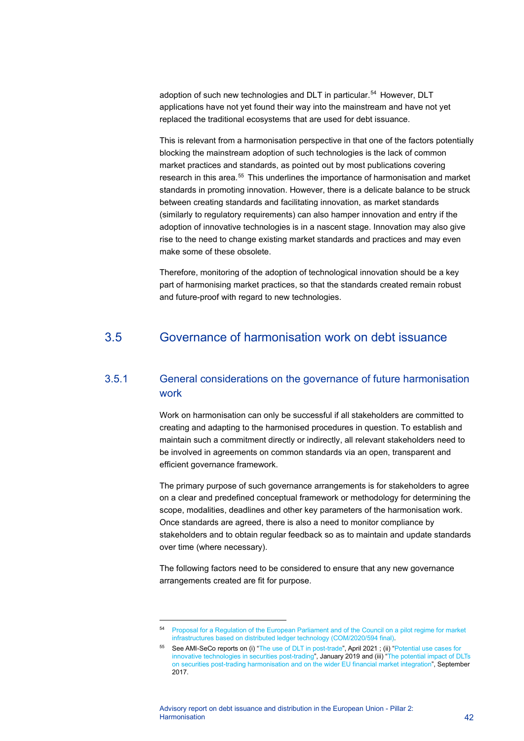adoption of such new technologies and DLT in particular.<sup>[54](#page-42-1)</sup> However, DLT applications have not yet found their way into the mainstream and have not yet replaced the traditional ecosystems that are used for debt issuance.

This is relevant from a harmonisation perspective in that one of the factors potentially blocking the mainstream adoption of such technologies is the lack of common market practices and standards, as pointed out by most publications covering research in this area.<sup>[55](#page-42-2)</sup> This underlines the importance of harmonisation and market standards in promoting innovation. However, there is a delicate balance to be struck between creating standards and facilitating innovation, as market standards (similarly to regulatory requirements) can also hamper innovation and entry if the adoption of innovative technologies is in a nascent stage. Innovation may also give rise to the need to change existing market standards and practices and may even make some of these obsolete.

<span id="page-42-0"></span>Therefore, monitoring of the adoption of technological innovation should be a key part of harmonising market practices, so that the standards created remain robust and future-proof with regard to new technologies.

# 3.5 Governance of harmonisation work on debt issuance

## 3.5.1 General considerations on the governance of future harmonisation work

Work on harmonisation can only be successful if all stakeholders are committed to creating and adapting to the harmonised procedures in question. To establish and maintain such a commitment directly or indirectly, all relevant stakeholders need to be involved in agreements on common standards via an open, transparent and efficient governance framework.

The primary purpose of such governance arrangements is for stakeholders to agree on a clear and predefined conceptual framework or methodology for determining the scope, modalities, deadlines and other key parameters of the harmonisation work. Once standards are agreed, there is also a need to monitor compliance by stakeholders and to obtain regular feedback so as to maintain and update standards over time (where necessary).

The following factors need to be considered to ensure that any new governance arrangements created are fit for purpose.

<span id="page-42-1"></span><sup>54</sup> [Proposal for a Regulation of the European Parliament and of the Council on a pilot regime for market](https://eur-lex.europa.eu/legal-content/EN/TXT/?uri=CELEX%3A52020PC0594)  [infrastructures based on distributed ledger technology \(COM/2020/594 final\).](https://eur-lex.europa.eu/legal-content/EN/TXT/?uri=CELEX%3A52020PC0594)

<span id="page-42-2"></span><sup>55</sup> See AMI-SeCo reports on (i) ["The use of DLT in post-trade"](https://www.ecb.europa.eu/pub/pdf/other/ecb.20210412_useofdltposttradeprocesses%7E958e3af1c8.en.pdf?2779d0668b55434a0e67174b3f1183a4), April 2021 ; (ii) ["Potential use cases for](https://www.ecb.europa.eu/paym/intro/publications/pdf/ecb.miptopical190111.en.pdf)  [innovative technologies in securities post-trading"](https://www.ecb.europa.eu/paym/intro/publications/pdf/ecb.miptopical190111.en.pdf), January 2019 and (iii) ["The potential impact of DLTs](https://www.ecb.europa.eu/paym/groups/ami/shared/pdf/201709_dlt_impact_on_harmonisation_and_integration.pdf)  [on securities post-trading harmonisation and on the wider EU financial market integration",](https://www.ecb.europa.eu/paym/groups/ami/shared/pdf/201709_dlt_impact_on_harmonisation_and_integration.pdf) September 2017.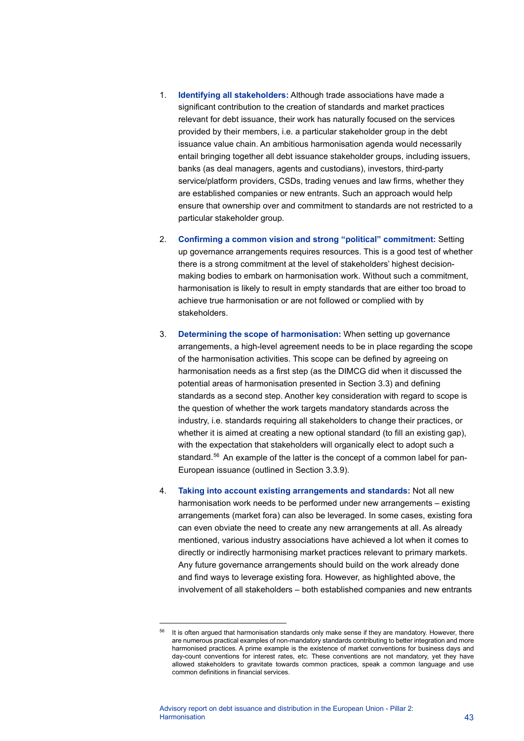- 1. **Identifying all stakeholders:** Although trade associations have made a significant contribution to the creation of standards and market practices relevant for debt issuance, their work has naturally focused on the services provided by their members, i.e. a particular stakeholder group in the debt issuance value chain. An ambitious harmonisation agenda would necessarily entail bringing together all debt issuance stakeholder groups, including issuers, banks (as deal managers, agents and custodians), investors, third-party service/platform providers, CSDs, trading venues and law firms, whether they are established companies or new entrants. Such an approach would help ensure that ownership over and commitment to standards are not restricted to a particular stakeholder group.
- 2. **Confirming a common vision and strong "political" commitment:** Setting up governance arrangements requires resources. This is a good test of whether there is a strong commitment at the level of stakeholders' highest decisionmaking bodies to embark on harmonisation work. Without such a commitment, harmonisation is likely to result in empty standards that are either too broad to achieve true harmonisation or are not followed or complied with by stakeholders.
- 3. **Determining the scope of harmonisation:** When setting up governance arrangements, a high-level agreement needs to be in place regarding the scope of the harmonisation activities. This scope can be defined by agreeing on harmonisation needs as a first step (as the DIMCG did when it discussed the potential areas of harmonisation presented in Section 3.3) and defining standards as a second step. Another key consideration with regard to scope is the question of whether the work targets mandatory standards across the industry, i.e. standards requiring all stakeholders to change their practices, or whether it is aimed at creating a new optional standard (to fill an existing gap), with the expectation that stakeholders will organically elect to adopt such a standard.<sup>[56](#page-43-0)</sup> An example of the latter is the concept of a common label for pan-European issuance (outlined in Section 3.3.9).
- 4. **Taking into account existing arrangements and standards:** Not all new harmonisation work needs to be performed under new arrangements – existing arrangements (market fora) can also be leveraged. In some cases, existing fora can even obviate the need to create any new arrangements at all. As already mentioned, various industry associations have achieved a lot when it comes to directly or indirectly harmonising market practices relevant to primary markets. Any future governance arrangements should build on the work already done and find ways to leverage existing fora. However, as highlighted above, the involvement of all stakeholders – both established companies and new entrants

<span id="page-43-0"></span>It is often argued that harmonisation standards only make sense if they are mandatory. However, there are numerous practical examples of non-mandatory standards contributing to better integration and more harmonised practices. A prime example is the existence of market conventions for business days and day-count conventions for interest rates, etc. These conventions are not mandatory, yet they have allowed stakeholders to gravitate towards common practices, speak a common language and use common definitions in financial services.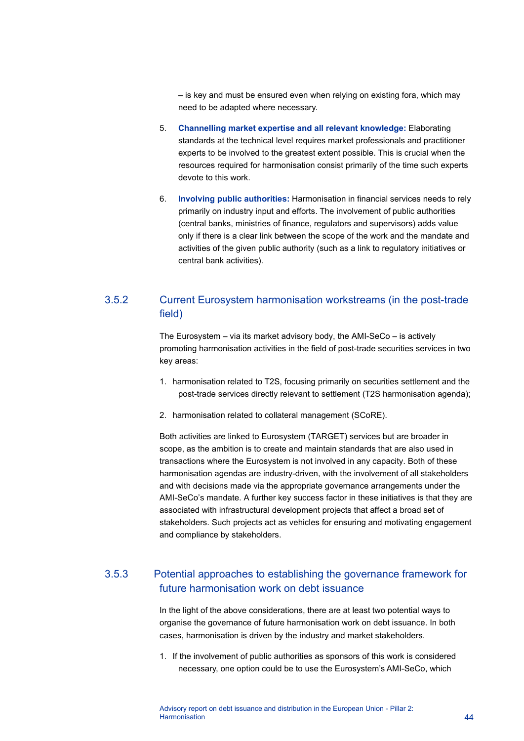– is key and must be ensured even when relying on existing fora, which may need to be adapted where necessary.

- 5. **Channelling market expertise and all relevant knowledge:** Elaborating standards at the technical level requires market professionals and practitioner experts to be involved to the greatest extent possible. This is crucial when the resources required for harmonisation consist primarily of the time such experts devote to this work.
- 6. **Involving public authorities:** Harmonisation in financial services needs to rely primarily on industry input and efforts. The involvement of public authorities (central banks, ministries of finance, regulators and supervisors) adds value only if there is a clear link between the scope of the work and the mandate and activities of the given public authority (such as a link to regulatory initiatives or central bank activities).

# 3.5.2 Current Eurosystem harmonisation workstreams (in the post-trade field)

The Eurosystem – via its market advisory body, the AMI-SeCo – is actively promoting harmonisation activities in the field of post-trade securities services in two key areas:

- 1. harmonisation related to T2S, focusing primarily on securities settlement and the post-trade services directly relevant to settlement (T2S harmonisation agenda);
- 2. harmonisation related to collateral management (SCoRE).

Both activities are linked to Eurosystem (TARGET) services but are broader in scope, as the ambition is to create and maintain standards that are also used in transactions where the Eurosystem is not involved in any capacity. Both of these harmonisation agendas are industry-driven, with the involvement of all stakeholders and with decisions made via the appropriate governance arrangements under the AMI-SeCo's mandate. A further key success factor in these initiatives is that they are associated with infrastructural development projects that affect a broad set of stakeholders. Such projects act as vehicles for ensuring and motivating engagement and compliance by stakeholders.

## 3.5.3 Potential approaches to establishing the governance framework for future harmonisation work on debt issuance

In the light of the above considerations, there are at least two potential ways to organise the governance of future harmonisation work on debt issuance. In both cases, harmonisation is driven by the industry and market stakeholders.

1. If the involvement of public authorities as sponsors of this work is considered necessary, one option could be to use the Eurosystem's AMI-SeCo, which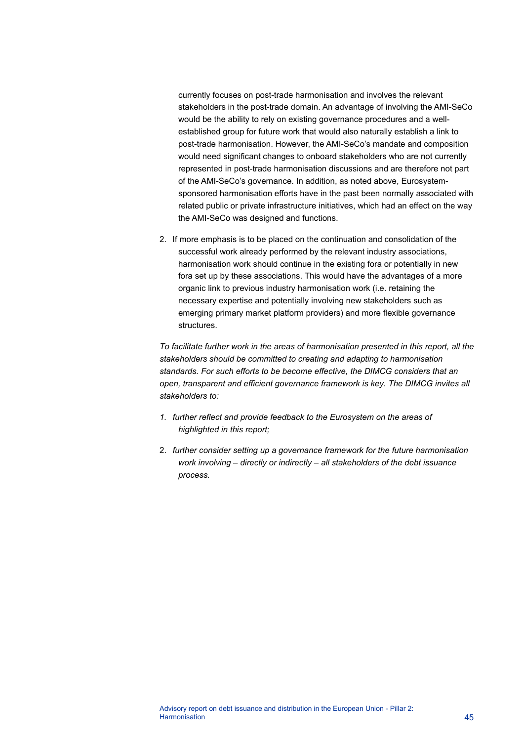currently focuses on post-trade harmonisation and involves the relevant stakeholders in the post-trade domain. An advantage of involving the AMI-SeCo would be the ability to rely on existing governance procedures and a wellestablished group for future work that would also naturally establish a link to post-trade harmonisation. However, the AMI-SeCo's mandate and composition would need significant changes to onboard stakeholders who are not currently represented in post-trade harmonisation discussions and are therefore not part of the AMI-SeCo's governance. In addition, as noted above, Eurosystemsponsored harmonisation efforts have in the past been normally associated with related public or private infrastructure initiatives, which had an effect on the way the AMI-SeCo was designed and functions.

2. If more emphasis is to be placed on the continuation and consolidation of the successful work already performed by the relevant industry associations, harmonisation work should continue in the existing fora or potentially in new fora set up by these associations. This would have the advantages of a more organic link to previous industry harmonisation work (i.e. retaining the necessary expertise and potentially involving new stakeholders such as emerging primary market platform providers) and more flexible governance structures.

*To facilitate further work in the areas of harmonisation presented in this report, all the stakeholders should be committed to creating and adapting to harmonisation standards. For such efforts to be become effective, the DIMCG considers that an open, transparent and efficient governance framework is key. The DIMCG invites all stakeholders to:*

- *1. further reflect and provide feedback to the Eurosystem on the areas of highlighted in this report;*
- 2. *further consider setting up a governance framework for the future harmonisation work involving – directly or indirectly – all stakeholders of the debt issuance process.*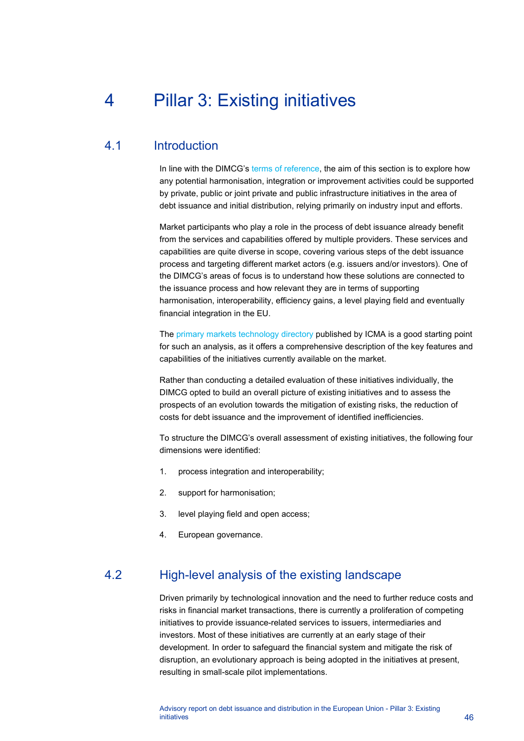# <span id="page-46-0"></span>4 Pillar 3: Existing initiatives

# 4.1 Introduction

<span id="page-46-1"></span>In line with the DIMCG's [terms of reference,](https://www.ecb.europa.eu/paym/intro/news/ecb.mipnews200417_annex1.en.pdf) the aim of this section is to explore how any potential harmonisation, integration or improvement activities could be supported by private, public or joint private and public infrastructure initiatives in the area of debt issuance and initial distribution, relying primarily on industry input and efforts.

Market participants who play a role in the process of debt issuance already benefit from the services and capabilities offered by multiple providers. These services and capabilities are quite diverse in scope, covering various steps of the debt issuance process and targeting different market actors (e.g. issuers and/or investors). One of the DIMCG's areas of focus is to understand how these solutions are connected to the issuance process and how relevant they are in terms of supporting harmonisation, interoperability, efficiency gains, a level playing field and eventually financial integration in the EU.

The [primary markets technology directory](https://www.icmagroup.org/Regulatory-Policy-and-Market-Practice/fintech/primary-markets-technology-mapping/) published by ICMA is a good starting point for such an analysis, as it offers a comprehensive description of the key features and capabilities of the initiatives currently available on the market.

Rather than conducting a detailed evaluation of these initiatives individually, the DIMCG opted to build an overall picture of existing initiatives and to assess the prospects of an evolution towards the mitigation of existing risks, the reduction of costs for debt issuance and the improvement of identified inefficiencies.

To structure the DIMCG's overall assessment of existing initiatives, the following four dimensions were identified:

- 1. process integration and interoperability;
- 2. support for harmonisation;
- 3. level playing field and open access;
- <span id="page-46-2"></span>4. European governance.

# 4.2 High-level analysis of the existing landscape

Driven primarily by technological innovation and the need to further reduce costs and risks in financial market transactions, there is currently a proliferation of competing initiatives to provide issuance-related services to issuers, intermediaries and investors. Most of these initiatives are currently at an early stage of their development. In order to safeguard the financial system and mitigate the risk of disruption, an evolutionary approach is being adopted in the initiatives at present, resulting in small-scale pilot implementations.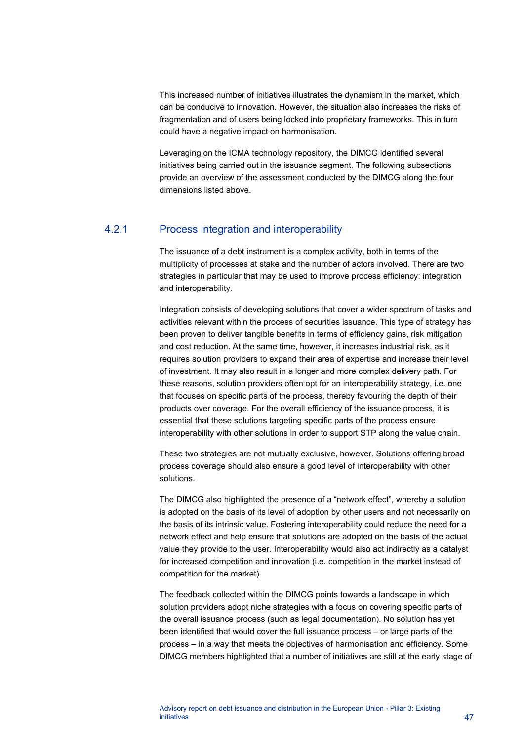This increased number of initiatives illustrates the dynamism in the market, which can be conducive to innovation. However, the situation also increases the risks of fragmentation and of users being locked into proprietary frameworks. This in turn could have a negative impact on harmonisation.

Leveraging on the ICMA technology repository, the DIMCG identified several initiatives being carried out in the issuance segment. The following subsections provide an overview of the assessment conducted by the DIMCG along the four dimensions listed above.

## 4.2.1 Process integration and interoperability

The issuance of a debt instrument is a complex activity, both in terms of the multiplicity of processes at stake and the number of actors involved. There are two strategies in particular that may be used to improve process efficiency: integration and interoperability.

Integration consists of developing solutions that cover a wider spectrum of tasks and activities relevant within the process of securities issuance. This type of strategy has been proven to deliver tangible benefits in terms of efficiency gains, risk mitigation and cost reduction. At the same time, however, it increases industrial risk, as it requires solution providers to expand their area of expertise and increase their level of investment. It may also result in a longer and more complex delivery path. For these reasons, solution providers often opt for an interoperability strategy, i.e. one that focuses on specific parts of the process, thereby favouring the depth of their products over coverage. For the overall efficiency of the issuance process, it is essential that these solutions targeting specific parts of the process ensure interoperability with other solutions in order to support STP along the value chain.

These two strategies are not mutually exclusive, however. Solutions offering broad process coverage should also ensure a good level of interoperability with other solutions.

The DIMCG also highlighted the presence of a "network effect", whereby a solution is adopted on the basis of its level of adoption by other users and not necessarily on the basis of its intrinsic value. Fostering interoperability could reduce the need for a network effect and help ensure that solutions are adopted on the basis of the actual value they provide to the user. Interoperability would also act indirectly as a catalyst for increased competition and innovation (i.e. competition in the market instead of competition for the market).

The feedback collected within the DIMCG points towards a landscape in which solution providers adopt niche strategies with a focus on covering specific parts of the overall issuance process (such as legal documentation). No solution has yet been identified that would cover the full issuance process – or large parts of the process – in a way that meets the objectives of harmonisation and efficiency. Some DIMCG members highlighted that a number of initiatives are still at the early stage of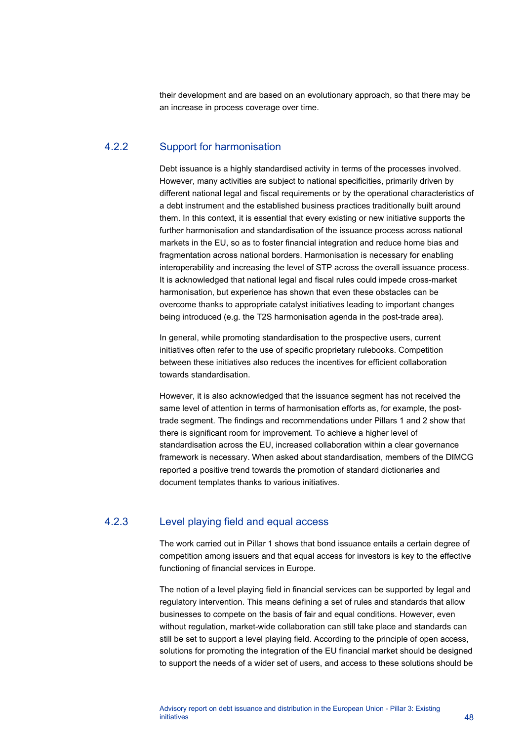their development and are based on an evolutionary approach, so that there may be an increase in process coverage over time.

## 4.2.2 Support for harmonisation

Debt issuance is a highly standardised activity in terms of the processes involved. However, many activities are subject to national specificities, primarily driven by different national legal and fiscal requirements or by the operational characteristics of a debt instrument and the established business practices traditionally built around them. In this context, it is essential that every existing or new initiative supports the further harmonisation and standardisation of the issuance process across national markets in the EU, so as to foster financial integration and reduce home bias and fragmentation across national borders. Harmonisation is necessary for enabling interoperability and increasing the level of STP across the overall issuance process. It is acknowledged that national legal and fiscal rules could impede cross-market harmonisation, but experience has shown that even these obstacles can be overcome thanks to appropriate catalyst initiatives leading to important changes being introduced (e.g. the T2S harmonisation agenda in the post-trade area).

In general, while promoting standardisation to the prospective users, current initiatives often refer to the use of specific proprietary rulebooks. Competition between these initiatives also reduces the incentives for efficient collaboration towards standardisation.

However, it is also acknowledged that the issuance segment has not received the same level of attention in terms of harmonisation efforts as, for example, the posttrade segment. The findings and recommendations under Pillars 1 and 2 show that there is significant room for improvement. To achieve a higher level of standardisation across the EU, increased collaboration within a clear governance framework is necessary. When asked about standardisation, members of the DIMCG reported a positive trend towards the promotion of standard dictionaries and document templates thanks to various initiatives.

### 4.2.3 Level playing field and equal access

The work carried out in Pillar 1 shows that bond issuance entails a certain degree of competition among issuers and that equal access for investors is key to the effective functioning of financial services in Europe.

The notion of a level playing field in financial services can be supported by legal and regulatory intervention. This means defining a set of rules and standards that allow businesses to compete on the basis of fair and equal conditions. However, even without regulation, market-wide collaboration can still take place and standards can still be set to support a level playing field. According to the principle of open access, solutions for promoting the integration of the EU financial market should be designed to support the needs of a wider set of users, and access to these solutions should be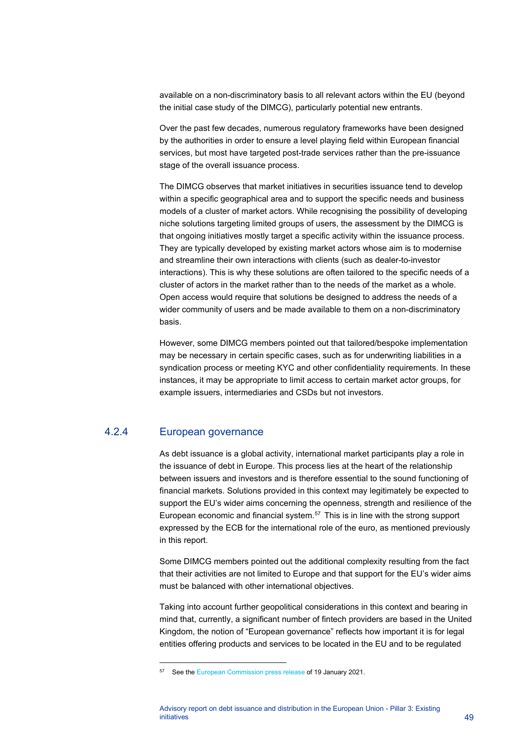available on a non-discriminatory basis to all relevant actors within the EU (beyond the initial case study of the DIMCG), particularly potential new entrants.

Over the past few decades, numerous regulatory frameworks have been designed by the authorities in order to ensure a level playing field within European financial services, but most have targeted post-trade services rather than the pre-issuance stage of the overall issuance process.

The DIMCG observes that market initiatives in securities issuance tend to develop within a specific geographical area and to support the specific needs and business models of a cluster of market actors. While recognising the possibility of developing niche solutions targeting limited groups of users, the assessment by the DIMCG is that ongoing initiatives mostly target a specific activity within the issuance process. They are typically developed by existing market actors whose aim is to modernise and streamline their own interactions with clients (such as dealer-to-investor interactions). This is why these solutions are often tailored to the specific needs of a cluster of actors in the market rather than to the needs of the market as a whole. Open access would require that solutions be designed to address the needs of a wider community of users and be made available to them on a non-discriminatory basis.

However, some DIMCG members pointed out that tailored/bespoke implementation may be necessary in certain specific cases, such as for underwriting liabilities in a syndication process or meeting KYC and other confidentiality requirements. In these instances, it may be appropriate to limit access to certain market actor groups, for example issuers, intermediaries and CSDs but not investors.

# 4.2.4 European governance

As debt issuance is a global activity, international market participants play a role in the issuance of debt in Europe. This process lies at the heart of the relationship between issuers and investors and is therefore essential to the sound functioning of financial markets. Solutions provided in this context may legitimately be expected to support the EU's wider aims concerning the openness, strength and resilience of the European economic and financial system. $57$  This is in line with the strong support expressed by the ECB for the international role of the euro, as mentioned previously in this report.

Some DIMCG members pointed out the additional complexity resulting from the fact that their activities are not limited to Europe and that support for the EU's wider aims must be balanced with other international objectives.

Taking into account further geopolitical considerations in this context and bearing in mind that, currently, a significant number of fintech providers are based in the United Kingdom, the notion of "European governance" reflects how important it is for legal entities offering products and services to be located in the EU and to be regulated

<span id="page-49-0"></span><sup>&</sup>lt;sup>57</sup> See th[e European Commission press release](https://ec.europa.eu/commission/presscorner/detail/en/ip_21_108) of 19 January 2021.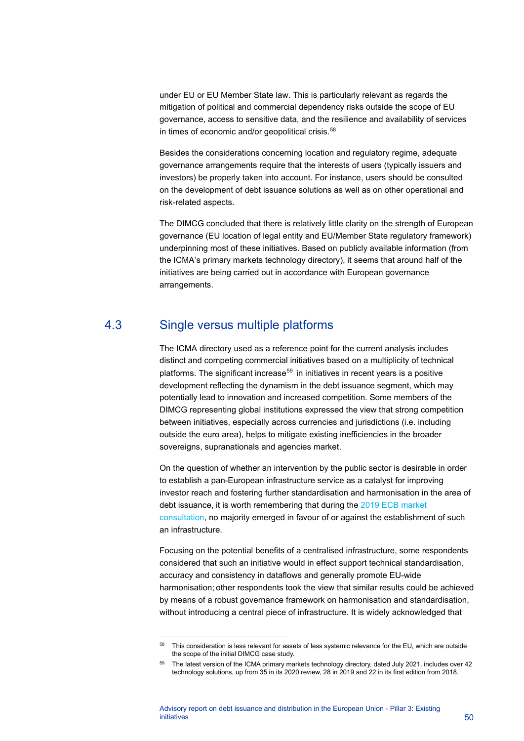under EU or EU Member State law. This is particularly relevant as regards the mitigation of political and commercial dependency risks outside the scope of EU governance, access to sensitive data, and the resilience and availability of services in times of economic and/or geopolitical crisis.<sup>[58](#page-50-1)</sup>

Besides the considerations concerning location and regulatory regime, adequate governance arrangements require that the interests of users (typically issuers and investors) be properly taken into account. For instance, users should be consulted on the development of debt issuance solutions as well as on other operational and risk-related aspects.

The DIMCG concluded that there is relatively little clarity on the strength of European governance (EU location of legal entity and EU/Member State regulatory framework) underpinning most of these initiatives. Based on publicly available information (from the ICMA's primary markets technology directory), it seems that around half of the initiatives are being carried out in accordance with European governance arrangements.

# 4.3 Single versus multiple platforms

<span id="page-50-0"></span>The ICMA directory used as a reference point for the current analysis includes distinct and competing commercial initiatives based on a multiplicity of technical platforms. The significant increase<sup>[59](#page-50-2)</sup> in initiatives in recent years is a positive development reflecting the dynamism in the debt issuance segment, which may potentially lead to innovation and increased competition. Some members of the DIMCG representing global institutions expressed the view that strong competition between initiatives, especially across currencies and jurisdictions (i.e. including outside the euro area), helps to mitigate existing inefficiencies in the broader sovereigns, supranationals and agencies market.

On the question of whether an intervention by the public sector is desirable in order to establish a pan-European infrastructure service as a catalyst for improving investor reach and fostering further standardisation and harmonisation in the area of debt issuance, it is worth remembering that during the [2019 ECB market](https://www.ecb.europa.eu/paym/intro/cons/html/index.en.html)  [consultation,](https://www.ecb.europa.eu/paym/intro/cons/html/index.en.html) no majority emerged in favour of or against the establishment of such an infrastructure.

Focusing on the potential benefits of a centralised infrastructure, some respondents considered that such an initiative would in effect support technical standardisation, accuracy and consistency in dataflows and generally promote EU-wide harmonisation; other respondents took the view that similar results could be achieved by means of a robust governance framework on harmonisation and standardisation, without introducing a central piece of infrastructure. It is widely acknowledged that

<span id="page-50-1"></span><sup>58</sup> This consideration is less relevant for assets of less systemic relevance for the EU, which are outside the scope of the initial DIMCG case study.

<span id="page-50-2"></span><sup>&</sup>lt;sup>59</sup> The latest version of the ICMA primary markets technology directory, dated July 2021, includes over 42 technology solutions, up from 35 in its 2020 review, 28 in 2019 and 22 in its first edition from 2018.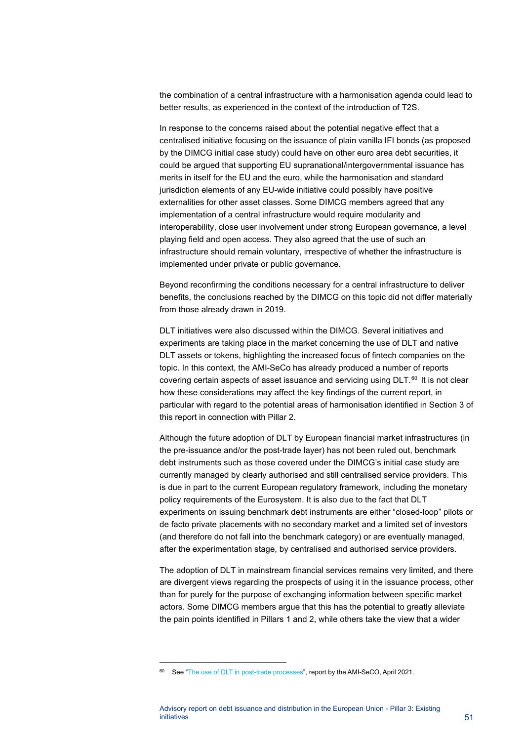the combination of a central infrastructure with a harmonisation agenda could lead to better results, as experienced in the context of the introduction of T2S.

In response to the concerns raised about the potential negative effect that a centralised initiative focusing on the issuance of plain vanilla IFI bonds (as proposed by the DIMCG initial case study) could have on other euro area debt securities, it could be argued that supporting EU supranational/intergovernmental issuance has merits in itself for the EU and the euro, while the harmonisation and standard jurisdiction elements of any EU-wide initiative could possibly have positive externalities for other asset classes. Some DIMCG members agreed that any implementation of a central infrastructure would require modularity and interoperability, close user involvement under strong European governance, a level playing field and open access. They also agreed that the use of such an infrastructure should remain voluntary, irrespective of whether the infrastructure is implemented under private or public governance.

Beyond reconfirming the conditions necessary for a central infrastructure to deliver benefits, the conclusions reached by the DIMCG on this topic did not differ materially from those already drawn in 2019.

DLT initiatives were also discussed within the DIMCG. Several initiatives and experiments are taking place in the market concerning the use of DLT and native DLT assets or tokens, highlighting the increased focus of fintech companies on the topic. In this context, the AMI-SeCo has already produced a number of reports covering certain aspects of asset issuance and servicing using DLT.<sup>[60](#page-51-0)</sup> It is not clear how these considerations may affect the key findings of the current report, in particular with regard to the potential areas of harmonisation identified in Section 3 of this report in connection with Pillar 2.

Although the future adoption of DLT by European financial market infrastructures (in the pre-issuance and/or the post-trade layer) has not been ruled out, benchmark debt instruments such as those covered under the DIMCG's initial case study are currently managed by clearly authorised and still centralised service providers. This is due in part to the current European regulatory framework, including the monetary policy requirements of the Eurosystem. It is also due to the fact that DLT experiments on issuing benchmark debt instruments are either "closed-loop" pilots or de facto private placements with no secondary market and a limited set of investors (and therefore do not fall into the benchmark category) or are eventually managed, after the experimentation stage, by centralised and authorised service providers.

The adoption of DLT in mainstream financial services remains very limited, and there are divergent views regarding the prospects of using it in the issuance process, other than for purely for the purpose of exchanging information between specific market actors. Some DIMCG members argue that this has the potential to greatly alleviate the pain points identified in Pillars 1 and 2, while others take the view that a wider

<span id="page-51-0"></span><sup>60</sup> See ["The use of DLT in post-trade processes"](https://www.ecb.europa.eu/pub/pdf/other/ecb.20210412_useofdltposttradeprocesses%7E958e3af1c8.en.pdf), report by the AMI-SeCO, April 2021.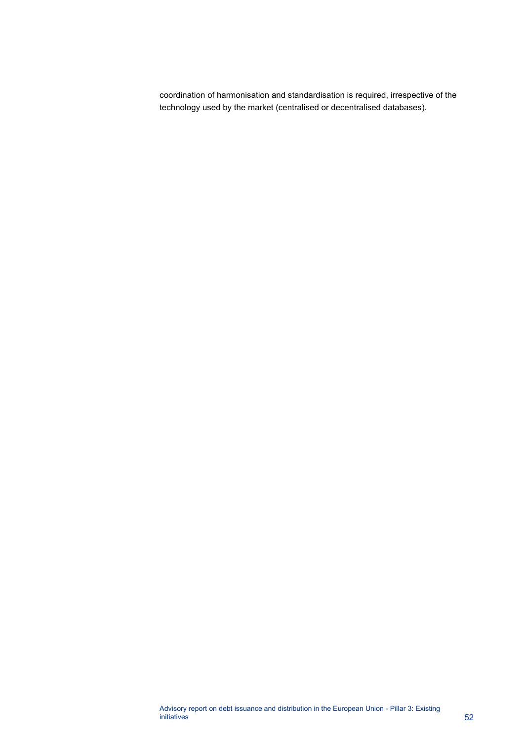coordination of harmonisation and standardisation is required, irrespective of the technology used by the market (centralised or decentralised databases).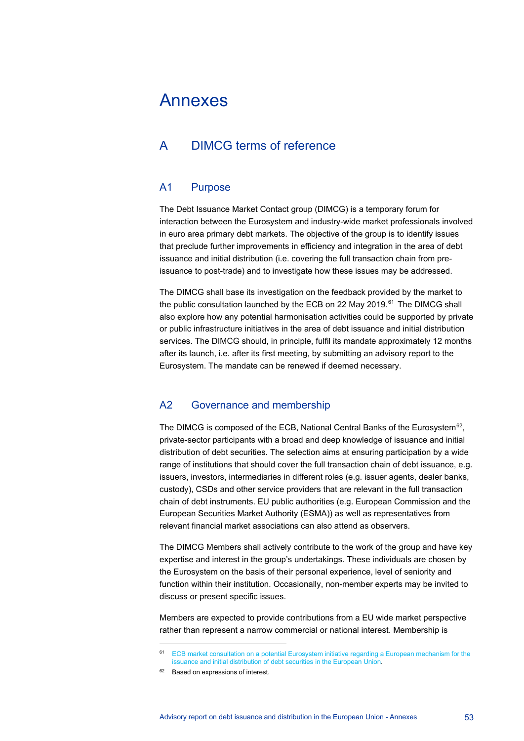# <span id="page-53-0"></span>Annexes

# <span id="page-53-1"></span>A DIMCG terms of reference

## A1 Purpose

The Debt Issuance Market Contact group (DIMCG) is a temporary forum for interaction between the Eurosystem and industry-wide market professionals involved in euro area primary debt markets. The objective of the group is to identify issues that preclude further improvements in efficiency and integration in the area of debt issuance and initial distribution (i.e. covering the full transaction chain from preissuance to post-trade) and to investigate how these issues may be addressed.

The DIMCG shall base its investigation on the feedback provided by the market to the public consultation launched by the ECB on 22 May 2019.<sup>[61](#page-53-2)</sup> The DIMCG shall also explore how any potential harmonisation activities could be supported by private or public infrastructure initiatives in the area of debt issuance and initial distribution services. The DIMCG should, in principle, fulfil its mandate approximately 12 months after its launch, i.e. after its first meeting, by submitting an advisory report to the Eurosystem. The mandate can be renewed if deemed necessary.

## A2 Governance and membership

The DIMCG is composed of the ECB, National Central Banks of the Eurosystem<sup>62</sup>, private-sector participants with a broad and deep knowledge of issuance and initial distribution of debt securities. The selection aims at ensuring participation by a wide range of institutions that should cover the full transaction chain of debt issuance, e.g. issuers, investors, intermediaries in different roles (e.g. issuer agents, dealer banks, custody), CSDs and other service providers that are relevant in the full transaction chain of debt instruments. EU public authorities (e.g. European Commission and the European Securities Market Authority (ESMA)) as well as representatives from relevant financial market associations can also attend as observers.

The DIMCG Members shall actively contribute to the work of the group and have key expertise and interest in the group's undertakings. These individuals are chosen by the Eurosystem on the basis of their personal experience, level of seniority and function within their institution. Occasionally, non-member experts may be invited to discuss or present specific issues.

Members are expected to provide contributions from a EU wide market perspective rather than represent a narrow commercial or national interest. Membership is

<sup>61</sup> [ECB market consultation on a potential Eurosystem initiative regarding a European mechanism for the](https://www.ecb.europa.eu/paym/pdf/consultations/market_consultation_on_european_distribution_of_debt_securities.en.pdf)  [issuance and initial distribution of debt securities in the European Union.](https://www.ecb.europa.eu/paym/pdf/consultations/market_consultation_on_european_distribution_of_debt_securities.en.pdf)

<span id="page-53-3"></span><span id="page-53-2"></span><sup>62</sup> Based on expressions of interest.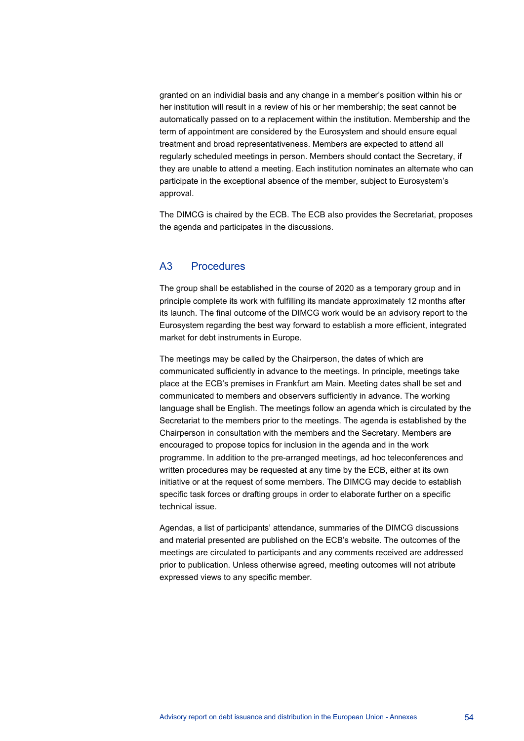granted on an individial basis and any change in a member's position within his or her institution will result in a review of his or her membership; the seat cannot be automatically passed on to a replacement within the institution. Membership and the term of appointment are considered by the Eurosystem and should ensure equal treatment and broad representativeness. Members are expected to attend all regularly scheduled meetings in person. Members should contact the Secretary, if they are unable to attend a meeting. Each institution nominates an alternate who can participate in the exceptional absence of the member, subject to Eurosystem's approval.

The DIMCG is chaired by the ECB. The ECB also provides the Secretariat, proposes the agenda and participates in the discussions.

# A3 Procedures

The group shall be established in the course of 2020 as a temporary group and in principle complete its work with fulfilling its mandate approximately 12 months after its launch. The final outcome of the DIMCG work would be an advisory report to the Eurosystem regarding the best way forward to establish a more efficient, integrated market for debt instruments in Europe.

The meetings may be called by the Chairperson, the dates of which are communicated sufficiently in advance to the meetings. In principle, meetings take place at the ECB's premises in Frankfurt am Main. Meeting dates shall be set and communicated to members and observers sufficiently in advance. The working language shall be English. The meetings follow an agenda which is circulated by the Secretariat to the members prior to the meetings. The agenda is established by the Chairperson in consultation with the members and the Secretary. Members are encouraged to propose topics for inclusion in the agenda and in the work programme. In addition to the pre-arranged meetings, ad hoc teleconferences and written procedures may be requested at any time by the ECB, either at its own initiative or at the request of some members. The DIMCG may decide to establish specific task forces or drafting groups in order to elaborate further on a specific technical issue.

Agendas, a list of participants' attendance, summaries of the DIMCG discussions and material presented are published on the ECB's website. The outcomes of the meetings are circulated to participants and any comments received are addressed prior to publication. Unless otherwise agreed, meeting outcomes will not atribute expressed views to any specific member.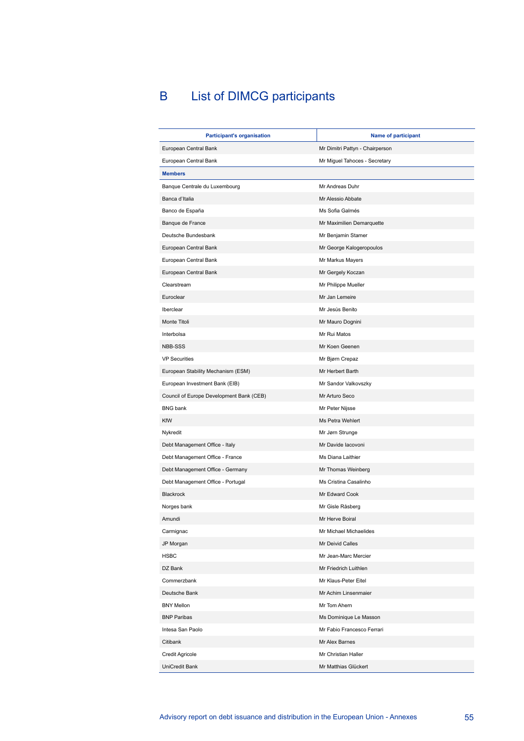# <span id="page-55-0"></span>B List of DIMCG participants

| <b>Participant's organisation</b>        | <b>Name of participant</b>      |
|------------------------------------------|---------------------------------|
| European Central Bank                    | Mr Dimitri Pattyn - Chairperson |
| European Central Bank                    | Mr Miguel Tahoces - Secretary   |
| <b>Members</b>                           |                                 |
| Banque Centrale du Luxembourg            | Mr Andreas Duhr                 |
| Banca d'Italia                           | Mr Alessio Abbate               |
| Banco de España                          | Ms Sofia Galmés                 |
| Banque de France                         | Mr Maximilien Demarquette       |
| Deutsche Bundesbank                      | Mr Benjamin Stamer              |
| European Central Bank                    | Mr George Kalogeropoulos        |
| European Central Bank                    | Mr Markus Mayers                |
| European Central Bank                    | Mr Gergely Koczan               |
| Clearstream                              | Mr Philippe Mueller             |
| Euroclear                                | Mr Jan Lemeire                  |
| Iberclear                                | Mr Jesús Benito                 |
| Monte Titoli                             | Mr Mauro Dognini                |
| Interbolsa                               | Mr Rui Matos                    |
| NBB-SSS                                  | Mr Koen Geenen                  |
| <b>VP Securities</b>                     | Mr Bjørn Crepaz                 |
| European Stability Mechanism (ESM)       | Mr Herbert Barth                |
| European Investment Bank (EIB)           | Mr Sandor Valkovszky            |
| Council of Europe Development Bank (CEB) | Mr Arturo Seco                  |
| <b>BNG</b> bank                          | Mr Peter Nijsse                 |
| KfW                                      | Ms Petra Wehlert                |
| Nykredit                                 | Mr Jørn Strunge                 |
| Debt Management Office - Italy           | Mr Davide Iacovoni              |
| Debt Management Office - France          | Ms Diana Laithier               |
| Debt Management Office - Germany         | Mr Thomas Weinberg              |
| Debt Management Office - Portugal        | Ms Cristina Casalinho           |
| Blackrock                                | Mr Edward Cook                  |
| Norges bank                              | Mr Gisle Råsberg                |
| Amundi                                   | Mr Herve Boiral                 |
| Carmignac                                | Mr Michael Michaelides          |
| JP Morgan                                | Mr Deivid Calles                |
| <b>HSBC</b>                              | Mr Jean-Marc Mercier            |
| DZ Bank                                  | Mr Friedrich Luithlen           |
| Commerzbank                              | Mr Klaus-Peter Eitel            |
| Deutsche Bank                            | Mr Achim Linsenmaier            |
| <b>BNY Mellon</b>                        | Mr Tom Ahern                    |
| <b>BNP Paribas</b>                       | Ms Dominique Le Masson          |
| Intesa San Paolo                         | Mr Fabio Francesco Ferrari      |
| Citibank                                 | Mr Alex Barnes                  |
| <b>Credit Agricole</b>                   | Mr Christian Haller             |
| UniCredit Bank                           | Mr Matthias Glückert            |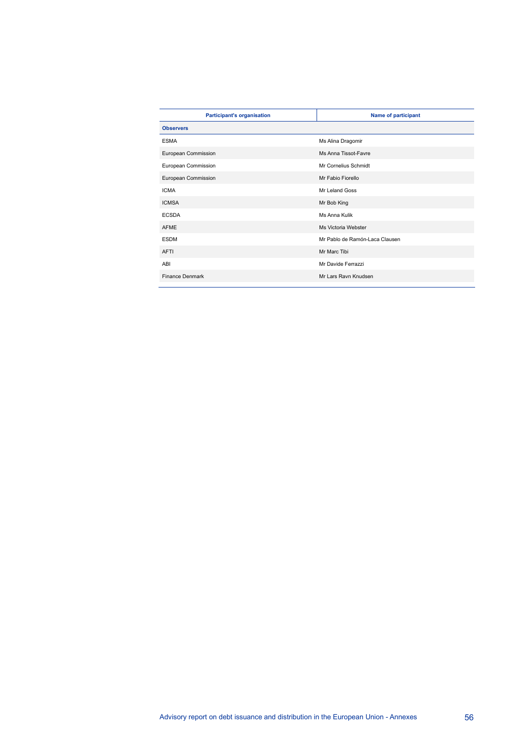| <b>Participant's organisation</b> | Name of participant            |
|-----------------------------------|--------------------------------|
| <b>Observers</b>                  |                                |
| <b>ESMA</b>                       | Ms Alina Dragomir              |
| European Commission               | Ms Anna Tissot-Favre           |
| European Commission               | Mr Cornelius Schmidt           |
| European Commission               | Mr Fabio Fiorello              |
| <b>ICMA</b>                       | Mr Leland Goss                 |
| <b>ICMSA</b>                      | Mr Bob King                    |
| <b>ECSDA</b>                      | Ms Anna Kulik                  |
| <b>AFME</b>                       | Ms Victoria Webster            |
| <b>ESDM</b>                       | Mr Pablo de Ramón-Laca Clausen |
| AFTI                              | Mr Marc Tibi                   |
| ABI                               | Mr Davide Ferrazzi             |
| <b>Finance Denmark</b>            | Mr Lars Ravn Knudsen           |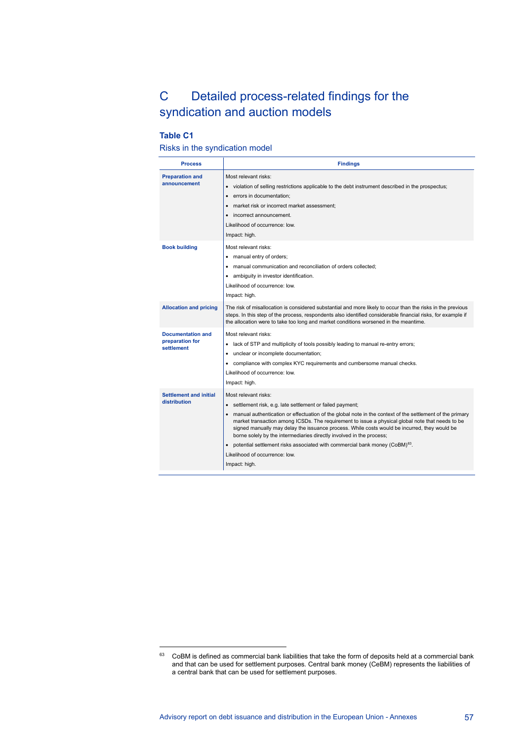# <span id="page-57-0"></span>C Detailed process-related findings for the syndication and auction models

## **Table C1**

#### Risks in the syndication model

| <b>Process</b>                                            | <b>Findings</b>                                                                                                                                                                                                                                                                                                                                                                                                                                                                                                                                                                                                            |
|-----------------------------------------------------------|----------------------------------------------------------------------------------------------------------------------------------------------------------------------------------------------------------------------------------------------------------------------------------------------------------------------------------------------------------------------------------------------------------------------------------------------------------------------------------------------------------------------------------------------------------------------------------------------------------------------------|
| <b>Preparation and</b><br>announcement                    | Most relevant risks:<br>• violation of selling restrictions applicable to the debt instrument described in the prospectus;<br>errors in documentation;<br>$\bullet$<br>market risk or incorrect market assessment;<br>incorrect announcement.<br>$\bullet$<br>Likelihood of occurrence: low.<br>Impact: high.                                                                                                                                                                                                                                                                                                              |
| <b>Book building</b>                                      | Most relevant risks:<br>• manual entry of orders;<br>manual communication and reconciliation of orders collected:<br>• ambiguity in investor identification.<br>Likelihood of occurrence: low.<br>Impact: high.                                                                                                                                                                                                                                                                                                                                                                                                            |
| <b>Allocation and pricing</b>                             | The risk of misallocation is considered substantial and more likely to occur than the risks in the previous<br>steps. In this step of the process, respondents also identified considerable financial risks, for example if<br>the allocation were to take too long and market conditions worsened in the meantime.                                                                                                                                                                                                                                                                                                        |
| <b>Documentation and</b><br>preparation for<br>settlement | Most relevant risks:<br>lack of STP and multiplicity of tools possibly leading to manual re-entry errors;<br>unclear or incomplete documentation;<br>• compliance with complex KYC requirements and cumbersome manual checks.<br>Likelihood of occurrence: low.<br>Impact: high.                                                                                                                                                                                                                                                                                                                                           |
| <b>Settlement and initial</b><br>distribution             | Most relevant risks:<br>• settlement risk, e.g. late settlement or failed payment;<br>manual authentication or effectuation of the global note in the context of the settlement of the primary<br>market transaction among ICSDs. The requirement to issue a physical global note that needs to be<br>signed manually may delay the issuance process. While costs would be incurred, they would be<br>borne solely by the intermediaries directly involved in the process;<br>• potential settlement risks associated with commercial bank money (CoBM) <sup>63</sup> .<br>Likelihood of occurrence: low.<br>Impact: high. |

<span id="page-57-1"></span> $63$  CoBM is defined as commercial bank liabilities that take the form of deposits held at a commercial bank and that can be used for settlement purposes. Central bank money (CeBM) represents the liabilities of a central bank that can be used for settlement purposes.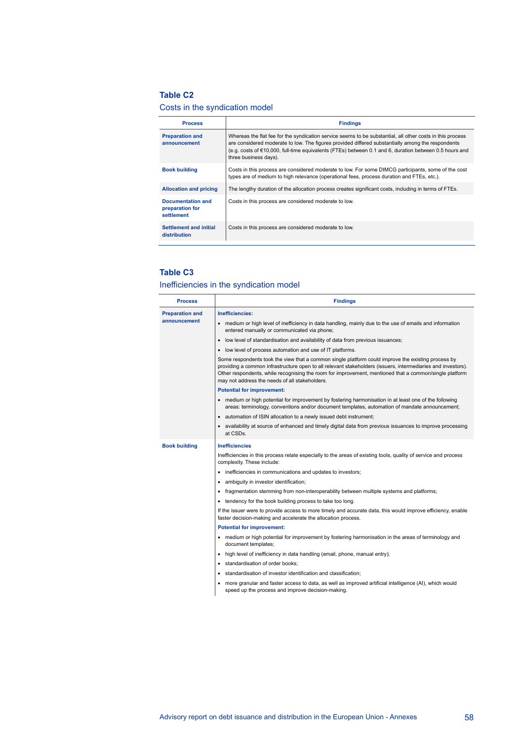#### **Table C2**

## Costs in the syndication model

| <b>Process</b>                                     | <b>Findings</b>                                                                                                                                                                                                                                                                                                                                   |
|----------------------------------------------------|---------------------------------------------------------------------------------------------------------------------------------------------------------------------------------------------------------------------------------------------------------------------------------------------------------------------------------------------------|
| <b>Preparation and</b><br>announcement             | Whereas the flat fee for the syndication service seems to be substantial, all other costs in this process<br>are considered moderate to low. The figures provided differed substantially among the respondents<br>(e.g. costs of €10,000, full-time equivalents (FTEs) between 0.1 and 6, duration between 0.5 hours and<br>three business days). |
| <b>Book building</b>                               | Costs in this process are considered moderate to low. For some DIMCG participants, some of the cost<br>types are of medium to high relevance (operational fees, process duration and FTEs, etc.).                                                                                                                                                 |
| <b>Allocation and pricing</b>                      | The lengthy duration of the allocation process creates significant costs, including in terms of FTEs.                                                                                                                                                                                                                                             |
| Documentation and<br>preparation for<br>settlement | Costs in this process are considered moderate to low.                                                                                                                                                                                                                                                                                             |
| Settlement and initial<br>distribution             | Costs in this process are considered moderate to low.                                                                                                                                                                                                                                                                                             |

#### **Table C3**

## Inefficiencies in the syndication model

| <b>Process</b>         | <b>Findings</b>                                                                                                                                                                                                                                                                                                                                                                |
|------------------------|--------------------------------------------------------------------------------------------------------------------------------------------------------------------------------------------------------------------------------------------------------------------------------------------------------------------------------------------------------------------------------|
| <b>Preparation and</b> | Inefficiencies:                                                                                                                                                                                                                                                                                                                                                                |
| announcement           | medium or high level of inefficiency in data handling, mainly due to the use of emails and information<br>$\bullet$<br>entered manually or communicated via phone;                                                                                                                                                                                                             |
|                        | • low level of standardisation and availability of data from previous issuances;                                                                                                                                                                                                                                                                                               |
|                        | • low level of process automation and use of IT platforms.                                                                                                                                                                                                                                                                                                                     |
|                        | Some respondents took the view that a common single platform could improve the existing process by<br>providing a common infrastructure open to all relevant stakeholders (issuers, intermediaries and investors).<br>Other respondents, while recognising the room for improvement, mentioned that a common/single platform<br>may not address the needs of all stakeholders. |
|                        | <b>Potential for improvement:</b>                                                                                                                                                                                                                                                                                                                                              |
|                        | medium or high potential for improvement by fostering harmonisation in at least one of the following<br>areas: terminology, conventions and/or document templates, automation of mandate announcement;                                                                                                                                                                         |
|                        | • automation of ISIN allocation to a newly issued debt instrument;                                                                                                                                                                                                                                                                                                             |
|                        | availability at source of enhanced and timely digital data from previous issuances to improve processing<br>at CSDs.                                                                                                                                                                                                                                                           |
| <b>Book building</b>   | <b>Inefficiencies</b>                                                                                                                                                                                                                                                                                                                                                          |
|                        | Inefficiencies in this process relate especially to the areas of existing tools, quality of service and process<br>complexity. These include:                                                                                                                                                                                                                                  |
|                        | • inefficiencies in communications and updates to investors;                                                                                                                                                                                                                                                                                                                   |
|                        | ambiquity in investor identification;<br>٠                                                                                                                                                                                                                                                                                                                                     |
|                        | fragmentation stemming from non-interoperability between multiple systems and platforms;                                                                                                                                                                                                                                                                                       |
|                        | • tendency for the book building process to take too long.                                                                                                                                                                                                                                                                                                                     |
|                        | If the issuer were to provide access to more timely and accurate data, this would improve efficiency, enable<br>faster decision-making and accelerate the allocation process.                                                                                                                                                                                                  |
|                        | <b>Potential for improvement:</b>                                                                                                                                                                                                                                                                                                                                              |
|                        | • medium or high potential for improvement by fostering harmonisation in the areas of terminology and<br>document templates;                                                                                                                                                                                                                                                   |
|                        | • high level of inefficiency in data handling (email, phone, manual entry);                                                                                                                                                                                                                                                                                                    |
|                        | standardisation of order books;                                                                                                                                                                                                                                                                                                                                                |
|                        | • standardisation of investor identification and classification;                                                                                                                                                                                                                                                                                                               |
|                        | more granular and faster access to data, as well as improved artificial intelligence (AI), which would<br>speed up the process and improve decision-making.                                                                                                                                                                                                                    |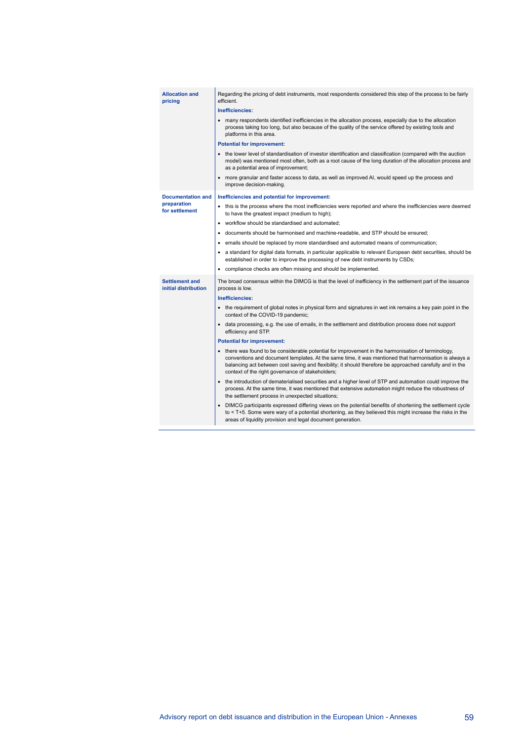| <b>Allocation and</b><br>pricing              | Regarding the pricing of debt instruments, most respondents considered this step of the process to be fairly<br>efficient.                                                                                                                                                                                                                                                    |
|-----------------------------------------------|-------------------------------------------------------------------------------------------------------------------------------------------------------------------------------------------------------------------------------------------------------------------------------------------------------------------------------------------------------------------------------|
|                                               | Inefficiencies:                                                                                                                                                                                                                                                                                                                                                               |
|                                               | • many respondents identified inefficiencies in the allocation process, especially due to the allocation<br>process taking too long, but also because of the quality of the service offered by existing tools and<br>platforms in this area.                                                                                                                                  |
|                                               | <b>Potential for improvement:</b>                                                                                                                                                                                                                                                                                                                                             |
|                                               | • the lower level of standardisation of investor identification and classification (compared with the auction<br>model) was mentioned most often, both as a root cause of the long duration of the allocation process and<br>as a potential area of improvement;                                                                                                              |
|                                               | • more granular and faster access to data, as well as improved AI, would speed up the process and<br>improve decision-making.                                                                                                                                                                                                                                                 |
| <b>Documentation and</b>                      | Inefficiencies and potential for improvement:                                                                                                                                                                                                                                                                                                                                 |
| preparation<br>for settlement                 | • this is the process where the most inefficiencies were reported and where the inefficiencies were deemed<br>to have the greatest impact (medium to high);                                                                                                                                                                                                                   |
|                                               | • workflow should be standardised and automated;                                                                                                                                                                                                                                                                                                                              |
|                                               | • documents should be harmonised and machine-readable, and STP should be ensured;                                                                                                                                                                                                                                                                                             |
|                                               | • emails should be replaced by more standardised and automated means of communication;                                                                                                                                                                                                                                                                                        |
|                                               | • a standard for digital data formats, in particular applicable to relevant European debt securities, should be<br>established in order to improve the processing of new debt instruments by CSDs;                                                                                                                                                                            |
|                                               | • compliance checks are often missing and should be implemented.                                                                                                                                                                                                                                                                                                              |
| <b>Settlement and</b><br>initial distribution | The broad consensus within the DIMCG is that the level of inefficiency in the settlement part of the issuance<br>process is low.                                                                                                                                                                                                                                              |
|                                               | Inefficiencies:                                                                                                                                                                                                                                                                                                                                                               |
|                                               | • the requirement of global notes in physical form and signatures in wet ink remains a key pain point in the<br>context of the COVID-19 pandemic;                                                                                                                                                                                                                             |
|                                               | • data processing, e.g. the use of emails, in the settlement and distribution process does not support<br>efficiency and STP.                                                                                                                                                                                                                                                 |
|                                               | <b>Potential for improvement:</b>                                                                                                                                                                                                                                                                                                                                             |
|                                               | • there was found to be considerable potential for improvement in the harmonisation of terminology,<br>conventions and document templates. At the same time, it was mentioned that harmonisation is always a<br>balancing act between cost saving and flexibility; it should therefore be approached carefully and in the<br>context of the right governance of stakeholders; |
|                                               | • the introduction of dematerialised securities and a higher level of STP and automation could improve the<br>process. At the same time, it was mentioned that extensive automation might reduce the robustness of<br>the settlement process in unexpected situations;                                                                                                        |
|                                               | • DIMCG participants expressed differing views on the potential benefits of shortening the settlement cycle<br>to < T+5. Some were wary of a potential shortening, as they believed this might increase the risks in the<br>areas of liquidity provision and legal document generation.                                                                                       |
|                                               |                                                                                                                                                                                                                                                                                                                                                                               |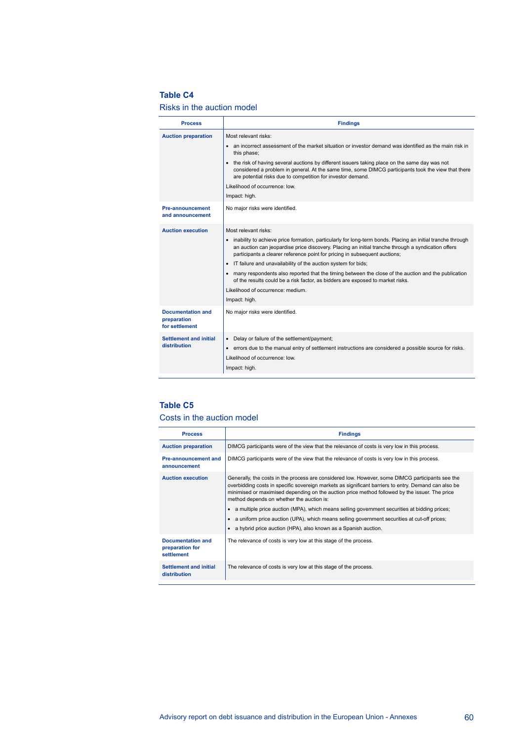### **Table C4**

#### Risks in the auction model

| <b>Process</b>                                            | <b>Findings</b>                                                                                                                                                                                                                                                                                                                                                                                                                                                                                                                                                                                                                          |
|-----------------------------------------------------------|------------------------------------------------------------------------------------------------------------------------------------------------------------------------------------------------------------------------------------------------------------------------------------------------------------------------------------------------------------------------------------------------------------------------------------------------------------------------------------------------------------------------------------------------------------------------------------------------------------------------------------------|
| <b>Auction preparation</b>                                | Most relevant risks:<br>• an incorrect assessment of the market situation or investor demand was identified as the main risk in<br>this phase;<br>• the risk of having several auctions by different issuers taking place on the same day was not<br>considered a problem in general. At the same time, some DIMCG participants took the view that there<br>are potential risks due to competition for investor demand.<br>Likelihood of occurrence: low.<br>Impact: high.                                                                                                                                                               |
| <b>Pre-announcement</b><br>and announcement               | No major risks were identified.                                                                                                                                                                                                                                                                                                                                                                                                                                                                                                                                                                                                          |
| <b>Auction execution</b>                                  | Most relevant risks:<br>inability to achieve price formation, particularly for long-term bonds. Placing an initial tranche through<br>an auction can jeopardise price discovery. Placing an initial tranche through a syndication offers<br>participants a clearer reference point for pricing in subsequent auctions;<br>IT failure and unavailability of the auction system for bids;<br>• many respondents also reported that the timing between the close of the auction and the publication<br>of the results could be a risk factor, as bidders are exposed to market risks.<br>Likelihood of occurrence: medium.<br>Impact: high. |
| <b>Documentation and</b><br>preparation<br>for settlement | No major risks were identified.                                                                                                                                                                                                                                                                                                                                                                                                                                                                                                                                                                                                          |
| Settlement and initial<br>distribution                    | Delay or failure of the settlement/payment;<br>$\bullet$<br>• errors due to the manual entry of settlement instructions are considered a possible source for risks.<br>Likelihood of occurrence: low.<br>Impact: high.                                                                                                                                                                                                                                                                                                                                                                                                                   |

## **Table C5**

#### Costs in the auction model

| <b>Process</b>                                            | <b>Findings</b>                                                                                                                                                                                                                                                                                                                                                                                                                                                                                                                                        |
|-----------------------------------------------------------|--------------------------------------------------------------------------------------------------------------------------------------------------------------------------------------------------------------------------------------------------------------------------------------------------------------------------------------------------------------------------------------------------------------------------------------------------------------------------------------------------------------------------------------------------------|
| <b>Auction preparation</b>                                | DIMCG participants were of the view that the relevance of costs is very low in this process.                                                                                                                                                                                                                                                                                                                                                                                                                                                           |
| <b>Pre-announcement and</b><br>announcement               | DIMCG participants were of the view that the relevance of costs is very low in this process.                                                                                                                                                                                                                                                                                                                                                                                                                                                           |
| <b>Auction execution</b>                                  | Generally, the costs in the process are considered low. However, some DIMCG participants see the<br>overbidding costs in specific sovereign markets as significant barriers to entry. Demand can also be<br>minimised or maximised depending on the auction price method followed by the issuer. The price<br>method depends on whether the auction is:<br>a multiple price auction (MPA), which means selling government securities at bidding prices;<br>a uniform price auction (UPA), which means selling government securities at cut-off prices; |
|                                                           | a hybrid price auction (HPA), also known as a Spanish auction.                                                                                                                                                                                                                                                                                                                                                                                                                                                                                         |
| <b>Documentation and</b><br>preparation for<br>settlement | The relevance of costs is very low at this stage of the process.                                                                                                                                                                                                                                                                                                                                                                                                                                                                                       |
| Settlement and initial<br>distribution                    | The relevance of costs is very low at this stage of the process.                                                                                                                                                                                                                                                                                                                                                                                                                                                                                       |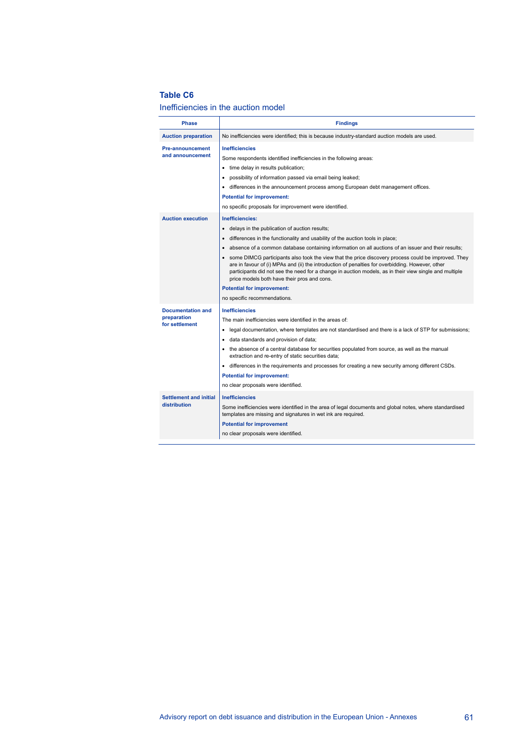#### **Table C6**

#### Inefficiencies in the auction model

| <b>Phase</b>                                              | <b>Findings</b>                                                                                                                                                                                                                                                                                                                                                                                                                                                                                                                                                                                                                                                                                                                                       |
|-----------------------------------------------------------|-------------------------------------------------------------------------------------------------------------------------------------------------------------------------------------------------------------------------------------------------------------------------------------------------------------------------------------------------------------------------------------------------------------------------------------------------------------------------------------------------------------------------------------------------------------------------------------------------------------------------------------------------------------------------------------------------------------------------------------------------------|
| <b>Auction preparation</b>                                | No inefficiencies were identified; this is because industry-standard auction models are used.                                                                                                                                                                                                                                                                                                                                                                                                                                                                                                                                                                                                                                                         |
| <b>Pre-announcement</b><br>and announcement               | <b>Inefficiencies</b><br>Some respondents identified inefficiencies in the following areas:<br>time delay in results publication;<br>٠<br>possibility of information passed via email being leaked;<br>٠<br>differences in the announcement process among European debt management offices.<br>$\bullet$<br><b>Potential for improvement:</b><br>no specific proposals for improvement were identified.                                                                                                                                                                                                                                                                                                                                               |
| <b>Auction execution</b>                                  | Inefficiencies:<br>delays in the publication of auction results;<br>$\bullet$<br>differences in the functionality and usability of the auction tools in place;<br>$\bullet$<br>absence of a common database containing information on all auctions of an issuer and their results;<br>$\bullet$<br>some DIMCG participants also took the view that the price discovery process could be improved. They<br>$\bullet$<br>are in favour of (i) MPAs and (ii) the introduction of penalties for overbidding. However, other<br>participants did not see the need for a change in auction models, as in their view single and multiple<br>price models both have their pros and cons.<br><b>Potential for improvement:</b><br>no specific recommendations. |
| <b>Documentation and</b><br>preparation<br>for settlement | <b>Inefficiencies</b><br>The main inefficiencies were identified in the areas of:<br>legal documentation, where templates are not standardised and there is a lack of STP for submissions;<br>٠<br>data standards and provision of data;<br>٠<br>the absence of a central database for securities populated from source, as well as the manual<br>$\bullet$<br>extraction and re-entry of static securities data;<br>• differences in the requirements and processes for creating a new security among different CSDs.<br><b>Potential for improvement:</b><br>no clear proposals were identified.                                                                                                                                                    |
| <b>Settlement and initial</b><br>distribution             | <b>Inefficiencies</b><br>Some inefficiencies were identified in the area of legal documents and global notes, where standardised<br>templates are missing and signatures in wet ink are required.<br><b>Potential for improvement</b><br>no clear proposals were identified.                                                                                                                                                                                                                                                                                                                                                                                                                                                                          |